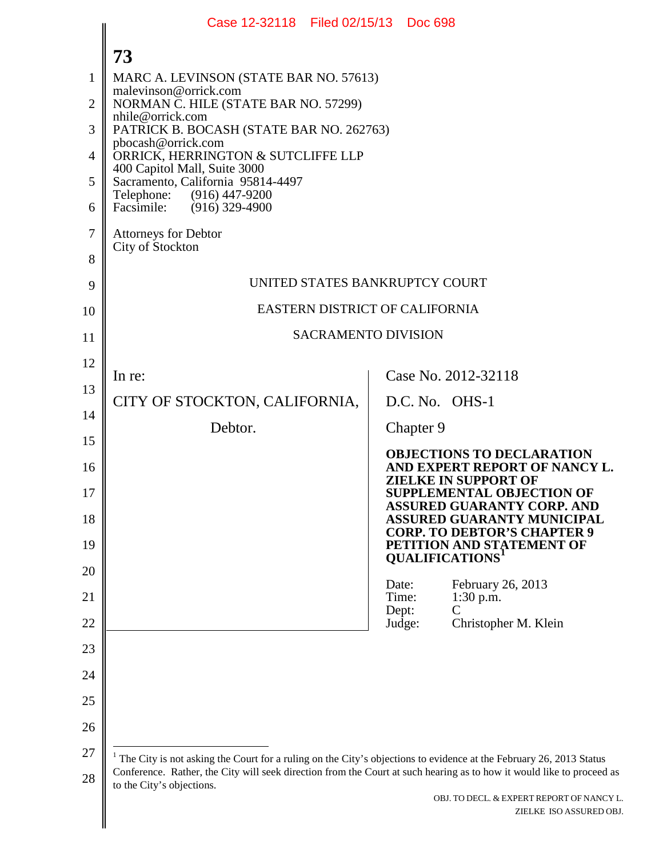<span id="page-0-0"></span>

|                | Case 12-32118   Filed 02/15/13                                                                                                                                                                                                                                               |                 | <b>Doc 698</b> |                                                                                                              |  |
|----------------|------------------------------------------------------------------------------------------------------------------------------------------------------------------------------------------------------------------------------------------------------------------------------|-----------------|----------------|--------------------------------------------------------------------------------------------------------------|--|
|                | 73                                                                                                                                                                                                                                                                           |                 |                |                                                                                                              |  |
| 1              | MARC A. LEVINSON (STATE BAR NO. 57613)<br>malevinson@orrick.com<br>NORMAN C. HILE (STATE BAR NO. 57299)<br>nhile@orrick.com                                                                                                                                                  |                 |                |                                                                                                              |  |
| $\overline{2}$ |                                                                                                                                                                                                                                                                              |                 |                |                                                                                                              |  |
| 3              | PATRICK B. BOCASH (STATE BAR NO. 262763)                                                                                                                                                                                                                                     |                 |                |                                                                                                              |  |
| 4              | pbocash@orrick.com<br>ORRICK, HERRINGTON & SUTCLIFFE LLP<br>400 Capitol Mall, Suite 3000                                                                                                                                                                                     |                 |                |                                                                                                              |  |
| 5              | Sacramento, California 95814-4497                                                                                                                                                                                                                                            |                 |                |                                                                                                              |  |
| 6              | Telephone: (916) 447-9200<br>Facsimile: (916) 329-4900                                                                                                                                                                                                                       |                 |                |                                                                                                              |  |
| 7              | <b>Attorneys for Debtor</b><br>City of Stockton                                                                                                                                                                                                                              |                 |                |                                                                                                              |  |
| 8              |                                                                                                                                                                                                                                                                              |                 |                |                                                                                                              |  |
| 9              | UNITED STATES BANKRUPTCY COURT                                                                                                                                                                                                                                               |                 |                |                                                                                                              |  |
| 10             | EASTERN DISTRICT OF CALIFORNIA                                                                                                                                                                                                                                               |                 |                |                                                                                                              |  |
| 11             | <b>SACRAMENTO DIVISION</b>                                                                                                                                                                                                                                                   |                 |                |                                                                                                              |  |
| 12             | In re:                                                                                                                                                                                                                                                                       |                 |                | Case No. 2012-32118                                                                                          |  |
| 13             | CITY OF STOCKTON, CALIFORNIA,                                                                                                                                                                                                                                                |                 |                | D.C. No. OHS-1                                                                                               |  |
| 14             | Debtor.                                                                                                                                                                                                                                                                      |                 | Chapter 9      |                                                                                                              |  |
| 15<br>16       |                                                                                                                                                                                                                                                                              |                 |                | <b>OBJECTIONS TO DECLARATION</b><br>AND EXPERT REPORT OF NANCY L.                                            |  |
| 17             |                                                                                                                                                                                                                                                                              |                 |                | <b>ZIELKE IN SUPPORT OF</b><br><b>SUPPLEMENTAL OBJECTION OF</b>                                              |  |
| 18             |                                                                                                                                                                                                                                                                              |                 |                | <b>ASSURED GUARANTY CORP. AND</b><br><b>ASSURED GUARANTY MUNICIPAL</b><br><b>CORP. TO DEBTOR'S CHAPTER 9</b> |  |
| 19             |                                                                                                                                                                                                                                                                              |                 |                | PETITION AND STATEMENT OF<br><b>QUALIFICATIONS'</b>                                                          |  |
| 20<br>21       |                                                                                                                                                                                                                                                                              | Date:<br>Time:  |                | February 26, 2013<br>$1:30$ p.m.                                                                             |  |
| 22             |                                                                                                                                                                                                                                                                              | Dept:<br>Judge: |                | C<br>Christopher M. Klein                                                                                    |  |
| 23             |                                                                                                                                                                                                                                                                              |                 |                |                                                                                                              |  |
| 24             |                                                                                                                                                                                                                                                                              |                 |                |                                                                                                              |  |
| 25             |                                                                                                                                                                                                                                                                              |                 |                |                                                                                                              |  |
| 26             |                                                                                                                                                                                                                                                                              |                 |                |                                                                                                              |  |
| 27             |                                                                                                                                                                                                                                                                              |                 |                |                                                                                                              |  |
| 28             | $1$ The City is not asking the Court for a ruling on the City's objections to evidence at the February 26, 2013 Status<br>Conference. Rather, the City will seek direction from the Court at such hearing as to how it would like to proceed as<br>to the City's objections. |                 |                |                                                                                                              |  |
|                |                                                                                                                                                                                                                                                                              |                 |                | OBJ. TO DECL. & EXPERT REPORT OF NANCY L.<br>ZIELKE ISO ASSURED OBJ.                                         |  |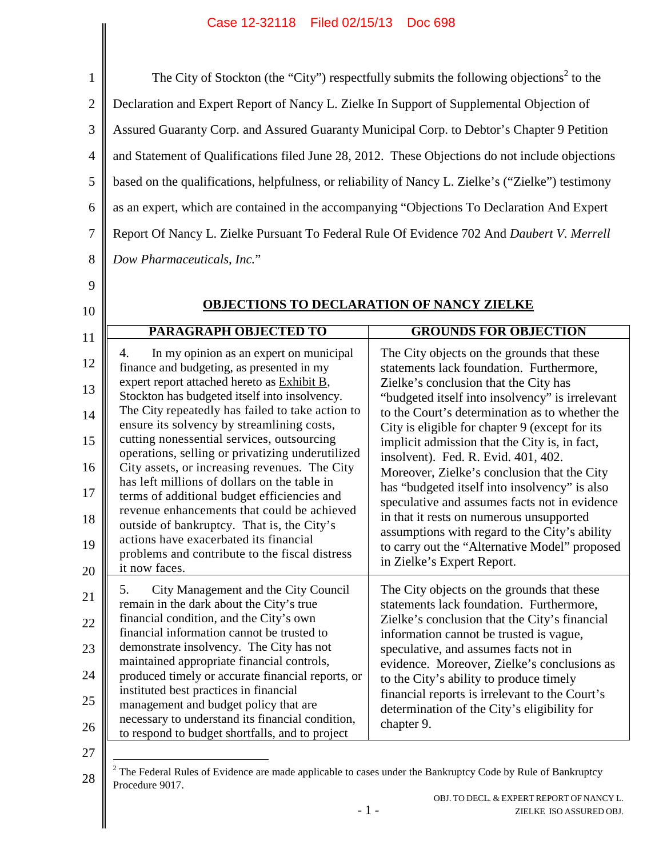## Case 12-32118 Filed 02/15/13 Doc 698

| The City of Stockton (the "City") respectfully submits the following objections <sup>2</sup> to the |                                                                                                                                                             |  |
|-----------------------------------------------------------------------------------------------------|-------------------------------------------------------------------------------------------------------------------------------------------------------------|--|
| Declaration and Expert Report of Nancy L. Zielke In Support of Supplemental Objection of            |                                                                                                                                                             |  |
| Assured Guaranty Corp. and Assured Guaranty Municipal Corp. to Debtor's Chapter 9 Petition          |                                                                                                                                                             |  |
| and Statement of Qualifications filed June 28, 2012. These Objections do not include objections     |                                                                                                                                                             |  |
|                                                                                                     |                                                                                                                                                             |  |
| based on the qualifications, helpfulness, or reliability of Nancy L. Zielke's ("Zielke") testimony  |                                                                                                                                                             |  |
| as an expert, which are contained in the accompanying "Objections To Declaration And Expert         |                                                                                                                                                             |  |
| Report Of Nancy L. Zielke Pursuant To Federal Rule Of Evidence 702 And Daubert V. Merrell           |                                                                                                                                                             |  |
| Dow Pharmaceuticals, Inc."                                                                          |                                                                                                                                                             |  |
|                                                                                                     |                                                                                                                                                             |  |
| <b>OBJECTIONS TO DECLARATION OF NANCY ZIELKE</b>                                                    |                                                                                                                                                             |  |
| <b>PARAGRAPH OBJECTED TO</b>                                                                        | <b>GROUNDS FOR OBJECTION</b>                                                                                                                                |  |
| In my opinion as an expert on municipal<br>4.                                                       | The City objects on the grounds that these                                                                                                                  |  |
| finance and budgeting, as presented in my                                                           | statements lack foundation. Furthermore,                                                                                                                    |  |
| expert report attached hereto as Exhibit B,                                                         | Zielke's conclusion that the City has                                                                                                                       |  |
| Stockton has budgeted itself into insolvency.                                                       | "budgeted itself into insolvency" is irrelevant                                                                                                             |  |
| The City repeatedly has failed to take action to                                                    | to the Court's determination as to whether the                                                                                                              |  |
| ensure its solvency by streamlining costs,                                                          | City is eligible for chapter 9 (except for its                                                                                                              |  |
| cutting nonessential services, outsourcing                                                          | implicit admission that the City is, in fact,                                                                                                               |  |
| operations, selling or privatizing underutilized<br>City assets, or increasing revenues. The City   | insolvent). Fed. R. Evid. 401, 402.                                                                                                                         |  |
| has left millions of dollars on the table in                                                        |                                                                                                                                                             |  |
|                                                                                                     | Moreover, Zielke's conclusion that the City                                                                                                                 |  |
|                                                                                                     | has "budgeted itself into insolvency" is also                                                                                                               |  |
| terms of additional budget efficiencies and                                                         |                                                                                                                                                             |  |
| revenue enhancements that could be achieved                                                         | in that it rests on numerous unsupported                                                                                                                    |  |
| outside of bankruptcy. That is, the City's                                                          | assumptions with regard to the City's ability                                                                                                               |  |
| actions have exacerbated its financial<br>problems and contribute to the fiscal distress            |                                                                                                                                                             |  |
| it now faces.                                                                                       | in Zielke's Expert Report.                                                                                                                                  |  |
|                                                                                                     |                                                                                                                                                             |  |
| City Management and the City Council<br>5.                                                          | The City objects on the grounds that these                                                                                                                  |  |
| remain in the dark about the City's true                                                            | statements lack foundation. Furthermore,                                                                                                                    |  |
| financial condition, and the City's own                                                             | Zielke's conclusion that the City's financial                                                                                                               |  |
| financial information cannot be trusted to                                                          | information cannot be trusted is vague,                                                                                                                     |  |
| demonstrate insolvency. The City has not                                                            | speculative, and assumes facts not in                                                                                                                       |  |
| maintained appropriate financial controls,<br>produced timely or accurate financial reports, or     | evidence. Moreover, Zielke's conclusions as                                                                                                                 |  |
| instituted best practices in financial                                                              | to the City's ability to produce timely                                                                                                                     |  |
| management and budget policy that are                                                               | financial reports is irrelevant to the Court's                                                                                                              |  |
| necessary to understand its financial condition,                                                    | speculative and assumes facts not in evidence<br>to carry out the "Alternative Model" proposed<br>determination of the City's eligibility for<br>chapter 9. |  |

<span id="page-1-0"></span><sup>28</sup>  $2$  The Federal Rules of Evidence are made applicable to cases under the Bankruptcy Code by Rule of Bankruptcy Procedure 9017.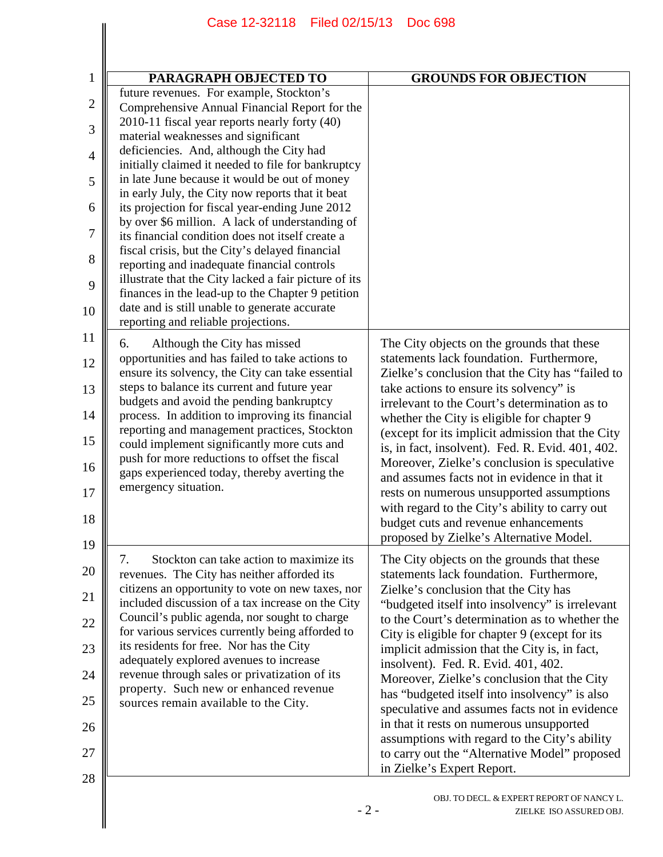|                | Case 12-32118<br>Filed 02/15/13                                                                            | <b>Doc 698</b>                                                                                   |
|----------------|------------------------------------------------------------------------------------------------------------|--------------------------------------------------------------------------------------------------|
|                |                                                                                                            |                                                                                                  |
|                |                                                                                                            |                                                                                                  |
| $\mathbf{1}$   | <b>PARAGRAPH OBJECTED TO</b>                                                                               | <b>GROUNDS FOR OBJECTION</b>                                                                     |
| $\mathbf{2}$   | future revenues. For example, Stockton's                                                                   |                                                                                                  |
|                | Comprehensive Annual Financial Report for the                                                              |                                                                                                  |
| 3              | 2010-11 fiscal year reports nearly forty (40)<br>material weaknesses and significant                       |                                                                                                  |
| $\overline{4}$ | deficiencies. And, although the City had<br>initially claimed it needed to file for bankruptcy             |                                                                                                  |
| 5              | in late June because it would be out of money<br>in early July, the City now reports that it beat          |                                                                                                  |
| 6              | its projection for fiscal year-ending June 2012<br>by over \$6 million. A lack of understanding of         |                                                                                                  |
| 7              | its financial condition does not itself create a                                                           |                                                                                                  |
| 8              | fiscal crisis, but the City's delayed financial<br>reporting and inadequate financial controls             |                                                                                                  |
| 9              | illustrate that the City lacked a fair picture of its<br>finances in the lead-up to the Chapter 9 petition |                                                                                                  |
| 10             | date and is still unable to generate accurate<br>reporting and reliable projections.                       |                                                                                                  |
| 11             | 6.<br>Although the City has missed                                                                         | The City objects on the grounds that these                                                       |
| 12             | opportunities and has failed to take actions to<br>ensure its solvency, the City can take essential        | statements lack foundation. Furthermore,<br>Zielke's conclusion that the City has "failed to     |
| 13             | steps to balance its current and future year<br>budgets and avoid the pending bankruptcy                   | take actions to ensure its solvency" is<br>irrelevant to the Court's determination as to         |
| 14             | process. In addition to improving its financial<br>reporting and management practices, Stockton            | whether the City is eligible for chapter 9<br>(except for its implicit admission that the City   |
| 15<br>16       | could implement significantly more cuts and<br>push for more reductions to offset the fiscal               | is, in fact, insolvent). Fed. R. Evid. 401, 402.<br>Moreover, Zielke's conclusion is speculative |
| 17             | gaps experienced today, thereby averting the<br>emergency situation.                                       | and assumes facts not in evidence in that it<br>rests on numerous unsupported assumptions        |
| 18             |                                                                                                            | with regard to the City's ability to carry out<br>budget cuts and revenue enhancements           |
| 19             |                                                                                                            | proposed by Zielke's Alternative Model.                                                          |
| 20             | Stockton can take action to maximize its<br>7.<br>revenues. The City has neither afforded its              | The City objects on the grounds that these<br>statements lack foundation. Furthermore,           |
| 21             | citizens an opportunity to vote on new taxes, nor<br>included discussion of a tax increase on the City     | Zielke's conclusion that the City has<br>"budgeted itself into insolvency" is irrelevant         |
| 22             | Council's public agenda, nor sought to charge                                                              | to the Court's determination as to whether the                                                   |
| 23             | for various services currently being afforded to<br>its residents for free. Nor has the City               | City is eligible for chapter 9 (except for its<br>implicit admission that the City is, in fact,  |
| 24             | adequately explored avenues to increase<br>revenue through sales or privatization of its                   | insolvent). Fed. R. Evid. 401, 402.<br>Moreover, Zielke's conclusion that the City               |
| 25             | property. Such new or enhanced revenue<br>sources remain available to the City.                            | has "budgeted itself into insolvency" is also<br>speculative and assumes facts not in evidence   |
| 26             |                                                                                                            | in that it rests on numerous unsupported                                                         |
| 27             |                                                                                                            | assumptions with regard to the City's ability<br>to carry out the "Alternative Model" proposed   |
| 28             |                                                                                                            | in Zielke's Expert Report.                                                                       |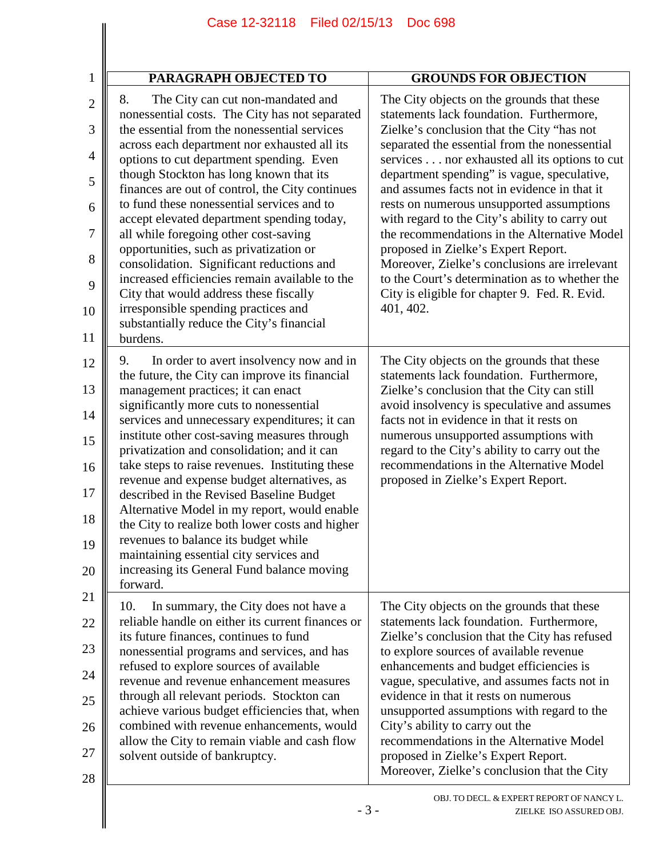|                | Case 12-32118<br>Filed 02/15/13                                                                                                       | <b>Doc 698</b>                                                                                                                                   |
|----------------|---------------------------------------------------------------------------------------------------------------------------------------|--------------------------------------------------------------------------------------------------------------------------------------------------|
|                |                                                                                                                                       |                                                                                                                                                  |
| $\mathbf 1$    | <b>PARAGRAPH OBJECTED TO</b>                                                                                                          | <b>GROUNDS FOR OBJECTION</b>                                                                                                                     |
| $\overline{2}$ | 8.<br>The City can cut non-mandated and<br>nonessential costs. The City has not separated                                             | The City objects on the grounds that these<br>statements lack foundation. Furthermore,                                                           |
| 3              | the essential from the nonessential services<br>across each department nor exhausted all its                                          | Zielke's conclusion that the City "has not<br>separated the essential from the nonessential                                                      |
| 4              | options to cut department spending. Even<br>though Stockton has long known that its                                                   | services nor exhausted all its options to cut<br>department spending" is vague, speculative,                                                     |
| 5              | finances are out of control, the City continues<br>to fund these nonessential services and to                                         | and assumes facts not in evidence in that it<br>rests on numerous unsupported assumptions                                                        |
| 6              | accept elevated department spending today,                                                                                            | with regard to the City's ability to carry out                                                                                                   |
| 7<br>8         | all while foregoing other cost-saving<br>opportunities, such as privatization or                                                      | the recommendations in the Alternative Model<br>proposed in Zielke's Expert Report.                                                              |
| 9              | consolidation. Significant reductions and<br>increased efficiencies remain available to the<br>City that would address these fiscally | Moreover, Zielke's conclusions are irrelevant<br>to the Court's determination as to whether the<br>City is eligible for chapter 9. Fed. R. Evid. |
| 10             | irresponsible spending practices and                                                                                                  | 401, 402.                                                                                                                                        |
| 11             | substantially reduce the City's financial<br>burdens.                                                                                 |                                                                                                                                                  |
| 12             | In order to avert insolvency now and in<br>9.<br>the future, the City can improve its financial                                       | The City objects on the grounds that these<br>statements lack foundation. Furthermore,                                                           |
| 13             | management practices; it can enact<br>significantly more cuts to nonessential                                                         | Zielke's conclusion that the City can still<br>avoid insolvency is speculative and assumes                                                       |
| 14<br>15       | services and unnecessary expenditures; it can<br>institute other cost-saving measures through                                         | facts not in evidence in that it rests on<br>numerous unsupported assumptions with                                                               |
| 16             | privatization and consolidation; and it can<br>take steps to raise revenues. Instituting these                                        | regard to the City's ability to carry out the<br>recommendations in the Alternative Model                                                        |
| $17\,$         | revenue and expense budget alternatives, as<br>described in the Revised Baseline Budget                                               | proposed in Zielke's Expert Report.                                                                                                              |
| ║<br>18        | Alternative Model in my report, would enable<br>the City to realize both lower costs and higher                                       |                                                                                                                                                  |
| 19             | revenues to balance its budget while                                                                                                  |                                                                                                                                                  |
| 20             | maintaining essential city services and<br>increasing its General Fund balance moving<br>forward.                                     |                                                                                                                                                  |
| 21             | 10.<br>In summary, the City does not have a                                                                                           | The City objects on the grounds that these                                                                                                       |
| 22             | reliable handle on either its current finances or<br>its future finances, continues to fund                                           | statements lack foundation. Furthermore,<br>Zielke's conclusion that the City has refused                                                        |
| 23             | nonessential programs and services, and has<br>refused to explore sources of available                                                | to explore sources of available revenue<br>enhancements and budget efficiencies is                                                               |
| 24             | revenue and revenue enhancement measures                                                                                              | vague, speculative, and assumes facts not in                                                                                                     |
| 25             | through all relevant periods. Stockton can<br>achieve various budget efficiencies that, when                                          | evidence in that it rests on numerous<br>unsupported assumptions with regard to the                                                              |
| 26             | combined with revenue enhancements, would<br>allow the City to remain viable and cash flow                                            | City's ability to carry out the<br>recommendations in the Alternative Model                                                                      |
| 27<br>28       | solvent outside of bankruptcy.                                                                                                        | proposed in Zielke's Expert Report.<br>Moreover, Zielke's conclusion that the City                                                               |
|                | $-3-$                                                                                                                                 | OBJ. TO DECL. & EXPERT REPORT OF NANCY L.<br>ZIELKE ISO ASSURED OBJ.                                                                             |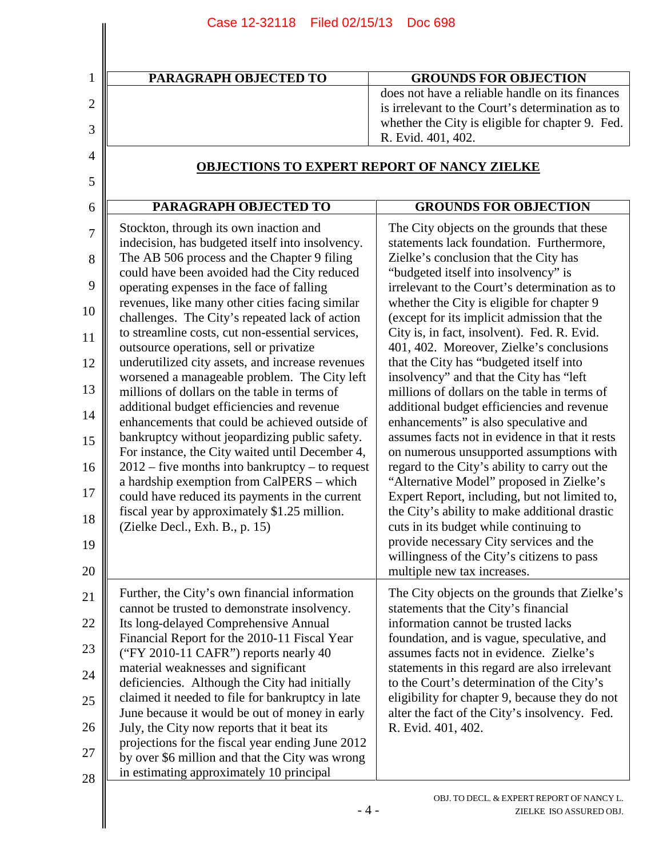| Case 12-32118 Filed 02/15/13                                                                       | <b>Doc 698</b>                                                                                       |
|----------------------------------------------------------------------------------------------------|------------------------------------------------------------------------------------------------------|
|                                                                                                    |                                                                                                      |
| <b>PARAGRAPH OBJECTED TO</b>                                                                       | <b>GROUNDS FOR OBJECTION</b>                                                                         |
|                                                                                                    | does not have a reliable handle on its finances                                                      |
|                                                                                                    | is irrelevant to the Court's determination as to<br>whether the City is eligible for chapter 9. Fed. |
|                                                                                                    | R. Evid. 401, 402.                                                                                   |
| <b>OBJECTIONS TO EXPERT REPORT OF NANCY ZIELKE</b>                                                 |                                                                                                      |
|                                                                                                    |                                                                                                      |
| PARAGRAPH OBJECTED TO                                                                              | <b>GROUNDS FOR OBJECTION</b>                                                                         |
| Stockton, through its own inaction and                                                             | The City objects on the grounds that these                                                           |
| indecision, has budgeted itself into insolvency.                                                   | statements lack foundation. Furthermore,                                                             |
| The AB 506 process and the Chapter 9 filing                                                        | Zielke's conclusion that the City has                                                                |
| could have been avoided had the City reduced<br>operating expenses in the face of falling          | "budgeted itself into insolvency" is<br>irrelevant to the Court's determination as to                |
| revenues, like many other cities facing similar                                                    | whether the City is eligible for chapter 9                                                           |
| challenges. The City's repeated lack of action                                                     | (except for its implicit admission that the                                                          |
| to streamline costs, cut non-essential services,                                                   | City is, in fact, insolvent). Fed. R. Evid.                                                          |
| outsource operations, sell or privatize<br>underutilized city assets, and increase revenues        | 401, 402. Moreover, Zielke's conclusions<br>that the City has "budgeted itself into                  |
| worsened a manageable problem. The City left                                                       | insolvency" and that the City has "left                                                              |
| millions of dollars on the table in terms of                                                       | millions of dollars on the table in terms of                                                         |
| additional budget efficiencies and revenue                                                         | additional budget efficiencies and revenue                                                           |
| enhancements that could be achieved outside of<br>bankruptcy without jeopardizing public safety.   | enhancements" is also speculative and<br>assumes facts not in evidence in that it rests              |
| For instance, the City waited until December 4,                                                    | on numerous unsupported assumptions with                                                             |
| $2012$ – five months into bankruptcy – to request                                                  | regard to the City's ability to carry out the                                                        |
| a hardship exemption from CalPERS - which<br>could have reduced its payments in the current        | "Alternative Model" proposed in Zielke's<br>Expert Report, including, but not limited to,            |
| fiscal year by approximately \$1.25 million.<br>(Zielke Decl., Exh. B., p. 15)                     | the City's ability to make additional drastic<br>cuts in its budget while continuing to              |
|                                                                                                    | provide necessary City services and the                                                              |
|                                                                                                    | willingness of the City's citizens to pass                                                           |
|                                                                                                    | multiple new tax increases.                                                                          |
| Further, the City's own financial information                                                      | The City objects on the grounds that Zielke's                                                        |
| cannot be trusted to demonstrate insolvency.                                                       | statements that the City's financial                                                                 |
| Its long-delayed Comprehensive Annual<br>Financial Report for the 2010-11 Fiscal Year              | information cannot be trusted lacks<br>foundation, and is vague, speculative, and                    |
| ("FY 2010-11 CAFR") reports nearly 40                                                              | assumes facts not in evidence. Zielke's                                                              |
| material weaknesses and significant                                                                | statements in this regard are also irrelevant                                                        |
| deficiencies. Although the City had initially                                                      | to the Court's determination of the City's                                                           |
| claimed it needed to file for bankruptcy in late<br>June because it would be out of money in early | eligibility for chapter 9, because they do not<br>alter the fact of the City's insolvency. Fed.      |
| July, the City now reports that it beat its                                                        | R. Evid. 401, 402.                                                                                   |
| projections for the fiscal year ending June 2012                                                   |                                                                                                      |
| by over \$6 million and that the City was wrong                                                    |                                                                                                      |
| in estimating approximately 10 principal                                                           |                                                                                                      |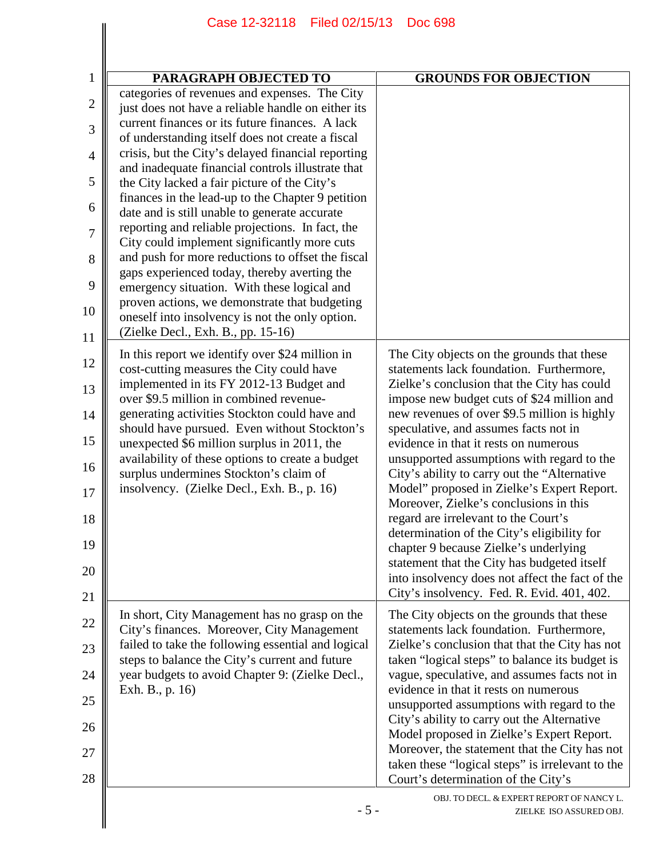| PARAGRAPH OBJECTED TO                                                                                                                                  | <b>GROUNDS FOR OBJECTION</b>                                                                                                             |
|--------------------------------------------------------------------------------------------------------------------------------------------------------|------------------------------------------------------------------------------------------------------------------------------------------|
| categories of revenues and expenses. The City<br>just does not have a reliable handle on either its                                                    |                                                                                                                                          |
| current finances or its future finances. A lack<br>of understanding itself does not create a fiscal                                                    |                                                                                                                                          |
| crisis, but the City's delayed financial reporting<br>and inadequate financial controls illustrate that                                                |                                                                                                                                          |
| the City lacked a fair picture of the City's                                                                                                           |                                                                                                                                          |
| finances in the lead-up to the Chapter 9 petition<br>date and is still unable to generate accurate<br>reporting and reliable projections. In fact, the |                                                                                                                                          |
| City could implement significantly more cuts<br>and push for more reductions to offset the fiscal                                                      |                                                                                                                                          |
| gaps experienced today, thereby averting the<br>emergency situation. With these logical and                                                            |                                                                                                                                          |
| proven actions, we demonstrate that budgeting<br>oneself into insolvency is not the only option.                                                       |                                                                                                                                          |
| (Zielke Decl., Exh. B., pp. 15-16)<br>In this report we identify over \$24 million in                                                                  | The City objects on the grounds that these                                                                                               |
| cost-cutting measures the City could have<br>implemented in its FY 2012-13 Budget and                                                                  | statements lack foundation. Furthermore,<br>Zielke's conclusion that the City has could                                                  |
| over \$9.5 million in combined revenue-<br>generating activities Stockton could have and                                                               | impose new budget cuts of \$24 million and<br>new revenues of over \$9.5 million is highly                                               |
| should have pursued. Even without Stockton's<br>unexpected \$6 million surplus in 2011, the                                                            | speculative, and assumes facts not in<br>evidence in that it rests on numerous                                                           |
| availability of these options to create a budget<br>surplus undermines Stockton's claim of                                                             | unsupported assumptions with regard to the<br>City's ability to carry out the "Alternative                                               |
| insolvency. (Zielke Decl., Exh. B., p. 16)                                                                                                             | Model" proposed in Zielke's Expert Report.<br>Moreover, Zielke's conclusions in this                                                     |
|                                                                                                                                                        | regard are irrelevant to the Court's<br>determination of the City's eligibility for                                                      |
|                                                                                                                                                        | chapter 9 because Zielke's underlying<br>statement that the City has budgeted itself                                                     |
|                                                                                                                                                        | into insolvency does not affect the fact of the<br>City's insolvency. Fed. R. Evid. 401, 402.                                            |
| In short, City Management has no grasp on the<br>City's finances. Moreover, City Management                                                            | The City objects on the grounds that these<br>statements lack foundation. Furthermore,                                                   |
| failed to take the following essential and logical<br>steps to balance the City's current and future                                                   | Zielke's conclusion that that the City has not<br>taken "logical steps" to balance its budget is                                         |
| year budgets to avoid Chapter 9: (Zielke Decl.,<br>Exh. B., p. 16)                                                                                     | vague, speculative, and assumes facts not in<br>evidence in that it rests on numerous                                                    |
|                                                                                                                                                        | unsupported assumptions with regard to the                                                                                               |
|                                                                                                                                                        | City's ability to carry out the Alternative<br>Model proposed in Zielke's Expert Report.                                                 |
|                                                                                                                                                        | Moreover, the statement that the City has not<br>taken these "logical steps" is irrelevant to the<br>Court's determination of the City's |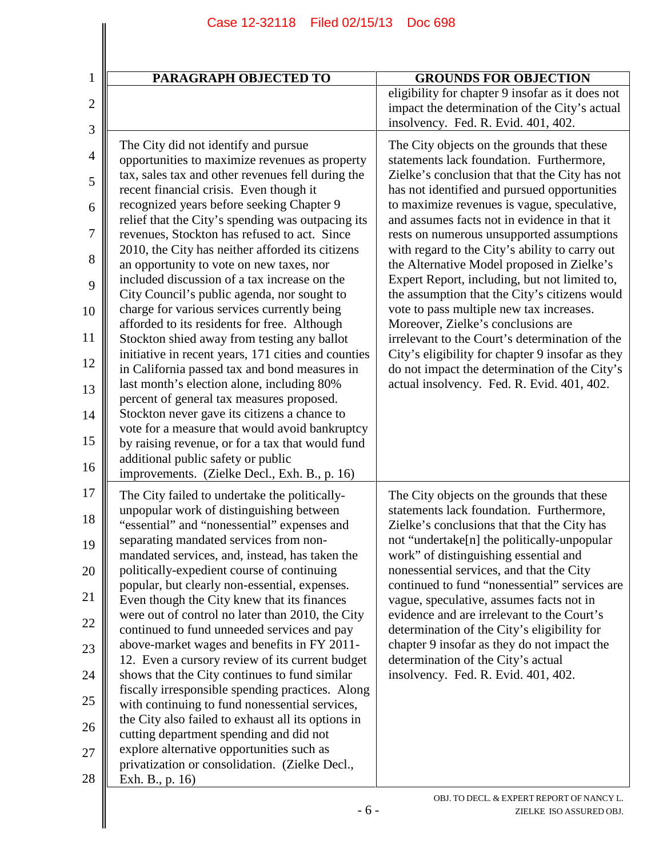| <b>PARAGRAPH OBJECTED TO</b>                                                                                                                                                                                                                                                                                                                                                                                                                                                                                                                                                                                                                                                                                                                                                                                                                                                                                                                                                                                                                                                                                                         | <b>GROUNDS FOR OBJECTION</b>                                                                                                                                                                                                                                                                                                                                                                                                                                                                                                                                                                                                                                                                                                                                                                                                  |
|--------------------------------------------------------------------------------------------------------------------------------------------------------------------------------------------------------------------------------------------------------------------------------------------------------------------------------------------------------------------------------------------------------------------------------------------------------------------------------------------------------------------------------------------------------------------------------------------------------------------------------------------------------------------------------------------------------------------------------------------------------------------------------------------------------------------------------------------------------------------------------------------------------------------------------------------------------------------------------------------------------------------------------------------------------------------------------------------------------------------------------------|-------------------------------------------------------------------------------------------------------------------------------------------------------------------------------------------------------------------------------------------------------------------------------------------------------------------------------------------------------------------------------------------------------------------------------------------------------------------------------------------------------------------------------------------------------------------------------------------------------------------------------------------------------------------------------------------------------------------------------------------------------------------------------------------------------------------------------|
|                                                                                                                                                                                                                                                                                                                                                                                                                                                                                                                                                                                                                                                                                                                                                                                                                                                                                                                                                                                                                                                                                                                                      | eligibility for chapter 9 insofar as it does not<br>impact the determination of the City's actual<br>insolvency. Fed. R. Evid. 401, 402.                                                                                                                                                                                                                                                                                                                                                                                                                                                                                                                                                                                                                                                                                      |
| The City did not identify and pursue<br>opportunities to maximize revenues as property<br>tax, sales tax and other revenues fell during the<br>recent financial crisis. Even though it<br>recognized years before seeking Chapter 9<br>relief that the City's spending was outpacing its<br>revenues, Stockton has refused to act. Since<br>2010, the City has neither afforded its citizens<br>an opportunity to vote on new taxes, nor<br>included discussion of a tax increase on the<br>City Council's public agenda, nor sought to<br>charge for various services currently being<br>afforded to its residents for free. Although<br>Stockton shied away from testing any ballot<br>initiative in recent years, 171 cities and counties<br>in California passed tax and bond measures in<br>last month's election alone, including 80%<br>percent of general tax measures proposed.<br>Stockton never gave its citizens a chance to<br>vote for a measure that would avoid bankruptcy<br>by raising revenue, or for a tax that would fund<br>additional public safety or public<br>improvements. (Zielke Decl., Exh. B., p. 16) | The City objects on the grounds that these<br>statements lack foundation. Furthermore,<br>Zielke's conclusion that that the City has not<br>has not identified and pursued opportunities<br>to maximize revenues is vague, speculative,<br>and assumes facts not in evidence in that it<br>rests on numerous unsupported assumptions<br>with regard to the City's ability to carry out<br>the Alternative Model proposed in Zielke's<br>Expert Report, including, but not limited to,<br>the assumption that the City's citizens would<br>vote to pass multiple new tax increases.<br>Moreover, Zielke's conclusions are<br>irrelevant to the Court's determination of the<br>City's eligibility for chapter 9 insofar as they<br>do not impact the determination of the City's<br>actual insolvency. Fed. R. Evid. 401, 402. |
| The City failed to undertake the politically-<br>unpopular work of distinguishing between<br>"essential" and "nonessential" expenses and<br>separating mandated services from non-<br>mandated services, and, instead, has taken the<br>politically-expedient course of continuing<br>popular, but clearly non-essential, expenses.<br>Even though the City knew that its finances<br>were out of control no later than 2010, the City<br>continued to fund unneeded services and pay<br>above-market wages and benefits in FY 2011-<br>12. Even a cursory review of its current budget<br>shows that the City continues to fund similar<br>fiscally irresponsible spending practices. Along<br>with continuing to fund nonessential services,<br>the City also failed to exhaust all its options in<br>cutting department spending and did not<br>explore alternative opportunities such as<br>privatization or consolidation. (Zielke Decl.,<br>Exh. B., p. 16)                                                                                                                                                                    | The City objects on the grounds that these<br>statements lack foundation. Furthermore,<br>Zielke's conclusions that that the City has<br>not "undertake[n] the politically-unpopular<br>work" of distinguishing essential and<br>nonessential services, and that the City<br>continued to fund "nonessential" services are<br>vague, speculative, assumes facts not in<br>evidence and are irrelevant to the Court's<br>determination of the City's eligibility for<br>chapter 9 insofar as they do not impact the<br>determination of the City's actual<br>insolvency. Fed. R. Evid. 401, 402.                                                                                                                                                                                                                               |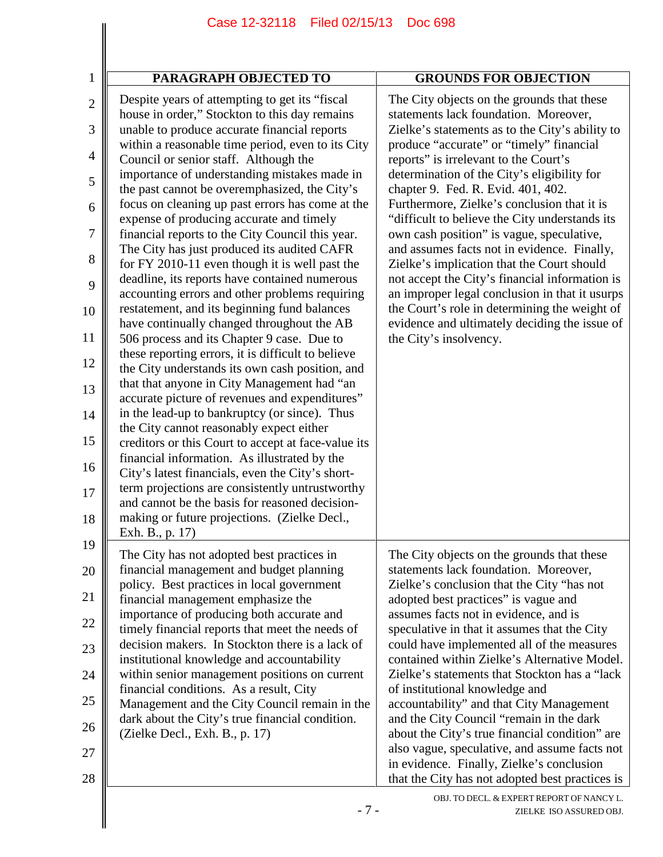$\parallel$ 

| $\mathbf{1}$        | <b>PARAGRAPH OBJECTED TO</b>                                                                                                                         | <b>GROUNDS FOR OBJECTION</b>                                                                                                           |
|---------------------|------------------------------------------------------------------------------------------------------------------------------------------------------|----------------------------------------------------------------------------------------------------------------------------------------|
| $\overline{2}$<br>3 | Despite years of attempting to get its "fiscal"<br>house in order," Stockton to this day remains<br>unable to produce accurate financial reports     | The City objects on the grounds that these<br>statements lack foundation. Moreover,<br>Zielke's statements as to the City's ability to |
| 4                   | within a reasonable time period, even to its City<br>Council or senior staff. Although the                                                           | produce "accurate" or "timely" financial<br>reports" is irrelevant to the Court's                                                      |
| 5                   | importance of understanding mistakes made in<br>the past cannot be overemphasized, the City's                                                        | determination of the City's eligibility for<br>chapter 9. Fed. R. Evid. 401, 402.                                                      |
| 6                   | focus on cleaning up past errors has come at the<br>expense of producing accurate and timely                                                         | Furthermore, Zielke's conclusion that it is<br>"difficult to believe the City understands its                                          |
| 7<br>8              | financial reports to the City Council this year.<br>The City has just produced its audited CAFR                                                      | own cash position" is vague, speculative,<br>and assumes facts not in evidence. Finally,                                               |
| 9                   | for FY 2010-11 even though it is well past the<br>deadline, its reports have contained numerous                                                      | Zielke's implication that the Court should<br>not accept the City's financial information is                                           |
| 10                  | accounting errors and other problems requiring<br>restatement, and its beginning fund balances                                                       | an improper legal conclusion in that it usurps<br>the Court's role in determining the weight of                                        |
| 11                  | have continually changed throughout the AB<br>506 process and its Chapter 9 case. Due to                                                             | evidence and ultimately deciding the issue of<br>the City's insolvency.                                                                |
| 12                  | these reporting errors, it is difficult to believe<br>the City understands its own cash position, and<br>that that anyone in City Management had "an |                                                                                                                                        |
| 13<br>14            | accurate picture of revenues and expenditures"<br>in the lead-up to bankruptcy (or since). Thus                                                      |                                                                                                                                        |
| 15                  | the City cannot reasonably expect either<br>creditors or this Court to accept at face-value its                                                      |                                                                                                                                        |
| 16                  | financial information. As illustrated by the<br>City's latest financials, even the City's short-                                                     |                                                                                                                                        |
| 17                  | term projections are consistently untrustworthy<br>and cannot be the basis for reasoned decision-                                                    |                                                                                                                                        |
| 18                  | making or future projections. (Zielke Decl.,<br>Exh. B., p. 17)                                                                                      |                                                                                                                                        |
| 19<br>║             | The City has not adopted best practices in<br>financial management and budget planning                                                               | The City objects on the grounds that these                                                                                             |
| 20<br>21            | policy. Best practices in local government                                                                                                           | statements lack foundation. Moreover,<br>Zielke's conclusion that the City "has not                                                    |
| 22                  | financial management emphasize the<br>importance of producing both accurate and                                                                      | adopted best practices" is vague and<br>assumes facts not in evidence, and is                                                          |
| 23                  | timely financial reports that meet the needs of<br>decision makers. In Stockton there is a lack of                                                   | speculative in that it assumes that the City<br>could have implemented all of the measures                                             |
| 24                  | institutional knowledge and accountability<br>within senior management positions on current                                                          | contained within Zielke's Alternative Model.<br>Zielke's statements that Stockton has a "lack                                          |
| 25                  | financial conditions. As a result, City<br>Management and the City Council remain in the                                                             | of institutional knowledge and<br>accountability" and that City Management                                                             |
| 26                  | dark about the City's true financial condition.<br>(Zielke Decl., Exh. B., p. 17)                                                                    | and the City Council "remain in the dark<br>about the City's true financial condition" are                                             |
| 27                  |                                                                                                                                                      | also vague, speculative, and assume facts not<br>in evidence. Finally, Zielke's conclusion                                             |
| 28                  |                                                                                                                                                      | that the City has not adopted best practices is                                                                                        |
|                     | $-7-$                                                                                                                                                | OBJ. TO DECL. & EXPERT REPORT OF NANCY L.<br>ZIELKE ISO ASSURED OBJ.                                                                   |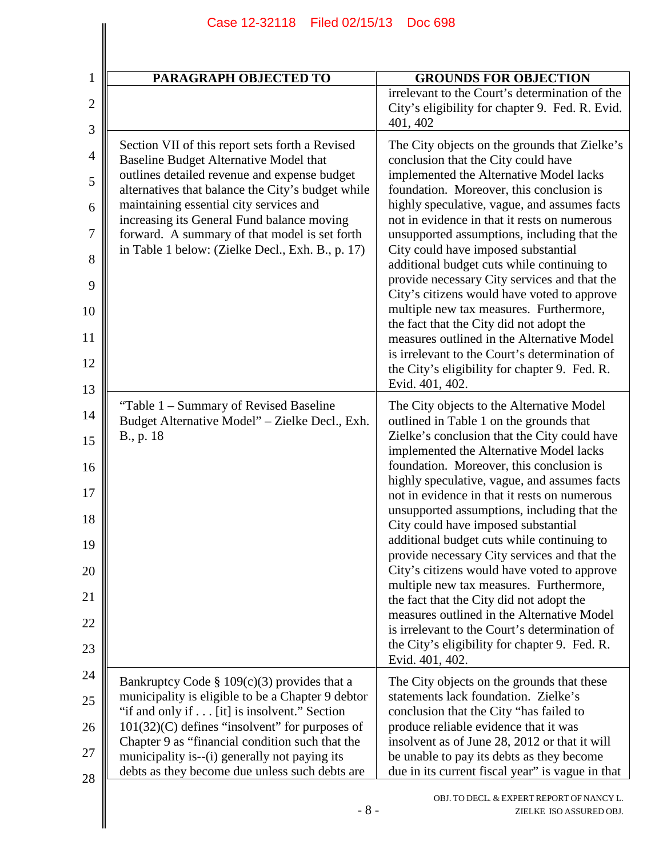| $\mathbf{1}$      | PARAGRAPH OBJECTED TO                                                                                                                              | <b>GROUNDS FOR OBJECTION</b>                                                                                                                   |
|-------------------|----------------------------------------------------------------------------------------------------------------------------------------------------|------------------------------------------------------------------------------------------------------------------------------------------------|
| $\mathbf{2}$<br>3 |                                                                                                                                                    | irrelevant to the Court's determination of the<br>City's eligibility for chapter 9. Fed. R. Evid.<br>401, 402                                  |
| $\overline{4}$    | Section VII of this report sets forth a Revised<br>Baseline Budget Alternative Model that                                                          | The City objects on the grounds that Zielke's<br>conclusion that the City could have                                                           |
| 5                 | outlines detailed revenue and expense budget<br>alternatives that balance the City's budget while                                                  | implemented the Alternative Model lacks<br>foundation. Moreover, this conclusion is                                                            |
| 6                 | maintaining essential city services and<br>increasing its General Fund balance moving                                                              | highly speculative, vague, and assumes facts<br>not in evidence in that it rests on numerous                                                   |
| 7                 | forward. A summary of that model is set forth<br>in Table 1 below: (Zielke Decl., Exh. B., p. 17)                                                  | unsupported assumptions, including that the<br>City could have imposed substantial                                                             |
| 8<br>9            |                                                                                                                                                    | additional budget cuts while continuing to<br>provide necessary City services and that the                                                     |
| 10                |                                                                                                                                                    | City's citizens would have voted to approve<br>multiple new tax measures. Furthermore,                                                         |
| 11                |                                                                                                                                                    | the fact that the City did not adopt the<br>measures outlined in the Alternative Model                                                         |
| 12                |                                                                                                                                                    | is irrelevant to the Court's determination of<br>the City's eligibility for chapter 9. Fed. R.                                                 |
| 13                | "Table 1 – Summary of Revised Baseline"                                                                                                            | Evid. 401, 402.<br>The City objects to the Alternative Model                                                                                   |
| 14                | Budget Alternative Model" - Zielke Decl., Exh.<br>B., p. 18                                                                                        | outlined in Table 1 on the grounds that<br>Zielke's conclusion that the City could have                                                        |
| 15                |                                                                                                                                                    | implemented the Alternative Model lacks                                                                                                        |
| 16<br>17          |                                                                                                                                                    | foundation. Moreover, this conclusion is<br>highly speculative, vague, and assumes facts<br>not in evidence in that it rests on numerous       |
| 18                |                                                                                                                                                    | unsupported assumptions, including that the<br>City could have imposed substantial                                                             |
| 19                |                                                                                                                                                    | additional budget cuts while continuing to<br>provide necessary City services and that the                                                     |
| 20                |                                                                                                                                                    | City's citizens would have voted to approve<br>multiple new tax measures. Furthermore,                                                         |
| 21                |                                                                                                                                                    | the fact that the City did not adopt the<br>measures outlined in the Alternative Model                                                         |
| 22                |                                                                                                                                                    | is irrelevant to the Court's determination of<br>the City's eligibility for chapter 9. Fed. R.                                                 |
| 23                |                                                                                                                                                    | Evid. 401, 402.                                                                                                                                |
| 24<br>25          | Bankruptcy Code § 109 $(c)(3)$ provides that a<br>municipality is eligible to be a Chapter 9 debtor                                                | The City objects on the grounds that these<br>statements lack foundation. Zielke's                                                             |
| 26                | "if and only if [it] is insolvent." Section<br>$101(32)(C)$ defines "insolvent" for purposes of                                                    | conclusion that the City "has failed to<br>produce reliable evidence that it was                                                               |
| 27                | Chapter 9 as "financial condition such that the<br>municipality is--(i) generally not paying its<br>debts as they become due unless such debts are | insolvent as of June 28, 2012 or that it will<br>be unable to pay its debts as they become<br>due in its current fiscal year" is vague in that |
| 28                | $-8-$                                                                                                                                              | OBJ. TO DECL. & EXPERT REPORT OF NANCY L.<br>ZIELKE ISO ASSURED OBJ.                                                                           |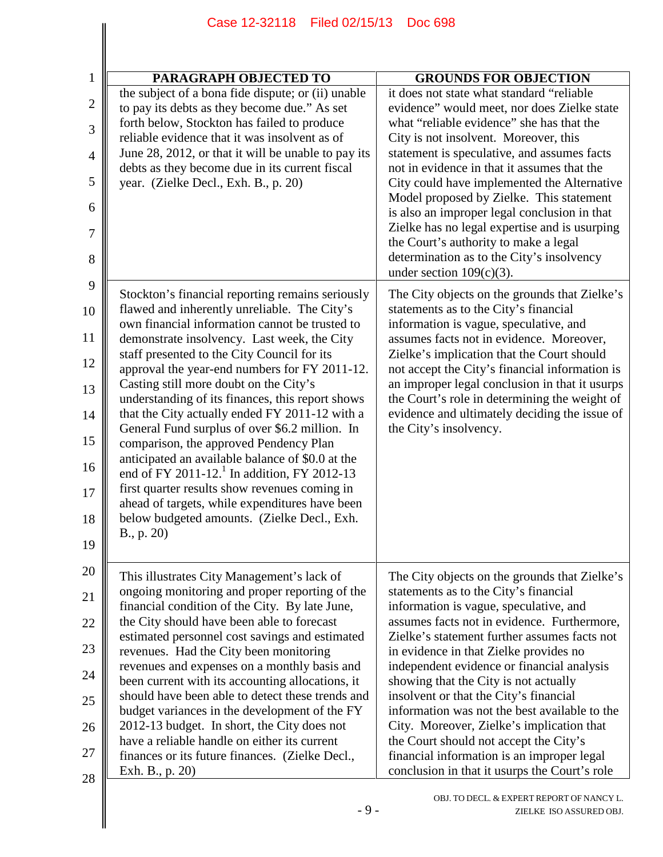| $\mathbf{1}$   | <b>PARAGRAPH OBJECTED TO</b>                                                                       | <b>GROUNDS FOR OBJECTION</b>                                                                     |
|----------------|----------------------------------------------------------------------------------------------------|--------------------------------------------------------------------------------------------------|
|                | the subject of a bona fide dispute; or (ii) unable                                                 | it does not state what standard "reliable"                                                       |
| $\mathbf{2}$   | to pay its debts as they become due." As set                                                       | evidence" would meet, nor does Zielke state                                                      |
| 3              | forth below, Stockton has failed to produce                                                        | what "reliable evidence" she has that the                                                        |
|                | reliable evidence that it was insolvent as of                                                      | City is not insolvent. Moreover, this                                                            |
| $\overline{4}$ | June 28, 2012, or that it will be unable to pay its                                                | statement is speculative, and assumes facts                                                      |
|                | debts as they become due in its current fiscal                                                     | not in evidence in that it assumes that the                                                      |
| 5              | year. (Zielke Decl., Exh. B., p. 20)                                                               | City could have implemented the Alternative<br>Model proposed by Zielke. This statement          |
| 6<br>7         |                                                                                                    | is also an improper legal conclusion in that<br>Zielke has no legal expertise and is usurping    |
|                |                                                                                                    | the Court's authority to make a legal                                                            |
| 8              |                                                                                                    | determination as to the City's insolvency                                                        |
|                |                                                                                                    | under section $109(c)(3)$ .                                                                      |
| 9<br>10        | Stockton's financial reporting remains seriously<br>flawed and inherently unreliable. The City's   | The City objects on the grounds that Zielke's<br>statements as to the City's financial           |
|                | own financial information cannot be trusted to                                                     | information is vague, speculative, and                                                           |
| 12             | demonstrate insolvency. Last week, the City<br>staff presented to the City Council for its         | assumes facts not in evidence. Moreover,<br>Zielke's implication that the Court should           |
|                | approval the year-end numbers for FY 2011-12.<br>Casting still more doubt on the City's            | not accept the City's financial information is<br>an improper legal conclusion in that it usurps |
|                | understanding of its finances, this report shows<br>that the City actually ended FY 2011-12 with a | the Court's role in determining the weight of<br>evidence and ultimately deciding the issue of   |
| 14<br>15       | General Fund surplus of over \$6.2 million. In                                                     | the City's insolvency.                                                                           |
|                | comparison, the approved Pendency Plan                                                             |                                                                                                  |
| 16             | anticipated an available balance of \$0.0 at the                                                   |                                                                                                  |
| 17             | end of FY 2011-12. <sup>1</sup> In addition, FY 2012-13                                            |                                                                                                  |
|                | first quarter results show revenues coming in<br>ahead of targets, while expenditures have been    |                                                                                                  |
| 18             | below budgeted amounts. (Zielke Decl., Exh.                                                        |                                                                                                  |
|                | B., p. 20)                                                                                         |                                                                                                  |
|                |                                                                                                    |                                                                                                  |
|                | This illustrates City Management's lack of                                                         | The City objects on the grounds that Zielke's                                                    |
|                | ongoing monitoring and proper reporting of the                                                     | statements as to the City's financial                                                            |
|                | financial condition of the City. By late June,                                                     | information is vague, speculative, and                                                           |
|                | the City should have been able to forecast                                                         | assumes facts not in evidence. Furthermore,                                                      |
|                | estimated personnel cost savings and estimated                                                     | Zielke's statement further assumes facts not                                                     |
|                | revenues. Had the City been monitoring                                                             | in evidence in that Zielke provides no                                                           |
|                | revenues and expenses on a monthly basis and                                                       | independent evidence or financial analysis                                                       |
|                | been current with its accounting allocations, it                                                   | showing that the City is not actually                                                            |
|                | should have been able to detect these trends and                                                   | insolvent or that the City's financial                                                           |
|                | budget variances in the development of the FY                                                      | information was not the best available to the                                                    |
|                | 2012-13 budget. In short, the City does not<br>have a reliable handle on either its current        | City. Moreover, Zielke's implication that<br>the Court should not accept the City's              |
|                | finances or its future finances. (Zielke Decl.,                                                    | financial information is an improper legal                                                       |
|                | Exh. B., p. 20)                                                                                    | conclusion in that it usurps the Court's role                                                    |
| 28             |                                                                                                    |                                                                                                  |
|                |                                                                                                    | OBJ. TO DECL. & EXPERT REPORT OF NANCY L.                                                        |
|                | $-9-$                                                                                              | ZIELKE ISO ASSURED OBJ.                                                                          |
|                |                                                                                                    |                                                                                                  |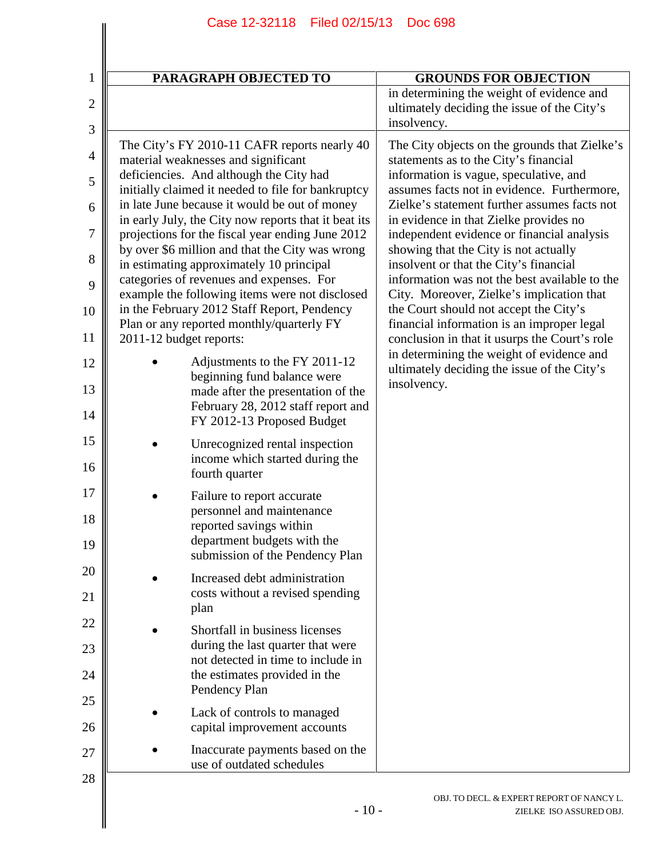| PARAGRAPH OBJECTED TO                                                                                                                                                                                        | <b>GROUNDS FOR OBJECTION</b>                                                                                                                                                                                                    |
|--------------------------------------------------------------------------------------------------------------------------------------------------------------------------------------------------------------|---------------------------------------------------------------------------------------------------------------------------------------------------------------------------------------------------------------------------------|
|                                                                                                                                                                                                              | in determining the weight of evidence and<br>ultimately deciding the issue of the City's<br>insolvency.                                                                                                                         |
| The City's FY 2010-11 CAFR reports nearly 40<br>material weaknesses and significant<br>deficiencies. And although the City had<br>initially claimed it needed to file for bankruptcy                         | The City objects on the grounds that Zielke's<br>statements as to the City's financial<br>information is vague, speculative, and<br>assumes facts not in evidence. Furthermore,<br>Zielke's statement further assumes facts not |
| in late June because it would be out of money<br>in early July, the City now reports that it beat its<br>projections for the fiscal year ending June 2012<br>by over \$6 million and that the City was wrong | in evidence in that Zielke provides no<br>independent evidence or financial analysis<br>showing that the City is not actually                                                                                                   |
| in estimating approximately 10 principal<br>categories of revenues and expenses. For                                                                                                                         | insolvent or that the City's financial<br>information was not the best available to the                                                                                                                                         |
| example the following items were not disclosed<br>in the February 2012 Staff Report, Pendency<br>Plan or any reported monthly/quarterly FY                                                                   | City. Moreover, Zielke's implication that<br>the Court should not accept the City's<br>financial information is an improper legal                                                                                               |
| 2011-12 budget reports:                                                                                                                                                                                      | conclusion in that it usurps the Court's role<br>in determining the weight of evidence and                                                                                                                                      |
| Adjustments to the FY 2011-12<br>beginning fund balance were<br>made after the presentation of the                                                                                                           | ultimately deciding the issue of the City's<br>insolvency.                                                                                                                                                                      |
| February 28, 2012 staff report and<br>FY 2012-13 Proposed Budget                                                                                                                                             |                                                                                                                                                                                                                                 |
| Unrecognized rental inspection<br>income which started during the<br>fourth quarter                                                                                                                          |                                                                                                                                                                                                                                 |
| Failure to report accurate<br>personnel and maintenance<br>reported savings within<br>department budgets with the<br>submission of the Pendency Plan                                                         |                                                                                                                                                                                                                                 |
| Increased debt administration<br>costs without a revised spending<br>plan                                                                                                                                    |                                                                                                                                                                                                                                 |
| Shortfall in business licenses<br>during the last quarter that were<br>not detected in time to include in<br>the estimates provided in the<br>Pendency Plan                                                  |                                                                                                                                                                                                                                 |
| Lack of controls to managed<br>capital improvement accounts                                                                                                                                                  |                                                                                                                                                                                                                                 |
| Inaccurate payments based on the<br>use of outdated schedules                                                                                                                                                |                                                                                                                                                                                                                                 |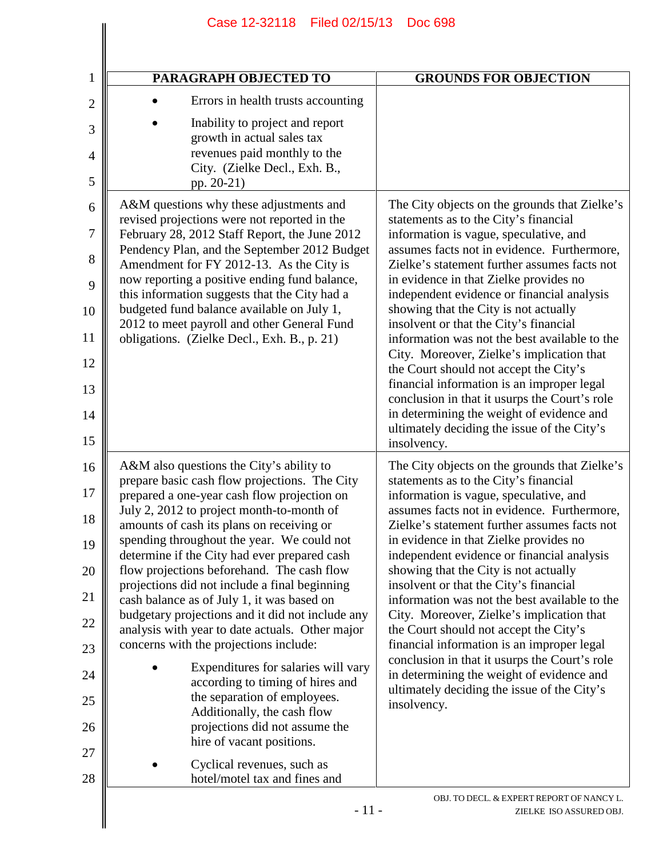| PARAGRAPH OBJECTED TO                                                                                                                                                                                                                                                                                                                                                                                                                                                                                                                                                      |                                                                                                                                                                                                                                                                                                                          | <b>GROUNDS FOR OBJECTION</b>                                                                                                                                                                                                                                                                                                                                                                                                                                                                                                                                                                                                                                                                                                                                 |
|----------------------------------------------------------------------------------------------------------------------------------------------------------------------------------------------------------------------------------------------------------------------------------------------------------------------------------------------------------------------------------------------------------------------------------------------------------------------------------------------------------------------------------------------------------------------------|--------------------------------------------------------------------------------------------------------------------------------------------------------------------------------------------------------------------------------------------------------------------------------------------------------------------------|--------------------------------------------------------------------------------------------------------------------------------------------------------------------------------------------------------------------------------------------------------------------------------------------------------------------------------------------------------------------------------------------------------------------------------------------------------------------------------------------------------------------------------------------------------------------------------------------------------------------------------------------------------------------------------------------------------------------------------------------------------------|
|                                                                                                                                                                                                                                                                                                                                                                                                                                                                                                                                                                            | Errors in health trusts accounting                                                                                                                                                                                                                                                                                       |                                                                                                                                                                                                                                                                                                                                                                                                                                                                                                                                                                                                                                                                                                                                                              |
| pp. 20-21)                                                                                                                                                                                                                                                                                                                                                                                                                                                                                                                                                                 | Inability to project and report<br>growth in actual sales tax<br>revenues paid monthly to the<br>City. (Zielke Decl., Exh. B.,                                                                                                                                                                                           |                                                                                                                                                                                                                                                                                                                                                                                                                                                                                                                                                                                                                                                                                                                                                              |
| A&M questions why these adjustments and<br>revised projections were not reported in the<br>February 28, 2012 Staff Report, the June 2012<br>Amendment for FY 2012-13. As the City is<br>now reporting a positive ending fund balance,<br>this information suggests that the City had a<br>budgeted fund balance available on July 1,<br>2012 to meet payroll and other General Fund<br>obligations. (Zielke Decl., Exh. B., p. 21)                                                                                                                                         | Pendency Plan, and the September 2012 Budget                                                                                                                                                                                                                                                                             | The City objects on the grounds that Zielke's<br>statements as to the City's financial<br>information is vague, speculative, and<br>assumes facts not in evidence. Furthermore,<br>Zielke's statement further assumes facts not<br>in evidence in that Zielke provides no<br>independent evidence or financial analysis<br>showing that the City is not actually<br>insolvent or that the City's financial<br>information was not the best available to the<br>City. Moreover, Zielke's implication that<br>the Court should not accept the City's<br>financial information is an improper legal<br>conclusion in that it usurps the Court's role<br>in determining the weight of evidence and<br>ultimately deciding the issue of the City's<br>insolvency. |
| A&M also questions the City's ability to<br>prepare basic cash flow projections. The City<br>prepared a one-year cash flow projection on<br>July 2, 2012 to project month-to-month of<br>amounts of cash its plans on receiving or<br>spending throughout the year. We could not<br>determine if the City had ever prepared cash<br>flow projections beforehand. The cash flow<br>projections did not include a final beginning<br>cash balance as of July 1, it was based on<br>analysis with year to date actuals. Other major<br>concerns with the projections include: | budgetary projections and it did not include any<br>Expenditures for salaries will vary<br>according to timing of hires and<br>the separation of employees.<br>Additionally, the cash flow<br>projections did not assume the<br>hire of vacant positions.<br>Cyclical revenues, such as<br>hotel/motel tax and fines and | The City objects on the grounds that Zielke's<br>statements as to the City's financial<br>information is vague, speculative, and<br>assumes facts not in evidence. Furthermore,<br>Zielke's statement further assumes facts not<br>in evidence in that Zielke provides no<br>independent evidence or financial analysis<br>showing that the City is not actually<br>insolvent or that the City's financial<br>information was not the best available to the<br>City. Moreover, Zielke's implication that<br>the Court should not accept the City's<br>financial information is an improper legal<br>conclusion in that it usurps the Court's role<br>in determining the weight of evidence and<br>ultimately deciding the issue of the City's<br>insolvency. |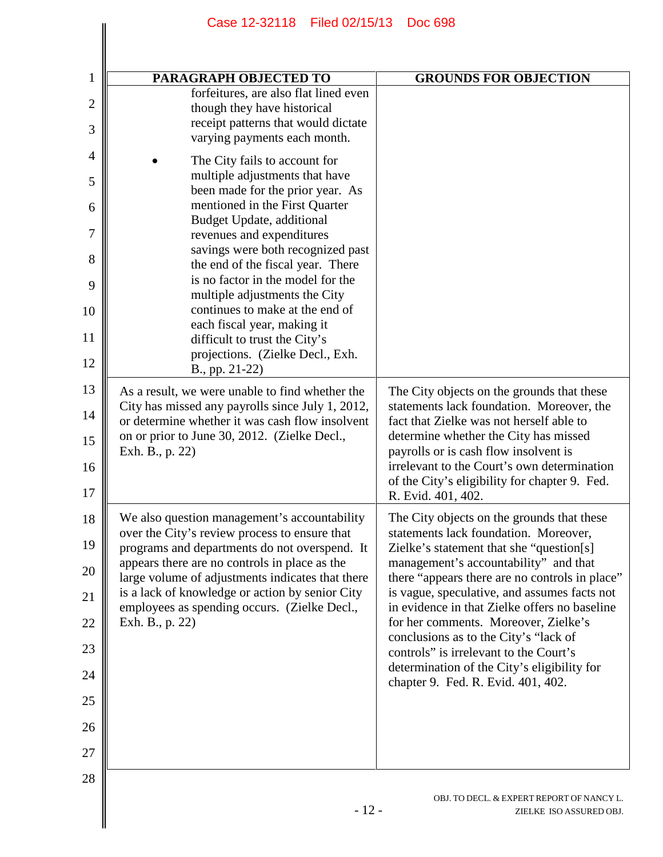| PARAGRAPH OBJECTED TO                                                                                                                       | <b>GROUNDS FOR OBJECTION</b>                                                                                       |
|---------------------------------------------------------------------------------------------------------------------------------------------|--------------------------------------------------------------------------------------------------------------------|
| forfeitures, are also flat lined even<br>though they have historical<br>receipt patterns that would dictate<br>varying payments each month. |                                                                                                                    |
| The City fails to account for                                                                                                               |                                                                                                                    |
| multiple adjustments that have<br>been made for the prior year. As                                                                          |                                                                                                                    |
| mentioned in the First Quarter<br>Budget Update, additional                                                                                 |                                                                                                                    |
| revenues and expenditures<br>savings were both recognized past                                                                              |                                                                                                                    |
| the end of the fiscal year. There<br>is no factor in the model for the                                                                      |                                                                                                                    |
| multiple adjustments the City                                                                                                               |                                                                                                                    |
| continues to make at the end of<br>each fiscal year, making it<br>difficult to trust the City's                                             |                                                                                                                    |
| projections. (Zielke Decl., Exh.                                                                                                            |                                                                                                                    |
| B., pp. 21-22)                                                                                                                              |                                                                                                                    |
| As a result, we were unable to find whether the<br>City has missed any payrolls since July 1, 2012,                                         | The City objects on the grounds that these<br>statements lack foundation. Moreover, the                            |
| or determine whether it was cash flow insolvent<br>on or prior to June 30, 2012. (Zielke Decl.,                                             | fact that Zielke was not herself able to<br>determine whether the City has missed                                  |
| Exh. B., p. 22)                                                                                                                             | payrolls or is cash flow insolvent is                                                                              |
|                                                                                                                                             | irrelevant to the Court's own determination<br>of the City's eligibility for chapter 9. Fed.<br>R. Evid. 401, 402. |
| We also question management's accountability                                                                                                | The City objects on the grounds that these                                                                         |
| over the City's review process to ensure that<br>programs and departments do not overspend. It                                              | statements lack foundation. Moreover,<br>Zielke's statement that she "question[s]                                  |
| appears there are no controls in place as the<br>large volume of adjustments indicates that there                                           | management's accountability" and that<br>there "appears there are no controls in place"                            |
| is a lack of knowledge or action by senior City                                                                                             | is vague, speculative, and assumes facts not                                                                       |
| employees as spending occurs. (Zielke Decl.,<br>Exh. B., p. 22)                                                                             | in evidence in that Zielke offers no baseline<br>for her comments. Moreover, Zielke's                              |
|                                                                                                                                             | conclusions as to the City's "lack of<br>controls" is irrelevant to the Court's                                    |
|                                                                                                                                             | determination of the City's eligibility for                                                                        |
|                                                                                                                                             | chapter 9. Fed. R. Evid. 401, 402.                                                                                 |
|                                                                                                                                             |                                                                                                                    |
|                                                                                                                                             |                                                                                                                    |
|                                                                                                                                             |                                                                                                                    |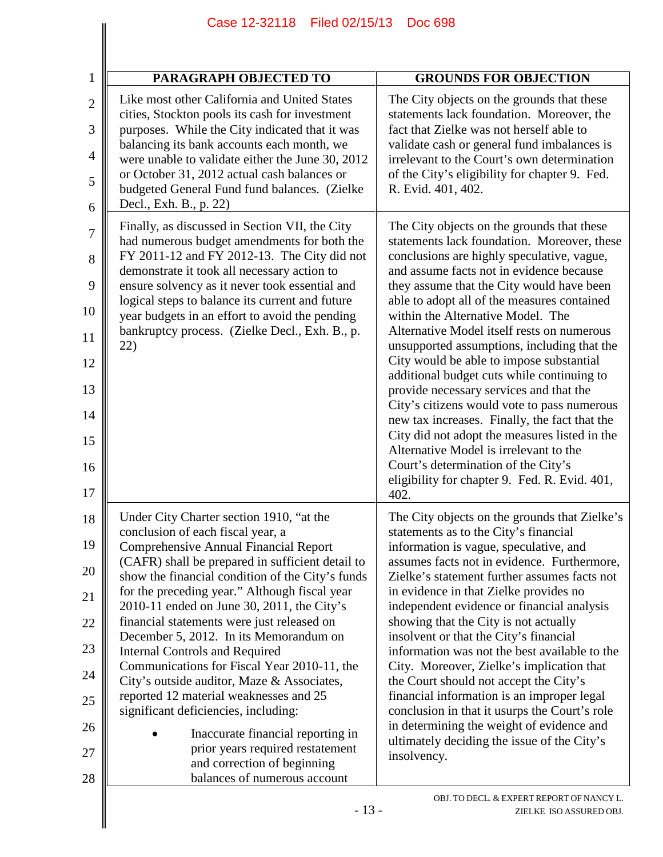| 1                                                              | PARAGRAPH OBJECTED TO                                                                                                                                                                                                                                                                                                                                                                                                                                                                                                                                                                                                                                                                                                                                                                        | <b>GROUNDS FOR OBJECTION</b>                                                                                                                                                                                                                                                                                                                                                                                                                                                                                                                                                                                                                                                                                                                                                                                                                      |
|----------------------------------------------------------------|----------------------------------------------------------------------------------------------------------------------------------------------------------------------------------------------------------------------------------------------------------------------------------------------------------------------------------------------------------------------------------------------------------------------------------------------------------------------------------------------------------------------------------------------------------------------------------------------------------------------------------------------------------------------------------------------------------------------------------------------------------------------------------------------|---------------------------------------------------------------------------------------------------------------------------------------------------------------------------------------------------------------------------------------------------------------------------------------------------------------------------------------------------------------------------------------------------------------------------------------------------------------------------------------------------------------------------------------------------------------------------------------------------------------------------------------------------------------------------------------------------------------------------------------------------------------------------------------------------------------------------------------------------|
| $\overline{2}$<br>3<br>$\overline{4}$<br>5<br>6                | Like most other California and United States<br>cities, Stockton pools its cash for investment<br>purposes. While the City indicated that it was<br>balancing its bank accounts each month, we<br>were unable to validate either the June 30, 2012<br>or October 31, 2012 actual cash balances or<br>budgeted General Fund fund balances. (Zielke<br>Decl., Exh. B., p. 22)                                                                                                                                                                                                                                                                                                                                                                                                                  | The City objects on the grounds that these<br>statements lack foundation. Moreover, the<br>fact that Zielke was not herself able to<br>validate cash or general fund imbalances is<br>irrelevant to the Court's own determination<br>of the City's eligibility for chapter 9. Fed.<br>R. Evid. 401, 402.                                                                                                                                                                                                                                                                                                                                                                                                                                                                                                                                          |
| 7<br>8<br>9<br>10<br>11<br>12<br>13<br>14<br>15<br>16<br>17    | Finally, as discussed in Section VII, the City<br>had numerous budget amendments for both the<br>FY 2011-12 and FY 2012-13. The City did not<br>demonstrate it took all necessary action to<br>ensure solvency as it never took essential and<br>logical steps to balance its current and future<br>year budgets in an effort to avoid the pending<br>bankruptcy process. (Zielke Decl., Exh. B., p.<br>22)                                                                                                                                                                                                                                                                                                                                                                                  | The City objects on the grounds that these<br>statements lack foundation. Moreover, these<br>conclusions are highly speculative, vague,<br>and assume facts not in evidence because<br>they assume that the City would have been<br>able to adopt all of the measures contained<br>within the Alternative Model. The<br>Alternative Model itself rests on numerous<br>unsupported assumptions, including that the<br>City would be able to impose substantial<br>additional budget cuts while continuing to<br>provide necessary services and that the<br>City's citizens would vote to pass numerous<br>new tax increases. Finally, the fact that the<br>City did not adopt the measures listed in the<br>Alternative Model is irrelevant to the<br>Court's determination of the City's<br>eligibility for chapter 9. Fed. R. Evid. 401,<br>402. |
| 18<br>19<br>20<br>21<br>22<br>23<br>24<br>25<br>26<br>27<br>28 | Under City Charter section 1910, "at the<br>conclusion of each fiscal year, a<br><b>Comprehensive Annual Financial Report</b><br>(CAFR) shall be prepared in sufficient detail to<br>show the financial condition of the City's funds<br>for the preceding year." Although fiscal year<br>2010-11 ended on June 30, 2011, the City's<br>financial statements were just released on<br>December 5, 2012. In its Memorandum on<br><b>Internal Controls and Required</b><br>Communications for Fiscal Year 2010-11, the<br>City's outside auditor, Maze & Associates,<br>reported 12 material weaknesses and 25<br>significant deficiencies, including:<br>Inaccurate financial reporting in<br>prior years required restatement<br>and correction of beginning<br>balances of numerous account | The City objects on the grounds that Zielke's<br>statements as to the City's financial<br>information is vague, speculative, and<br>assumes facts not in evidence. Furthermore,<br>Zielke's statement further assumes facts not<br>in evidence in that Zielke provides no<br>independent evidence or financial analysis<br>showing that the City is not actually<br>insolvent or that the City's financial<br>information was not the best available to the<br>City. Moreover, Zielke's implication that<br>the Court should not accept the City's<br>financial information is an improper legal<br>conclusion in that it usurps the Court's role<br>in determining the weight of evidence and<br>ultimately deciding the issue of the City's<br>insolvency.                                                                                      |
|                                                                | $-13-$                                                                                                                                                                                                                                                                                                                                                                                                                                                                                                                                                                                                                                                                                                                                                                                       | OBJ. TO DECL. & EXPERT REPORT OF NANCY L.<br>ZIELKE ISO ASSURED OBJ.                                                                                                                                                                                                                                                                                                                                                                                                                                                                                                                                                                                                                                                                                                                                                                              |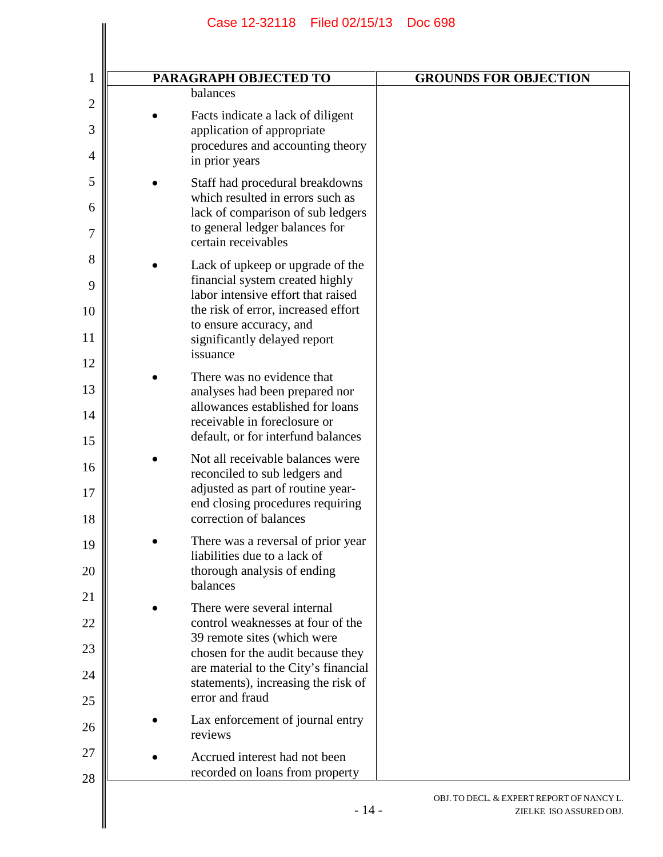| <b>PARAGRAPH OBJECTED TO</b>                                                                                                                                                                                                           | <b>GROUNDS FOR OBJECTION</b> |
|----------------------------------------------------------------------------------------------------------------------------------------------------------------------------------------------------------------------------------------|------------------------------|
| balances                                                                                                                                                                                                                               |                              |
| Facts indicate a lack of diligent<br>application of appropriate<br>procedures and accounting theory<br>in prior years                                                                                                                  |                              |
| Staff had procedural breakdowns<br>which resulted in errors such as<br>lack of comparison of sub ledgers<br>to general ledger balances for<br>certain receivables                                                                      |                              |
| Lack of upkeep or upgrade of the<br>financial system created highly<br>labor intensive effort that raised<br>the risk of error, increased effort<br>to ensure accuracy, and<br>significantly delayed report<br>issuance                |                              |
| There was no evidence that<br>analyses had been prepared nor<br>allowances established for loans<br>receivable in foreclosure or<br>default, or for interfund balances                                                                 |                              |
| Not all receivable balances were<br>reconciled to sub ledgers and<br>adjusted as part of routine year-<br>end closing procedures requiring<br>correction of balances                                                                   |                              |
| There was a reversal of prior year<br>liabilities due to a lack of<br>thorough analysis of ending<br>balances                                                                                                                          |                              |
| There were several internal<br>control weaknesses at four of the<br>39 remote sites (which were<br>chosen for the audit because they<br>are material to the City's financial<br>statements), increasing the risk of<br>error and fraud |                              |
| Lax enforcement of journal entry<br>reviews                                                                                                                                                                                            |                              |
| Accrued interest had not been<br>recorded on loans from property                                                                                                                                                                       |                              |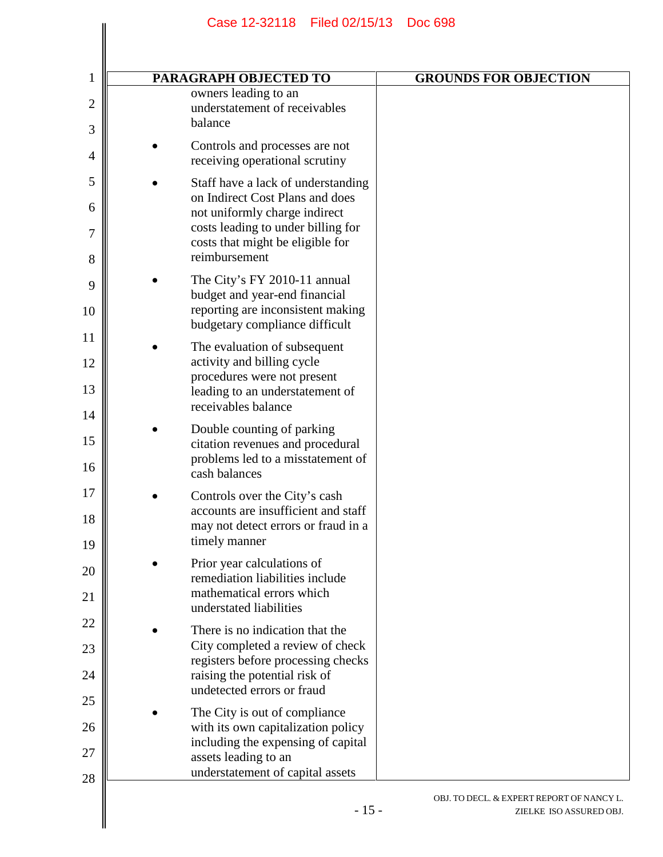| 1            | PARAGRAPH OBJECTED TO                                                 | <b>GROUNDS FOR OBJECTION</b>                                         |
|--------------|-----------------------------------------------------------------------|----------------------------------------------------------------------|
| $\mathbf{2}$ | owners leading to an<br>understatement of receivables<br>balance      |                                                                      |
| 3            |                                                                       |                                                                      |
| 4            | Controls and processes are not<br>receiving operational scrutiny      |                                                                      |
| 5            | Staff have a lack of understanding<br>on Indirect Cost Plans and does |                                                                      |
| 6<br>7       | not uniformly charge indirect<br>costs leading to under billing for   |                                                                      |
| 8            | costs that might be eligible for<br>reimbursement                     |                                                                      |
| 9            | The City's FY 2010-11 annual<br>budget and year-end financial         |                                                                      |
| 10           | reporting are inconsistent making<br>budgetary compliance difficult   |                                                                      |
| 11<br>12     | The evaluation of subsequent<br>activity and billing cycle            |                                                                      |
| 13           | procedures were not present<br>leading to an understatement of        |                                                                      |
| 14           | receivables balance                                                   |                                                                      |
| 15           | Double counting of parking<br>citation revenues and procedural        |                                                                      |
| 16           | problems led to a misstatement of<br>cash balances                    |                                                                      |
| 17<br>18     | Controls over the City's cash<br>accounts are insufficient and staff  |                                                                      |
| 19           | may not detect errors or fraud in a<br>timely manner                  |                                                                      |
| 20           | Prior year calculations of<br>remediation liabilities include         |                                                                      |
| 21           | mathematical errors which<br>understated liabilities                  |                                                                      |
| 22<br>23     | There is no indication that the<br>City completed a review of check   |                                                                      |
| 24           | registers before processing checks<br>raising the potential risk of   |                                                                      |
| 25           | undetected errors or fraud                                            |                                                                      |
| 26           | The City is out of compliance<br>with its own capitalization policy   |                                                                      |
| 27           | including the expensing of capital<br>assets leading to an            |                                                                      |
| 28           | understatement of capital assets                                      |                                                                      |
|              | $-15-$                                                                | OBJ. TO DECL. & EXPERT REPORT OF NANCY L.<br>ZIELKE ISO ASSURED OBJ. |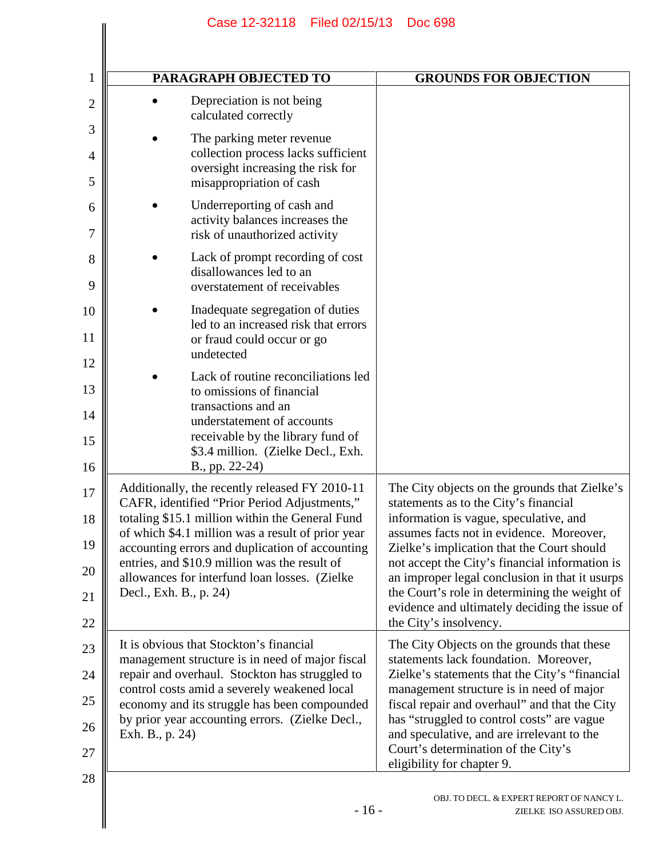|                 | PARAGRAPH OBJECTED TO                                                                                                                                                                                                                                                                                                                                                                                   | <b>GROUNDS FOR OBJECTION</b>                                                                                                                                                                                                                                                                                                                                                                                                                               |
|-----------------|---------------------------------------------------------------------------------------------------------------------------------------------------------------------------------------------------------------------------------------------------------------------------------------------------------------------------------------------------------------------------------------------------------|------------------------------------------------------------------------------------------------------------------------------------------------------------------------------------------------------------------------------------------------------------------------------------------------------------------------------------------------------------------------------------------------------------------------------------------------------------|
|                 | Depreciation is not being<br>calculated correctly                                                                                                                                                                                                                                                                                                                                                       |                                                                                                                                                                                                                                                                                                                                                                                                                                                            |
|                 | The parking meter revenue<br>collection process lacks sufficient<br>oversight increasing the risk for<br>misappropriation of cash                                                                                                                                                                                                                                                                       |                                                                                                                                                                                                                                                                                                                                                                                                                                                            |
|                 | Underreporting of cash and<br>activity balances increases the<br>risk of unauthorized activity                                                                                                                                                                                                                                                                                                          |                                                                                                                                                                                                                                                                                                                                                                                                                                                            |
|                 | Lack of prompt recording of cost<br>disallowances led to an<br>overstatement of receivables                                                                                                                                                                                                                                                                                                             |                                                                                                                                                                                                                                                                                                                                                                                                                                                            |
|                 | Inadequate segregation of duties<br>led to an increased risk that errors<br>or fraud could occur or go<br>undetected                                                                                                                                                                                                                                                                                    |                                                                                                                                                                                                                                                                                                                                                                                                                                                            |
|                 | Lack of routine reconciliations led<br>to omissions of financial<br>transactions and an<br>understatement of accounts<br>receivable by the library fund of<br>\$3.4 million. (Zielke Decl., Exh.                                                                                                                                                                                                        |                                                                                                                                                                                                                                                                                                                                                                                                                                                            |
|                 | B., pp. 22-24)<br>Additionally, the recently released FY 2010-11<br>CAFR, identified "Prior Period Adjustments,"<br>totaling \$15.1 million within the General Fund<br>of which \$4.1 million was a result of prior year<br>accounting errors and duplication of accounting<br>entries, and \$10.9 million was the result of<br>allowances for interfund loan losses. (Zielke<br>Decl., Exh. B., p. 24) | The City objects on the grounds that Zielke's<br>statements as to the City's financial<br>information is vague, speculative, and<br>assumes facts not in evidence. Moreover,<br>Zielke's implication that the Court should<br>not accept the City's financial information is<br>an improper legal conclusion in that it usurps<br>the Court's role in determining the weight of<br>evidence and ultimately deciding the issue of<br>the City's insolvency. |
| Exh. B., p. 24) | It is obvious that Stockton's financial<br>management structure is in need of major fiscal<br>repair and overhaul. Stockton has struggled to<br>control costs amid a severely weakened local<br>economy and its struggle has been compounded<br>by prior year accounting errors. (Zielke Decl.,                                                                                                         | The City Objects on the grounds that these<br>statements lack foundation. Moreover,<br>Zielke's statements that the City's "financial"<br>management structure is in need of major<br>fiscal repair and overhaul" and that the City<br>has "struggled to control costs" are vague<br>and speculative, and are irrelevant to the<br>Court's determination of the City's<br>eligibility for chapter 9.                                                       |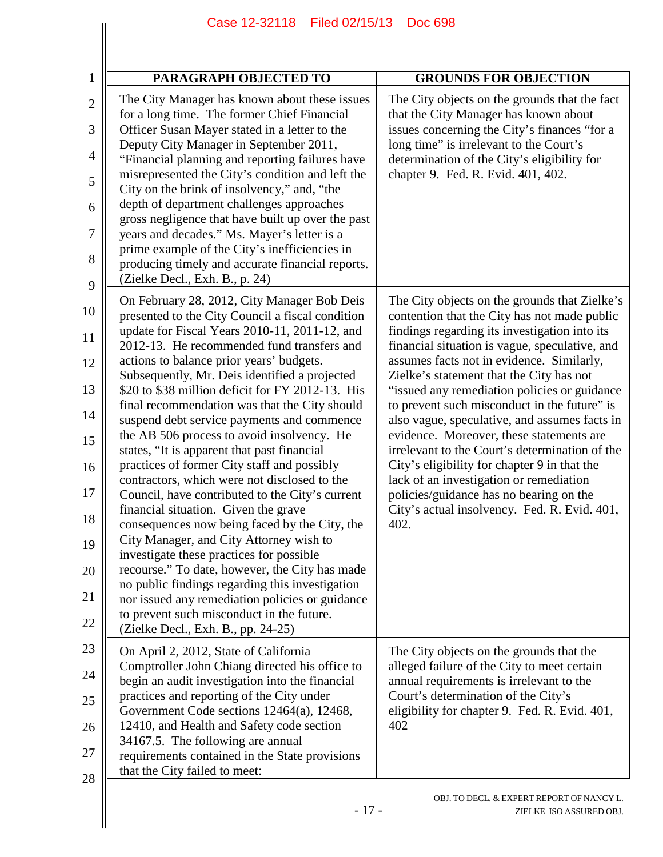| $\mathbf{1}$        | <b>PARAGRAPH OBJECTED TO</b>                                                                                                                                                            | <b>GROUNDS FOR OBJECTION</b>                                                                                                                                                      |
|---------------------|-----------------------------------------------------------------------------------------------------------------------------------------------------------------------------------------|-----------------------------------------------------------------------------------------------------------------------------------------------------------------------------------|
| $\overline{2}$<br>3 | The City Manager has known about these issues<br>for a long time. The former Chief Financial<br>Officer Susan Mayer stated in a letter to the<br>Deputy City Manager in September 2011, | The City objects on the grounds that the fact<br>that the City Manager has known about<br>issues concerning the City's finances "for a<br>long time" is irrelevant to the Court's |
| 4                   | "Financial planning and reporting failures have                                                                                                                                         | determination of the City's eligibility for                                                                                                                                       |
| 5                   | misrepresented the City's condition and left the<br>City on the brink of insolvency," and, "the                                                                                         | chapter 9. Fed. R. Evid. 401, 402.                                                                                                                                                |
| 6                   | depth of department challenges approaches<br>gross negligence that have built up over the past                                                                                          |                                                                                                                                                                                   |
| 7                   | years and decades." Ms. Mayer's letter is a<br>prime example of the City's inefficiencies in                                                                                            |                                                                                                                                                                                   |
| 8<br>9              | producing timely and accurate financial reports.<br>(Zielke Decl., Exh. B., p. 24)                                                                                                      |                                                                                                                                                                                   |
|                     | On February 28, 2012, City Manager Bob Deis                                                                                                                                             | The City objects on the grounds that Zielke's                                                                                                                                     |
| 10                  | presented to the City Council a fiscal condition<br>update for Fiscal Years 2010-11, 2011-12, and                                                                                       | contention that the City has not made public<br>findings regarding its investigation into its                                                                                     |
| 11                  | 2012-13. He recommended fund transfers and<br>actions to balance prior years' budgets.                                                                                                  | financial situation is vague, speculative, and<br>assumes facts not in evidence. Similarly,                                                                                       |
| 12                  | Subsequently, Mr. Deis identified a projected                                                                                                                                           | Zielke's statement that the City has not                                                                                                                                          |
| 13                  | \$20 to \$38 million deficit for FY 2012-13. His<br>final recommendation was that the City should                                                                                       | "issued any remediation policies or guidance<br>to prevent such misconduct in the future" is                                                                                      |
| 14                  | suspend debt service payments and commence<br>the AB 506 process to avoid insolvency. He                                                                                                | also vague, speculative, and assumes facts in<br>evidence. Moreover, these statements are                                                                                         |
| 15                  | states, "It is apparent that past financial                                                                                                                                             | irrelevant to the Court's determination of the                                                                                                                                    |
| 16                  | practices of former City staff and possibly<br>contractors, which were not disclosed to the                                                                                             | City's eligibility for chapter 9 in that the<br>lack of an investigation or remediation                                                                                           |
| 17                  | Council, have contributed to the City's current<br>financial situation. Given the grave                                                                                                 | policies/guidance has no bearing on the<br>City's actual insolvency. Fed. R. Evid. 401,                                                                                           |
| 18                  | consequences now being faced by the City, the<br>City Manager, and City Attorney wish to                                                                                                | 402.                                                                                                                                                                              |
| 19                  | investigate these practices for possible                                                                                                                                                |                                                                                                                                                                                   |
| 20                  | recourse." To date, however, the City has made<br>no public findings regarding this investigation                                                                                       |                                                                                                                                                                                   |
| 21                  | nor issued any remediation policies or guidance<br>to prevent such misconduct in the future.                                                                                            |                                                                                                                                                                                   |
| 22                  | (Zielke Decl., Exh. B., pp. 24-25)                                                                                                                                                      |                                                                                                                                                                                   |
| 23                  | On April 2, 2012, State of California<br>Comptroller John Chiang directed his office to                                                                                                 | The City objects on the grounds that the<br>alleged failure of the City to meet certain                                                                                           |
| 24                  | begin an audit investigation into the financial                                                                                                                                         | annual requirements is irrelevant to the                                                                                                                                          |
| 25                  | practices and reporting of the City under<br>Government Code sections 12464(a), 12468,                                                                                                  | Court's determination of the City's<br>eligibility for chapter 9. Fed. R. Evid. 401,                                                                                              |
| 26                  | 12410, and Health and Safety code section<br>34167.5. The following are annual                                                                                                          | 402                                                                                                                                                                               |
| 27                  | requirements contained in the State provisions<br>that the City failed to meet:                                                                                                         |                                                                                                                                                                                   |
| 28                  |                                                                                                                                                                                         |                                                                                                                                                                                   |
|                     | $-17-$                                                                                                                                                                                  | OBJ. TO DECL. & EXPERT REPORT OF NANCY L.<br>ZIELKE ISO ASSURED OBJ.                                                                                                              |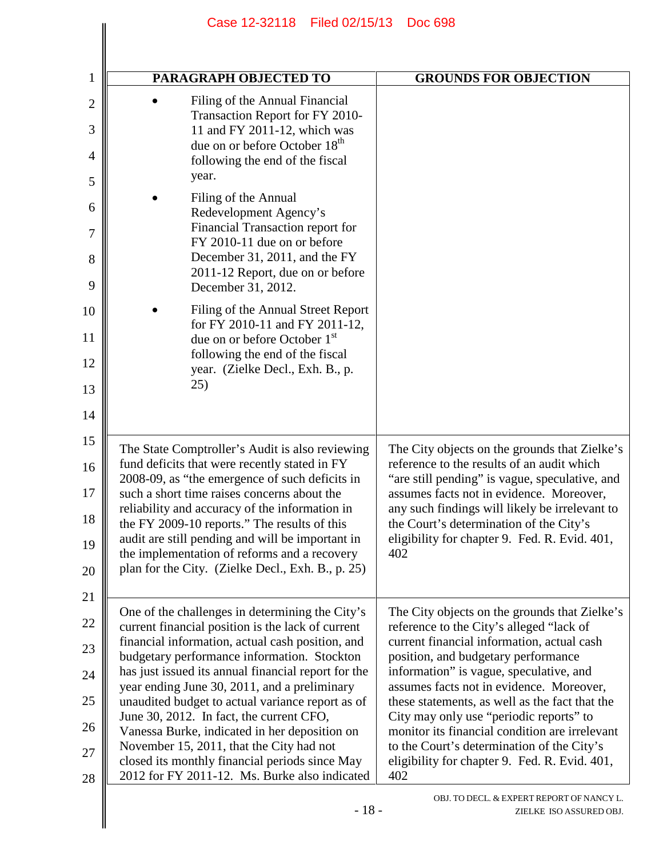| <b>PARAGRAPH OBJECTED TO</b>                                                                                                                                                                                                                                                                                                                                                                                                                                                                                                                                                                                   | <b>GROUNDS FOR OBJECTION</b>                                                                                                                                                                                                                                                                                                                                                                                                                                                                                               |
|----------------------------------------------------------------------------------------------------------------------------------------------------------------------------------------------------------------------------------------------------------------------------------------------------------------------------------------------------------------------------------------------------------------------------------------------------------------------------------------------------------------------------------------------------------------------------------------------------------------|----------------------------------------------------------------------------------------------------------------------------------------------------------------------------------------------------------------------------------------------------------------------------------------------------------------------------------------------------------------------------------------------------------------------------------------------------------------------------------------------------------------------------|
| Filing of the Annual Financial<br>Transaction Report for FY 2010-<br>11 and FY 2011-12, which was<br>due on or before October 18 <sup>th</sup><br>following the end of the fiscal<br>year.                                                                                                                                                                                                                                                                                                                                                                                                                     |                                                                                                                                                                                                                                                                                                                                                                                                                                                                                                                            |
| Filing of the Annual<br>Redevelopment Agency's<br>Financial Transaction report for<br>FY 2010-11 due on or before<br>December 31, 2011, and the FY<br>2011-12 Report, due on or before<br>December 31, 2012.                                                                                                                                                                                                                                                                                                                                                                                                   |                                                                                                                                                                                                                                                                                                                                                                                                                                                                                                                            |
| Filing of the Annual Street Report<br>for FY 2010-11 and FY 2011-12,<br>due on or before October 1 <sup>st</sup><br>following the end of the fiscal<br>year. (Zielke Decl., Exh. B., p.<br>25)                                                                                                                                                                                                                                                                                                                                                                                                                 |                                                                                                                                                                                                                                                                                                                                                                                                                                                                                                                            |
| The State Comptroller's Audit is also reviewing<br>fund deficits that were recently stated in FY<br>2008-09, as "the emergence of such deficits in<br>such a short time raises concerns about the<br>reliability and accuracy of the information in<br>the FY 2009-10 reports." The results of this<br>audit are still pending and will be important in<br>the implementation of reforms and a recovery<br>plan for the City. (Zielke Decl., Exh. B., p. 25)                                                                                                                                                   | The City objects on the grounds that Zielke's<br>reference to the results of an audit which<br>"are still pending" is vague, speculative, and<br>assumes facts not in evidence. Moreover,<br>any such findings will likely be irrelevant to<br>the Court's determination of the City's<br>eligibility for chapter 9. Fed. R. Evid. 401,<br>402                                                                                                                                                                             |
| One of the challenges in determining the City's<br>current financial position is the lack of current<br>financial information, actual cash position, and<br>budgetary performance information. Stockton<br>has just issued its annual financial report for the<br>year ending June 30, 2011, and a preliminary<br>unaudited budget to actual variance report as of<br>June 30, 2012. In fact, the current CFO,<br>Vanessa Burke, indicated in her deposition on<br>November 15, 2011, that the City had not<br>closed its monthly financial periods since May<br>2012 for FY 2011-12. Ms. Burke also indicated | The City objects on the grounds that Zielke's<br>reference to the City's alleged "lack of<br>current financial information, actual cash<br>position, and budgetary performance<br>information" is vague, speculative, and<br>assumes facts not in evidence. Moreover,<br>these statements, as well as the fact that the<br>City may only use "periodic reports" to<br>monitor its financial condition are irrelevant<br>to the Court's determination of the City's<br>eligibility for chapter 9. Fed. R. Evid. 401,<br>402 |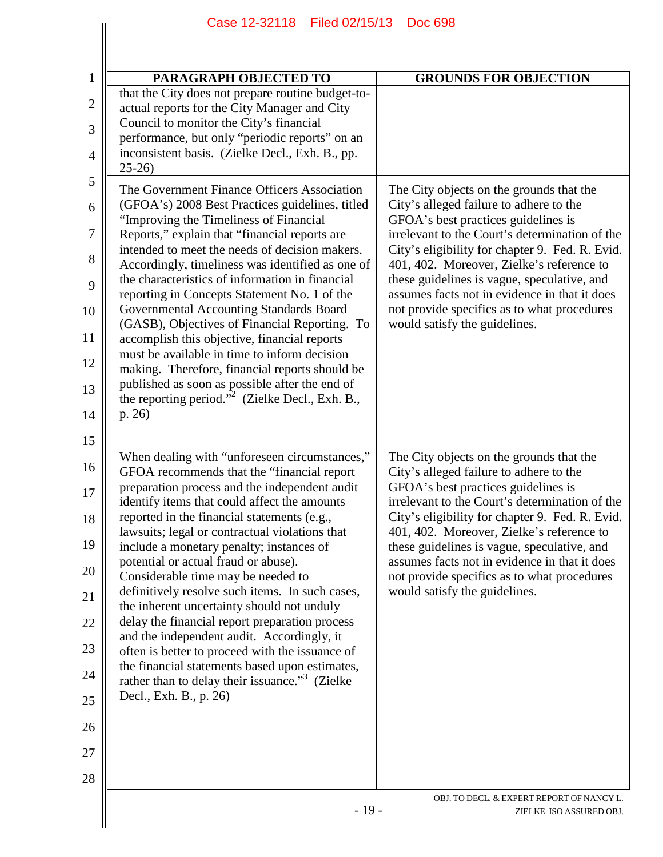| PARAGRAPH OBJECTED TO                                                                                                                                                                                                                                                                                                                                                                                                                                                                                                                                                                                                                                                                                                                                                                                                 | <b>GROUNDS FOR OBJECTION</b>                                                                                                                                                                                                                                                                                                                                                                                                                                 |
|-----------------------------------------------------------------------------------------------------------------------------------------------------------------------------------------------------------------------------------------------------------------------------------------------------------------------------------------------------------------------------------------------------------------------------------------------------------------------------------------------------------------------------------------------------------------------------------------------------------------------------------------------------------------------------------------------------------------------------------------------------------------------------------------------------------------------|--------------------------------------------------------------------------------------------------------------------------------------------------------------------------------------------------------------------------------------------------------------------------------------------------------------------------------------------------------------------------------------------------------------------------------------------------------------|
| that the City does not prepare routine budget-to-<br>actual reports for the City Manager and City<br>Council to monitor the City's financial<br>performance, but only "periodic reports" on an<br>inconsistent basis. (Zielke Decl., Exh. B., pp.<br>$25-26$                                                                                                                                                                                                                                                                                                                                                                                                                                                                                                                                                          |                                                                                                                                                                                                                                                                                                                                                                                                                                                              |
| The Government Finance Officers Association<br>(GFOA's) 2008 Best Practices guidelines, titled<br>"Improving the Timeliness of Financial<br>Reports," explain that "financial reports are<br>intended to meet the needs of decision makers.<br>Accordingly, timeliness was identified as one of<br>the characteristics of information in financial<br>reporting in Concepts Statement No. 1 of the<br>Governmental Accounting Standards Board<br>(GASB), Objectives of Financial Reporting. To<br>accomplish this objective, financial reports<br>must be available in time to inform decision<br>making. Therefore, financial reports should be<br>published as soon as possible after the end of<br>the reporting period." <sup>2</sup> (Zielke Decl., Exh. B.,<br>p. 26)                                           | The City objects on the grounds that the<br>City's alleged failure to adhere to the<br>GFOA's best practices guidelines is<br>irrelevant to the Court's determination of the<br>City's eligibility for chapter 9. Fed. R. Evid.<br>401, 402. Moreover, Zielke's reference to<br>these guidelines is vague, speculative, and<br>assumes facts not in evidence in that it does<br>not provide specifics as to what procedures<br>would satisfy the guidelines. |
| When dealing with "unforeseen circumstances,"<br>GFOA recommends that the "financial report<br>preparation process and the independent audit<br>identify items that could affect the amounts<br>reported in the financial statements (e.g.,<br>lawsuits; legal or contractual violations that<br>include a monetary penalty; instances of<br>potential or actual fraud or abuse).<br>Considerable time may be needed to<br>definitively resolve such items. In such cases,<br>the inherent uncertainty should not unduly<br>delay the financial report preparation process<br>and the independent audit. Accordingly, it<br>often is better to proceed with the issuance of<br>the financial statements based upon estimates,<br>rather than to delay their issuance." <sup>3</sup> (Zielke<br>Decl., Exh. B., p. 26) | The City objects on the grounds that the<br>City's alleged failure to adhere to the<br>GFOA's best practices guidelines is<br>irrelevant to the Court's determination of the<br>City's eligibility for chapter 9. Fed. R. Evid.<br>401, 402. Moreover, Zielke's reference to<br>these guidelines is vague, speculative, and<br>assumes facts not in evidence in that it does<br>not provide specifics as to what procedures<br>would satisfy the guidelines. |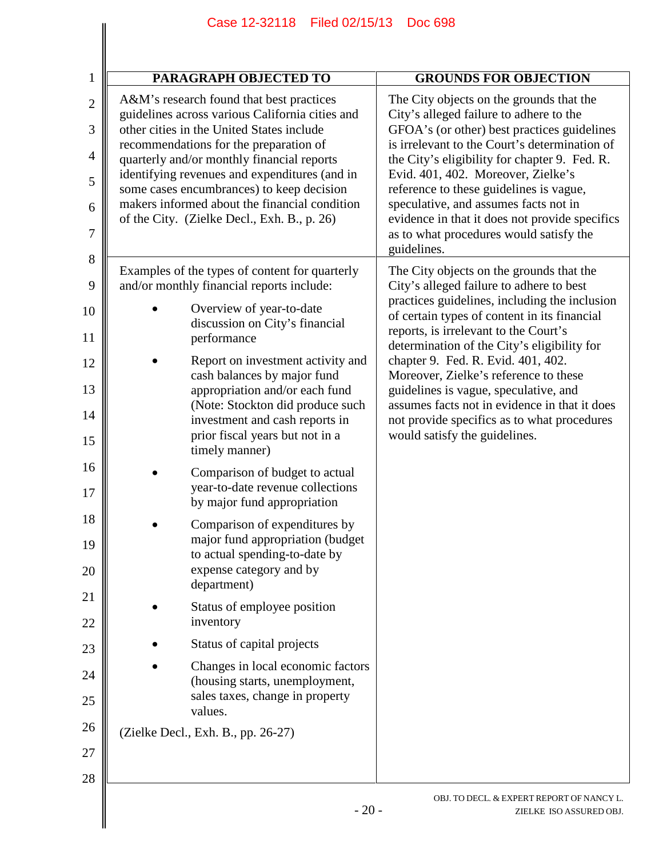| $\mathbf{1}$        | <b>PARAGRAPH OBJECTED TO</b>                                                                                                             | <b>GROUNDS FOR OBJECTION</b>                                                                                                                                                          |
|---------------------|------------------------------------------------------------------------------------------------------------------------------------------|---------------------------------------------------------------------------------------------------------------------------------------------------------------------------------------|
| $\overline{2}$<br>3 | A&M's research found that best practices<br>guidelines across various California cities and<br>other cities in the United States include | The City objects on the grounds that the<br>City's alleged failure to adhere to the<br>GFOA's (or other) best practices guidelines                                                    |
| $\overline{4}$      | recommendations for the preparation of<br>quarterly and/or monthly financial reports                                                     | is irrelevant to the Court's determination of<br>the City's eligibility for chapter 9. Fed. R.                                                                                        |
| 5                   | identifying revenues and expenditures (and in<br>some cases encumbrances) to keep decision                                               | Evid. 401, 402. Moreover, Zielke's<br>reference to these guidelines is vague,                                                                                                         |
| 6<br>7              | makers informed about the financial condition<br>of the City. (Zielke Decl., Exh. B., p. 26)                                             | speculative, and assumes facts not in<br>evidence in that it does not provide specifics<br>as to what procedures would satisfy the                                                    |
| 8                   |                                                                                                                                          | guidelines.                                                                                                                                                                           |
| 9                   | Examples of the types of content for quarterly<br>and/or monthly financial reports include:                                              | The City objects on the grounds that the<br>City's alleged failure to adhere to best                                                                                                  |
| 10<br>11            | Overview of year-to-date<br>discussion on City's financial<br>performance                                                                | practices guidelines, including the inclusion<br>of certain types of content in its financial<br>reports, is irrelevant to the Court's<br>determination of the City's eligibility for |
| 12<br>13            | Report on investment activity and<br>cash balances by major fund<br>appropriation and/or each fund                                       | chapter 9. Fed. R. Evid. 401, 402.<br>Moreover, Zielke's reference to these<br>guidelines is vague, speculative, and                                                                  |
| 14                  | (Note: Stockton did produce such<br>investment and cash reports in                                                                       | assumes facts not in evidence in that it does<br>not provide specifics as to what procedures                                                                                          |
| 15                  | prior fiscal years but not in a<br>timely manner)                                                                                        | would satisfy the guidelines.                                                                                                                                                         |
| 16<br>17            | Comparison of budget to actual<br>year-to-date revenue collections<br>by major fund appropriation                                        |                                                                                                                                                                                       |
| 18<br>19            | Comparison of expenditures by<br>major fund appropriation (budget<br>to actual spending-to-date by                                       |                                                                                                                                                                                       |
| 20                  | expense category and by<br>department)                                                                                                   |                                                                                                                                                                                       |
| 21<br>22            | Status of employee position<br>inventory                                                                                                 |                                                                                                                                                                                       |
| 23                  | Status of capital projects                                                                                                               |                                                                                                                                                                                       |
| 24                  | Changes in local economic factors<br>(housing starts, unemployment,                                                                      |                                                                                                                                                                                       |
| 25                  | sales taxes, change in property<br>values.                                                                                               |                                                                                                                                                                                       |
| 26                  | (Zielke Decl., Exh. B., pp. 26-27)                                                                                                       |                                                                                                                                                                                       |
| 27                  |                                                                                                                                          |                                                                                                                                                                                       |
| 28                  | $-20-$                                                                                                                                   | OBJ. TO DECL. & EXPERT REPORT OF NANCY L.<br>ZIELKE ISO ASSURED OBJ.                                                                                                                  |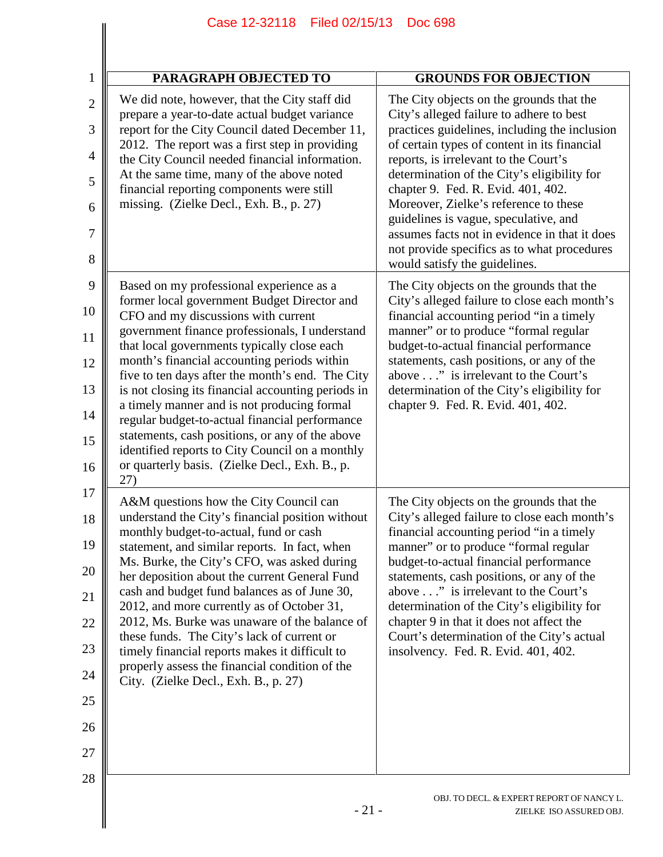| $\mathbf{1}$                     | PARAGRAPH OBJECTED TO                                                                                                                            | <b>GROUNDS FOR OBJECTION</b>                                                                                                          |
|----------------------------------|--------------------------------------------------------------------------------------------------------------------------------------------------|---------------------------------------------------------------------------------------------------------------------------------------|
| $\overline{2}$<br>$\mathfrak{Z}$ | We did note, however, that the City staff did<br>prepare a year-to-date actual budget variance<br>report for the City Council dated December 11, | The City objects on the grounds that the<br>City's alleged failure to adhere to best<br>practices guidelines, including the inclusion |
| $\overline{4}$                   | 2012. The report was a first step in providing<br>the City Council needed financial information.                                                 | of certain types of content in its financial<br>reports, is irrelevant to the Court's                                                 |
| 5                                | At the same time, many of the above noted<br>financial reporting components were still                                                           | determination of the City's eligibility for<br>chapter 9. Fed. R. Evid. 401, 402.                                                     |
| 6                                | missing. (Zielke Decl., Exh. B., p. 27)                                                                                                          | Moreover, Zielke's reference to these<br>guidelines is vague, speculative, and                                                        |
| 7<br>8                           |                                                                                                                                                  | assumes facts not in evidence in that it does<br>not provide specifics as to what procedures                                          |
| 9                                | Based on my professional experience as a                                                                                                         | would satisfy the guidelines.<br>The City objects on the grounds that the                                                             |
| 10                               | former local government Budget Director and<br>CFO and my discussions with current                                                               | City's alleged failure to close each month's<br>financial accounting period "in a timely"                                             |
| 11                               | government finance professionals, I understand<br>that local governments typically close each                                                    | manner" or to produce "formal regular<br>budget-to-actual financial performance                                                       |
| 12                               | month's financial accounting periods within                                                                                                      | statements, cash positions, or any of the                                                                                             |
| 13                               | five to ten days after the month's end. The City<br>is not closing its financial accounting periods in                                           | above" is irrelevant to the Court's<br>determination of the City's eligibility for                                                    |
| 14                               | a timely manner and is not producing formal<br>regular budget-to-actual financial performance                                                    | chapter 9. Fed. R. Evid. 401, 402.                                                                                                    |
| 15                               | statements, cash positions, or any of the above<br>identified reports to City Council on a monthly                                               |                                                                                                                                       |
| 16                               | or quarterly basis. (Zielke Decl., Exh. B., p.<br>27)                                                                                            |                                                                                                                                       |
| 17                               | A&M questions how the City Council can                                                                                                           | The City objects on the grounds that the                                                                                              |
| 18                               | understand the City's financial position without<br>monthly budget-to-actual, fund or cash                                                       | City's alleged failure to close each month's<br>financial accounting period "in a timely                                              |
| 19                               | statement, and similar reports. In fact, when<br>Ms. Burke, the City's CFO, was asked during                                                     | manner" or to produce "formal regular<br>budget-to-actual financial performance                                                       |
| 20                               | her deposition about the current General Fund<br>cash and budget fund balances as of June 30,                                                    | statements, cash positions, or any of the<br>above" is irrelevant to the Court's                                                      |
| 21                               | 2012, and more currently as of October 31,<br>2012, Ms. Burke was unaware of the balance of                                                      | determination of the City's eligibility for<br>chapter 9 in that it does not affect the                                               |
| 22<br>23                         | these funds. The City's lack of current or                                                                                                       | Court's determination of the City's actual                                                                                            |
| 24                               | timely financial reports makes it difficult to<br>properly assess the financial condition of the                                                 | insolvency. Fed. R. Evid. 401, 402.                                                                                                   |
| 25                               | City. (Zielke Decl., Exh. B., p. 27)                                                                                                             |                                                                                                                                       |
| 26                               |                                                                                                                                                  |                                                                                                                                       |
| 27                               |                                                                                                                                                  |                                                                                                                                       |
| 28                               |                                                                                                                                                  |                                                                                                                                       |
|                                  | $-21-$                                                                                                                                           | OBJ. TO DECL. & EXPERT REPORT OF NANCY L.<br>ZIELKE ISO ASSURED OBJ.                                                                  |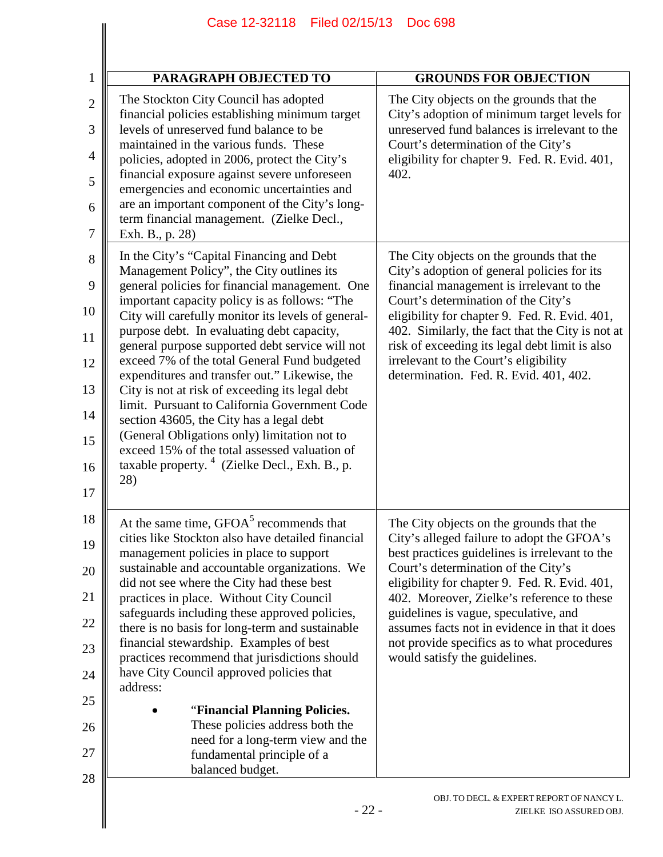| <b>PARAGRAPH OBJECTED TO</b>                                                                                                                                                                                                                                                                                                                                                                                                                                                                                                                                                                                                                                                                                                                                           | <b>GROUNDS FOR OBJECTION</b>                                                                                                                                                                                                                                                                                                                                                                                                                             |
|------------------------------------------------------------------------------------------------------------------------------------------------------------------------------------------------------------------------------------------------------------------------------------------------------------------------------------------------------------------------------------------------------------------------------------------------------------------------------------------------------------------------------------------------------------------------------------------------------------------------------------------------------------------------------------------------------------------------------------------------------------------------|----------------------------------------------------------------------------------------------------------------------------------------------------------------------------------------------------------------------------------------------------------------------------------------------------------------------------------------------------------------------------------------------------------------------------------------------------------|
| The Stockton City Council has adopted<br>financial policies establishing minimum target<br>levels of unreserved fund balance to be<br>maintained in the various funds. These<br>policies, adopted in 2006, protect the City's<br>financial exposure against severe unforeseen<br>emergencies and economic uncertainties and<br>are an important component of the City's long-<br>term financial management. (Zielke Decl.,<br>Exh. B., p. 28)                                                                                                                                                                                                                                                                                                                          | The City objects on the grounds that the<br>City's adoption of minimum target levels for<br>unreserved fund balances is irrelevant to the<br>Court's determination of the City's<br>eligibility for chapter 9. Fed. R. Evid. 401,<br>402.                                                                                                                                                                                                                |
| In the City's "Capital Financing and Debt<br>Management Policy", the City outlines its<br>general policies for financial management. One<br>important capacity policy is as follows: "The<br>City will carefully monitor its levels of general-<br>purpose debt. In evaluating debt capacity,<br>general purpose supported debt service will not<br>exceed 7% of the total General Fund budgeted<br>expenditures and transfer out." Likewise, the<br>City is not at risk of exceeding its legal debt<br>limit. Pursuant to California Government Code<br>section 43605, the City has a legal debt<br>(General Obligations only) limitation not to<br>exceed 15% of the total assessed valuation of<br>taxable property. <sup>4</sup> (Zielke Decl., Exh. B., p.<br>28) | The City objects on the grounds that the<br>City's adoption of general policies for its<br>financial management is irrelevant to the<br>Court's determination of the City's<br>eligibility for chapter 9. Fed. R. Evid. 401,<br>402. Similarly, the fact that the City is not at<br>risk of exceeding its legal debt limit is also<br>irrelevant to the Court's eligibility<br>determination. Fed. R. Evid. 401, 402.                                    |
| At the same time, GFOA <sup>5</sup> recommends that<br>cities like Stockton also have detailed financial<br>management policies in place to support<br>sustainable and accountable organizations. We<br>did not see where the City had these best<br>practices in place. Without City Council<br>safeguards including these approved policies,<br>there is no basis for long-term and sustainable<br>financial stewardship. Examples of best<br>practices recommend that jurisdictions should<br>have City Council approved policies that<br>address:<br>"Financial Planning Policies.<br>These policies address both the<br>need for a long-term view and the<br>fundamental principle of a<br>balanced budget.                                                       | The City objects on the grounds that the<br>City's alleged failure to adopt the GFOA's<br>best practices guidelines is irrelevant to the<br>Court's determination of the City's<br>eligibility for chapter 9. Fed. R. Evid. 401,<br>402. Moreover, Zielke's reference to these<br>guidelines is vague, speculative, and<br>assumes facts not in evidence in that it does<br>not provide specifics as to what procedures<br>would satisfy the guidelines. |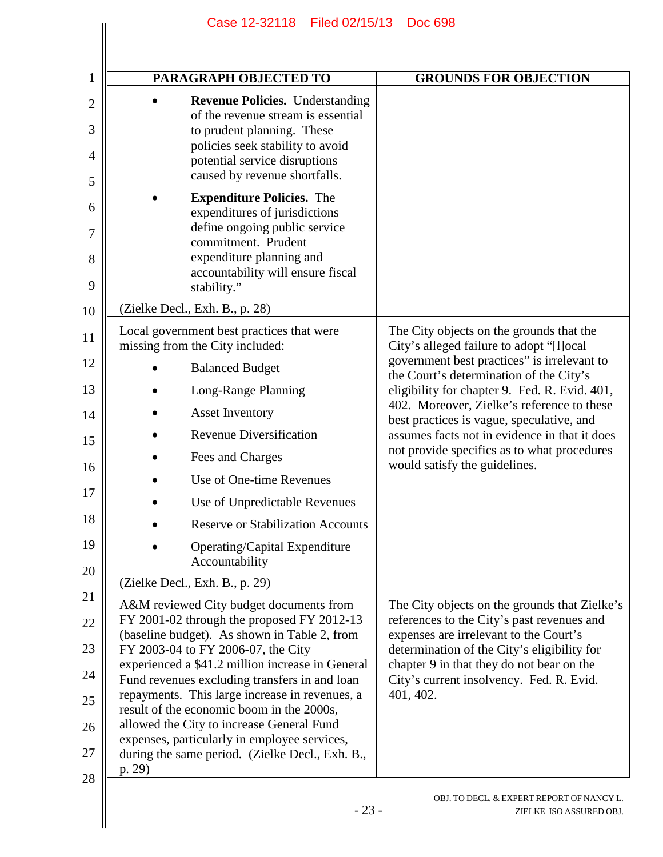| 1                   | PARAGRAPH OBJECTED TO                                                                                                                          | <b>GROUNDS FOR OBJECTION</b>                                                                |
|---------------------|------------------------------------------------------------------------------------------------------------------------------------------------|---------------------------------------------------------------------------------------------|
| $\mathbf{2}$<br>3   | <b>Revenue Policies.</b> Understanding<br>of the revenue stream is essential<br>to prudent planning. These<br>policies seek stability to avoid |                                                                                             |
| $\overline{4}$<br>5 | potential service disruptions<br>caused by revenue shortfalls.                                                                                 |                                                                                             |
| 6<br>7              | <b>Expenditure Policies.</b> The<br>expenditures of jurisdictions<br>define ongoing public service                                             |                                                                                             |
| 8<br>9              | commitment. Prudent<br>expenditure planning and<br>accountability will ensure fiscal<br>stability."                                            |                                                                                             |
| 10                  | (Zielke Decl., Exh. B., p. 28)                                                                                                                 |                                                                                             |
| 11                  | Local government best practices that were<br>missing from the City included:                                                                   | The City objects on the grounds that the<br>City's alleged failure to adopt "[l]ocal        |
| 12                  | <b>Balanced Budget</b>                                                                                                                         | government best practices" is irrelevant to<br>the Court's determination of the City's      |
| 13                  | Long-Range Planning                                                                                                                            | eligibility for chapter 9. Fed. R. Evid. 401,                                               |
| 14                  | <b>Asset Inventory</b>                                                                                                                         | 402. Moreover, Zielke's reference to these<br>best practices is vague, speculative, and     |
| 15                  | <b>Revenue Diversification</b>                                                                                                                 | assumes facts not in evidence in that it does                                               |
| 16                  | Fees and Charges                                                                                                                               | not provide specifics as to what procedures<br>would satisfy the guidelines.                |
| 17                  | Use of One-time Revenues                                                                                                                       |                                                                                             |
| 18                  | Use of Unpredictable Revenues                                                                                                                  |                                                                                             |
|                     | <b>Reserve or Stabilization Accounts</b>                                                                                                       |                                                                                             |
| 19<br>20            | Operating/Capital Expenditure<br>Accountability                                                                                                |                                                                                             |
| 21                  | (Zielke Decl., Exh. B., p. 29)                                                                                                                 |                                                                                             |
| 22                  | A&M reviewed City budget documents from<br>FY 2001-02 through the proposed FY 2012-13                                                          | The City objects on the grounds that Zielke's<br>references to the City's past revenues and |
| 23                  | (baseline budget). As shown in Table 2, from<br>FY 2003-04 to FY 2006-07, the City                                                             | expenses are irrelevant to the Court's<br>determination of the City's eligibility for       |
| 24                  | experienced a \$41.2 million increase in General                                                                                               | chapter 9 in that they do not bear on the                                                   |
| 25                  | Fund revenues excluding transfers in and loan<br>repayments. This large increase in revenues, a                                                | City's current insolvency. Fed. R. Evid.<br>401, 402.                                       |
|                     | result of the economic boom in the 2000s,<br>allowed the City to increase General Fund                                                         |                                                                                             |
| 26                  | expenses, particularly in employee services,                                                                                                   |                                                                                             |
| 27                  | during the same period. (Zielke Decl., Exh. B.,<br>p. 29)                                                                                      |                                                                                             |
| 28                  | $-23-$                                                                                                                                         | OBJ. TO DECL. & EXPERT REPORT OF NANCY L.<br>ZIELKE ISO ASSURED OBJ.                        |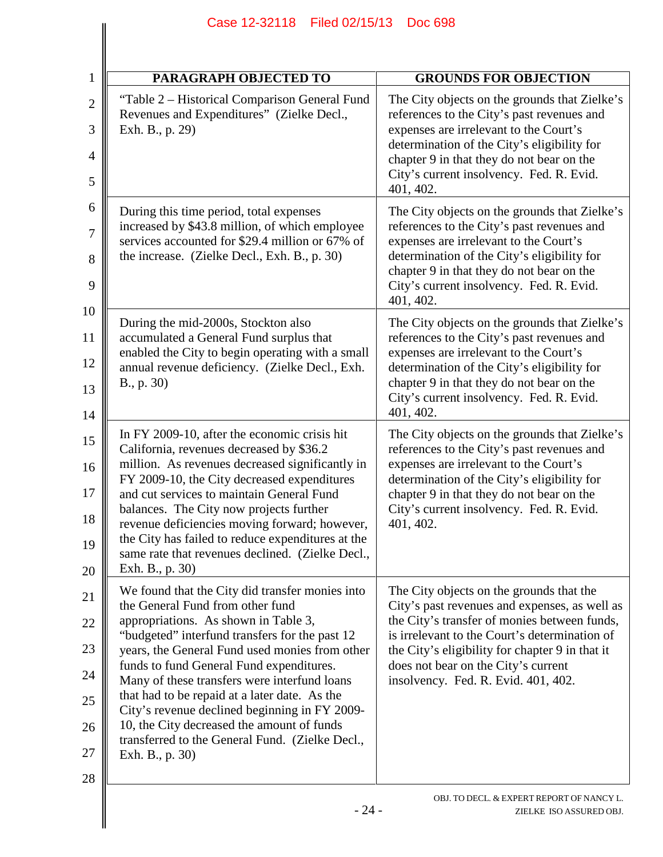| <b>PARAGRAPH OBJECTED TO</b>                                                                                                                                                                                                                                                                                                                                                                                                                                                                                                                      | <b>GROUNDS FOR OBJECTION</b>                                                                                                                                                                                                                                                                                                |
|---------------------------------------------------------------------------------------------------------------------------------------------------------------------------------------------------------------------------------------------------------------------------------------------------------------------------------------------------------------------------------------------------------------------------------------------------------------------------------------------------------------------------------------------------|-----------------------------------------------------------------------------------------------------------------------------------------------------------------------------------------------------------------------------------------------------------------------------------------------------------------------------|
| "Table 2 – Historical Comparison General Fund<br>Revenues and Expenditures" (Zielke Decl.,<br>Exh. B., p. 29)                                                                                                                                                                                                                                                                                                                                                                                                                                     | The City objects on the grounds that Zielke's<br>references to the City's past revenues and<br>expenses are irrelevant to the Court's<br>determination of the City's eligibility for<br>chapter 9 in that they do not bear on the<br>City's current insolvency. Fed. R. Evid.<br>401, 402.                                  |
| During this time period, total expenses<br>increased by \$43.8 million, of which employee<br>services accounted for \$29.4 million or 67% of<br>the increase. (Zielke Decl., Exh. B., p. 30)                                                                                                                                                                                                                                                                                                                                                      | The City objects on the grounds that Zielke's<br>references to the City's past revenues and<br>expenses are irrelevant to the Court's<br>determination of the City's eligibility for<br>chapter 9 in that they do not bear on the<br>City's current insolvency. Fed. R. Evid.<br>401, 402.                                  |
| During the mid-2000s, Stockton also<br>accumulated a General Fund surplus that<br>enabled the City to begin operating with a small<br>annual revenue deficiency. (Zielke Decl., Exh.<br>B., p. 30)                                                                                                                                                                                                                                                                                                                                                | The City objects on the grounds that Zielke's<br>references to the City's past revenues and<br>expenses are irrelevant to the Court's<br>determination of the City's eligibility for<br>chapter 9 in that they do not bear on the<br>City's current insolvency. Fed. R. Evid.<br>401, 402.                                  |
| In FY 2009-10, after the economic crisis hit<br>California, revenues decreased by \$36.2<br>million. As revenues decreased significantly in<br>FY 2009-10, the City decreased expenditures<br>and cut services to maintain General Fund<br>balances. The City now projects further<br>revenue deficiencies moving forward; however,<br>the City has failed to reduce expenditures at the<br>same rate that revenues declined. (Zielke Decl.,<br>Exh. B., p. 30)                                                                                   | The City objects on the grounds that Zielke's<br>references to the City's past revenues and<br>expenses are irrelevant to the Court's<br>determination of the City's eligibility for<br>chapter 9 in that they do not bear on the<br>City's current insolvency. Fed. R. Evid.<br>401, 402.                                  |
| We found that the City did transfer monies into<br>the General Fund from other fund<br>appropriations. As shown in Table 3,<br>"budgeted" interfund transfers for the past 12<br>years, the General Fund used monies from other<br>funds to fund General Fund expenditures.<br>Many of these transfers were interfund loans<br>that had to be repaid at a later date. As the<br>City's revenue declined beginning in FY 2009-<br>10, the City decreased the amount of funds<br>transferred to the General Fund. (Zielke Decl.,<br>Exh. B., p. 30) | The City objects on the grounds that the<br>City's past revenues and expenses, as well as<br>the City's transfer of monies between funds,<br>is irrelevant to the Court's determination of<br>the City's eligibility for chapter 9 in that it<br>does not bear on the City's current<br>insolvency. Fed. R. Evid. 401, 402. |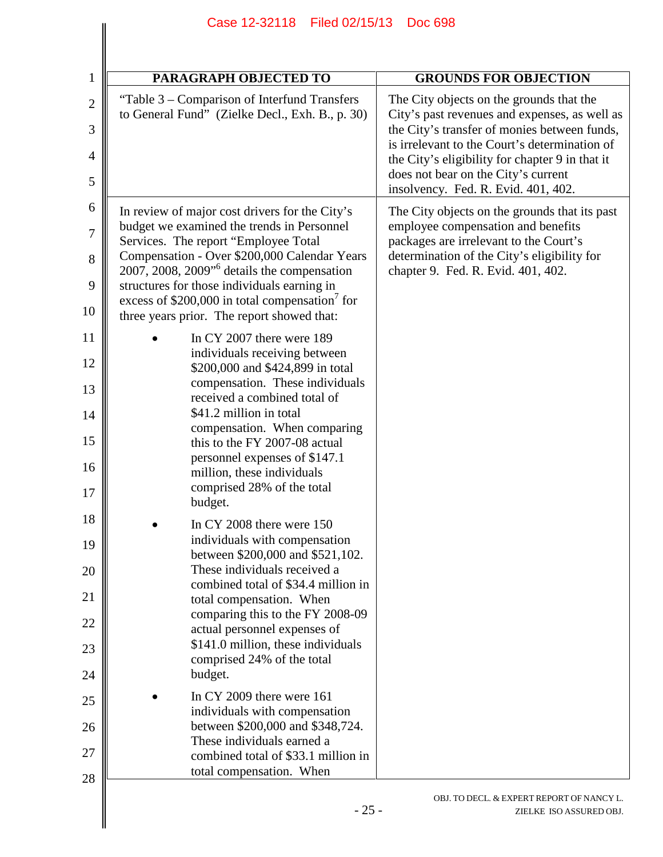| PARAGRAPH OBJECTED TO                                                                                                                          | <b>GROUNDS FOR OBJECTION</b>                                                                                                              |
|------------------------------------------------------------------------------------------------------------------------------------------------|-------------------------------------------------------------------------------------------------------------------------------------------|
| "Table 3 – Comparison of Interfund Transfers"<br>to General Fund" (Zielke Decl., Exh. B., p. 30)                                               | The City objects on the grounds that the<br>City's past revenues and expenses, as well as<br>the City's transfer of monies between funds, |
|                                                                                                                                                | is irrelevant to the Court's determination of<br>the City's eligibility for chapter 9 in that it<br>does not bear on the City's current   |
|                                                                                                                                                | insolvency. Fed. R. Evid. 401, 402.                                                                                                       |
| In review of major cost drivers for the City's<br>budget we examined the trends in Personnel                                                   | The City objects on the grounds that its past<br>employee compensation and benefits                                                       |
| Services. The report "Employee Total<br>Compensation - Over \$200,000 Calendar Years<br>2007, 2008, 2009 <sup>"</sup> details the compensation | packages are irrelevant to the Court's<br>determination of the City's eligibility for<br>chapter 9. Fed. R. Evid. 401, 402.               |
| structures for those individuals earning in<br>excess of \$200,000 in total compensation <sup>7</sup> for                                      |                                                                                                                                           |
| three years prior. The report showed that:                                                                                                     |                                                                                                                                           |
| In CY 2007 there were 189<br>individuals receiving between<br>\$200,000 and \$424,899 in total                                                 |                                                                                                                                           |
| compensation. These individuals<br>received a combined total of                                                                                |                                                                                                                                           |
| \$41.2 million in total<br>compensation. When comparing                                                                                        |                                                                                                                                           |
| this to the FY 2007-08 actual<br>personnel expenses of \$147.1                                                                                 |                                                                                                                                           |
| million, these individuals<br>comprised 28% of the total                                                                                       |                                                                                                                                           |
| budget.                                                                                                                                        |                                                                                                                                           |
| In CY 2008 there were $150$<br>individuals with compensation<br>between \$200,000 and \$521,102.                                               |                                                                                                                                           |
| These individuals received a<br>combined total of \$34.4 million in                                                                            |                                                                                                                                           |
| total compensation. When<br>comparing this to the FY 2008-09                                                                                   |                                                                                                                                           |
| actual personnel expenses of<br>\$141.0 million, these individuals                                                                             |                                                                                                                                           |
| comprised 24% of the total<br>budget.                                                                                                          |                                                                                                                                           |
| In CY 2009 there were $161$                                                                                                                    |                                                                                                                                           |
| individuals with compensation<br>between \$200,000 and \$348,724.                                                                              |                                                                                                                                           |
| These individuals earned a<br>combined total of \$33.1 million in                                                                              |                                                                                                                                           |
| total compensation. When                                                                                                                       |                                                                                                                                           |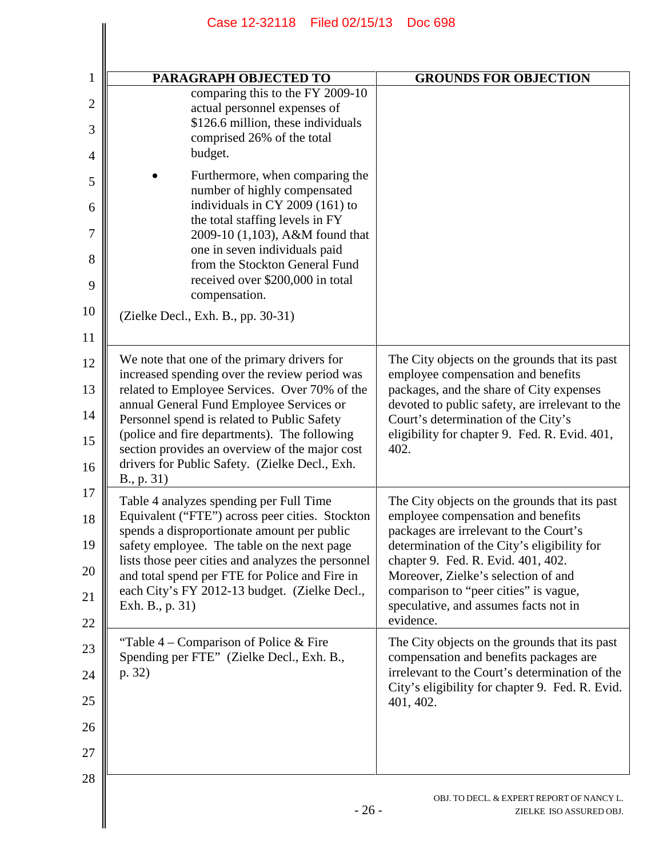| PARAGRAPH OBJECTED TO                                                                                                                                                                                                                                                                                                                                                                                      | <b>GROUNDS FOR OBJECTION</b>                                                                                                                                                                                                                                                                                                                             |
|------------------------------------------------------------------------------------------------------------------------------------------------------------------------------------------------------------------------------------------------------------------------------------------------------------------------------------------------------------------------------------------------------------|----------------------------------------------------------------------------------------------------------------------------------------------------------------------------------------------------------------------------------------------------------------------------------------------------------------------------------------------------------|
| comparing this to the FY 2009-10<br>actual personnel expenses of<br>\$126.6 million, these individuals<br>comprised 26% of the total<br>budget.                                                                                                                                                                                                                                                            |                                                                                                                                                                                                                                                                                                                                                          |
| Furthermore, when comparing the<br>number of highly compensated<br>individuals in CY 2009 (161) to<br>the total staffing levels in FY<br>2009-10 (1,103), A&M found that<br>one in seven individuals paid<br>from the Stockton General Fund<br>received over \$200,000 in total<br>compensation.<br>(Zielke Decl., Exh. B., pp. 30-31)                                                                     |                                                                                                                                                                                                                                                                                                                                                          |
|                                                                                                                                                                                                                                                                                                                                                                                                            |                                                                                                                                                                                                                                                                                                                                                          |
| We note that one of the primary drivers for<br>increased spending over the review period was<br>related to Employee Services. Over 70% of the<br>annual General Fund Employee Services or<br>Personnel spend is related to Public Safety<br>(police and fire departments). The following<br>section provides an overview of the major cost<br>drivers for Public Safety. (Zielke Decl., Exh.<br>B., p. 31) | The City objects on the grounds that its past<br>employee compensation and benefits<br>packages, and the share of City expenses<br>devoted to public safety, are irrelevant to the<br>Court's determination of the City's<br>eligibility for chapter 9. Fed. R. Evid. 401,<br>402.                                                                       |
| Table 4 analyzes spending per Full Time<br>Equivalent ("FTE") across peer cities. Stockton<br>spends a disproportionate amount per public<br>safety employee. The table on the next page<br>lists those peer cities and analyzes the personnel<br>and total spend per FTE for Police and Fire in<br>each City's FY 2012-13 budget. (Zielke Decl.,<br>Exh. B., p. 31)                                       | The City objects on the grounds that its past<br>employee compensation and benefits<br>packages are irrelevant to the Court's<br>determination of the City's eligibility for<br>chapter 9. Fed. R. Evid. 401, 402.<br>Moreover, Zielke's selection of and<br>comparison to "peer cities" is vague,<br>speculative, and assumes facts not in<br>evidence. |
| "Table $4$ – Comparison of Police & Fire<br>Spending per FTE" (Zielke Decl., Exh. B.,<br>p. 32)                                                                                                                                                                                                                                                                                                            | The City objects on the grounds that its past<br>compensation and benefits packages are<br>irrelevant to the Court's determination of the<br>City's eligibility for chapter 9. Fed. R. Evid.<br>401, 402.                                                                                                                                                |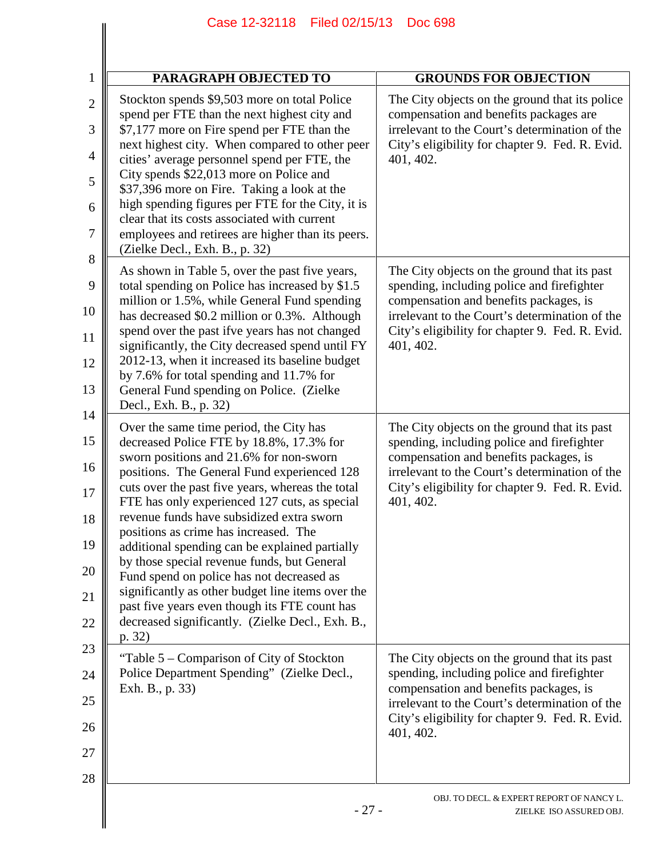## **PARAGRAPH OBJECTED TO GROUNDS FOR OBJECTION** Stockton spends \$9,503 more on total Police spend per FTE than the next highest city and \$7,177 more on Fire spend per FTE than the next highest city. When compared to other peer cities' average personnel spend per FTE, the City spends \$22,013 more on Police and The City objects on the ground that its police compensation and benefits packages are irrelevant to the Court's determination of the City's eligibility for chapter 9. Fed. R. Evid. 401, 402. Case 12-32118 Filed 02/15/13 Doc 698

1

2

3

4

 $\overline{\phantom{a}}$ 

| 5<br>6<br>7 | City spends \$22,013 more on Police and<br>\$37,396 more on Fire. Taking a look at the<br>high spending figures per FTE for the City, it is<br>clear that its costs associated with current<br>employees and retirees are higher than its peers.<br>(Zielke Decl., Exh. B., p. 32) |                                                                                                   |
|-------------|------------------------------------------------------------------------------------------------------------------------------------------------------------------------------------------------------------------------------------------------------------------------------------|---------------------------------------------------------------------------------------------------|
| 8<br>9      | As shown in Table 5, over the past five years,<br>total spending on Police has increased by \$1.5                                                                                                                                                                                  | The City objects on the ground that its past<br>spending, including police and firefighter        |
| 10          | million or 1.5%, while General Fund spending<br>has decreased \$0.2 million or 0.3%. Although                                                                                                                                                                                      | compensation and benefits packages, is<br>irrelevant to the Court's determination of the          |
| 11          | spend over the past ifve years has not changed<br>significantly, the City decreased spend until FY                                                                                                                                                                                 | City's eligibility for chapter 9. Fed. R. Evid.<br>401, 402.                                      |
| 12          | 2012-13, when it increased its baseline budget<br>by 7.6% for total spending and 11.7% for                                                                                                                                                                                         |                                                                                                   |
| 13          | General Fund spending on Police. (Zielke<br>Decl., Exh. B., p. 32)                                                                                                                                                                                                                 |                                                                                                   |
| 14          | Over the same time period, the City has                                                                                                                                                                                                                                            | The City objects on the ground that its past                                                      |
| 15          | decreased Police FTE by 18.8%, 17.3% for<br>sworn positions and 21.6% for non-sworn                                                                                                                                                                                                | spending, including police and firefighter<br>compensation and benefits packages, is              |
| 16          | positions. The General Fund experienced 128<br>cuts over the past five years, whereas the total                                                                                                                                                                                    | irrelevant to the Court's determination of the<br>City's eligibility for chapter 9. Fed. R. Evid. |
| 17<br>18    | FTE has only experienced 127 cuts, as special<br>revenue funds have subsidized extra sworn                                                                                                                                                                                         | 401, 402.                                                                                         |
| 19          | positions as crime has increased. The<br>additional spending can be explained partially                                                                                                                                                                                            |                                                                                                   |
| 20          | by those special revenue funds, but General<br>Fund spend on police has not decreased as                                                                                                                                                                                           |                                                                                                   |
| 21          | significantly as other budget line items over the<br>past five years even though its FTE count has                                                                                                                                                                                 |                                                                                                   |
| 22          | decreased significantly. (Zielke Decl., Exh. B.,<br>p. 32)                                                                                                                                                                                                                         |                                                                                                   |
| 23          | "Table 5 – Comparison of City of Stockton                                                                                                                                                                                                                                          | The City objects on the ground that its past                                                      |
| 24          | Police Department Spending" (Zielke Decl.,<br>Exh. B., p. 33)                                                                                                                                                                                                                      | spending, including police and firefighter<br>compensation and benefits packages, is              |
| 25          |                                                                                                                                                                                                                                                                                    | irrelevant to the Court's determination of the<br>City's eligibility for chapter 9. Fed. R. Evid. |
| 26<br>27    |                                                                                                                                                                                                                                                                                    | 401, 402.                                                                                         |
| 28          |                                                                                                                                                                                                                                                                                    |                                                                                                   |
|             |                                                                                                                                                                                                                                                                                    | OBJ. TO DECL. & EXPERT REPORT OF NANCY L.                                                         |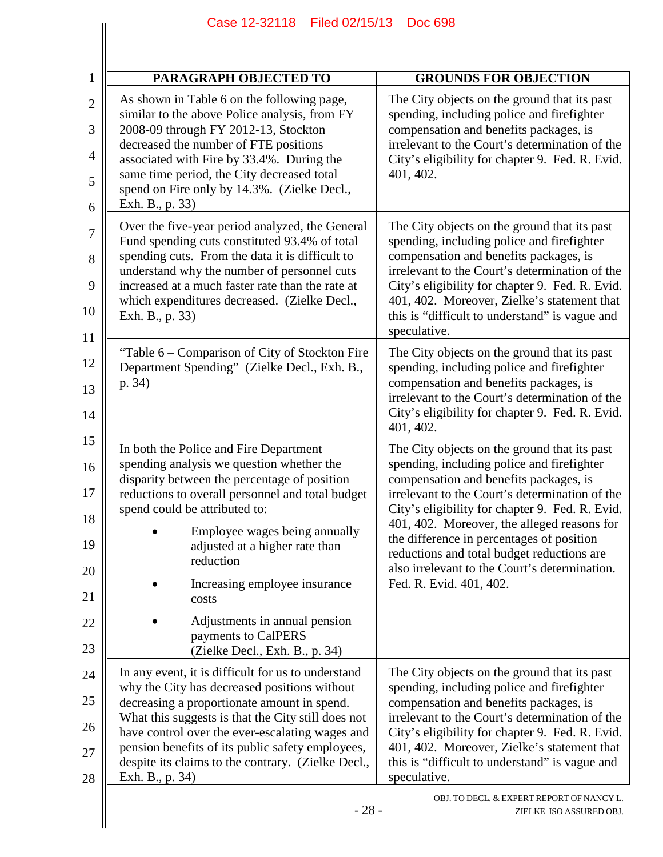|                                                    | Case 12-32118 Filed 02/15/13                                                                                                                                                                                                                                                                                                                                                                                                                 | <b>Doc 698</b>                                                                                                                                                                                                                                                                                                                                                                                                                                                  |
|----------------------------------------------------|----------------------------------------------------------------------------------------------------------------------------------------------------------------------------------------------------------------------------------------------------------------------------------------------------------------------------------------------------------------------------------------------------------------------------------------------|-----------------------------------------------------------------------------------------------------------------------------------------------------------------------------------------------------------------------------------------------------------------------------------------------------------------------------------------------------------------------------------------------------------------------------------------------------------------|
|                                                    |                                                                                                                                                                                                                                                                                                                                                                                                                                              |                                                                                                                                                                                                                                                                                                                                                                                                                                                                 |
| 1                                                  | PARAGRAPH OBJECTED TO                                                                                                                                                                                                                                                                                                                                                                                                                        | <b>GROUNDS FOR OBJECTION</b>                                                                                                                                                                                                                                                                                                                                                                                                                                    |
| $\overline{2}$<br>3<br>$\overline{4}$<br>5<br>6    | As shown in Table 6 on the following page,<br>similar to the above Police analysis, from FY<br>2008-09 through FY 2012-13, Stockton<br>decreased the number of FTE positions<br>associated with Fire by 33.4%. During the<br>same time period, the City decreased total<br>spend on Fire only by 14.3%. (Zielke Decl.,<br>Exh. B., p. 33)                                                                                                    | The City objects on the ground that its past<br>spending, including police and firefighter<br>compensation and benefits packages, is<br>irrelevant to the Court's determination of the<br>City's eligibility for chapter 9. Fed. R. Evid.<br>401, 402.                                                                                                                                                                                                          |
| 7<br>8<br>9<br>10<br>11                            | Over the five-year period analyzed, the General<br>Fund spending cuts constituted 93.4% of total<br>spending cuts. From the data it is difficult to<br>understand why the number of personnel cuts<br>increased at a much faster rate than the rate at<br>which expenditures decreased. (Zielke Decl.,<br>Exh. B., p. 33)                                                                                                                    | The City objects on the ground that its past<br>spending, including police and firefighter<br>compensation and benefits packages, is<br>irrelevant to the Court's determination of the<br>City's eligibility for chapter 9. Fed. R. Evid.<br>401, 402. Moreover, Zielke's statement that<br>this is "difficult to understand" is vague and<br>speculative.                                                                                                      |
| 12<br>13<br>14                                     | "Table 6 – Comparison of City of Stockton Fire<br>Department Spending" (Zielke Decl., Exh. B.,<br>p. 34)                                                                                                                                                                                                                                                                                                                                     | The City objects on the ground that its past<br>spending, including police and firefighter<br>compensation and benefits packages, is<br>irrelevant to the Court's determination of the<br>City's eligibility for chapter 9. Fed. R. Evid.<br>401, 402.                                                                                                                                                                                                          |
| 15<br>16<br>17<br>18<br>19<br>20<br>21<br>22<br>23 | In both the Police and Fire Department<br>spending analysis we question whether the<br>disparity between the percentage of position<br>reductions to overall personnel and total budget<br>spend could be attributed to:<br>Employee wages being annually<br>adjusted at a higher rate than<br>reduction<br>Increasing employee insurance<br>costs<br>Adjustments in annual pension<br>payments to CalPERS<br>(Zielke Decl., Exh. B., p. 34) | The City objects on the ground that its past<br>spending, including police and firefighter<br>compensation and benefits packages, is<br>irrelevant to the Court's determination of the<br>City's eligibility for chapter 9. Fed. R. Evid.<br>401, 402. Moreover, the alleged reasons for<br>the difference in percentages of position<br>reductions and total budget reductions are<br>also irrelevant to the Court's determination.<br>Fed. R. Evid. 401, 402. |
| 24<br>25<br>26<br>27<br>28                         | In any event, it is difficult for us to understand<br>why the City has decreased positions without<br>decreasing a proportionate amount in spend.<br>What this suggests is that the City still does not<br>have control over the ever-escalating wages and<br>pension benefits of its public safety employees,<br>despite its claims to the contrary. (Zielke Decl.,<br>Exh. B., p. 34)                                                      | The City objects on the ground that its past<br>spending, including police and firefighter<br>compensation and benefits packages, is<br>irrelevant to the Court's determination of the<br>City's eligibility for chapter 9. Fed. R. Evid.<br>401, 402. Moreover, Zielke's statement that<br>this is "difficult to understand" is vague and<br>speculative.<br>OBJ. TO DECL. & EXPERT REPORT OF NANCY L.                                                         |
|                                                    | $-28-$                                                                                                                                                                                                                                                                                                                                                                                                                                       | ZIELKE ISO ASSURED OBJ.                                                                                                                                                                                                                                                                                                                                                                                                                                         |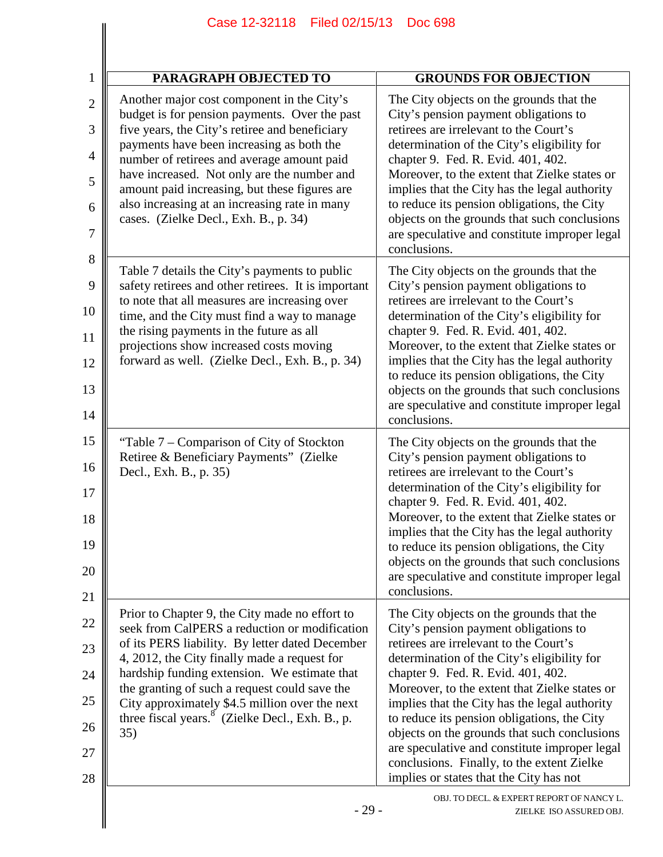| PARAGRAPH OBJECTED TO                                                                                                                                                                                                                                                                                                                                                                                                              | <b>GROUNDS FOR OBJECTION</b>                                                                                                                                                                                                                                                                                                                                                                                                                                                                                                                                |
|------------------------------------------------------------------------------------------------------------------------------------------------------------------------------------------------------------------------------------------------------------------------------------------------------------------------------------------------------------------------------------------------------------------------------------|-------------------------------------------------------------------------------------------------------------------------------------------------------------------------------------------------------------------------------------------------------------------------------------------------------------------------------------------------------------------------------------------------------------------------------------------------------------------------------------------------------------------------------------------------------------|
| Another major cost component in the City's<br>budget is for pension payments. Over the past<br>five years, the City's retiree and beneficiary<br>payments have been increasing as both the<br>number of retirees and average amount paid<br>have increased. Not only are the number and<br>amount paid increasing, but these figures are<br>also increasing at an increasing rate in many<br>cases. (Zielke Decl., Exh. B., p. 34) | The City objects on the grounds that the<br>City's pension payment obligations to<br>retirees are irrelevant to the Court's<br>determination of the City's eligibility for<br>chapter 9. Fed. R. Evid. 401, 402.<br>Moreover, to the extent that Zielke states or<br>implies that the City has the legal authority<br>to reduce its pension obligations, the City<br>objects on the grounds that such conclusions<br>are speculative and constitute improper legal<br>conclusions.                                                                          |
| Table 7 details the City's payments to public<br>safety retirees and other retirees. It is important<br>to note that all measures are increasing over<br>time, and the City must find a way to manage<br>the rising payments in the future as all<br>projections show increased costs moving<br>forward as well. (Zielke Decl., Exh. B., p. 34)                                                                                    | The City objects on the grounds that the<br>City's pension payment obligations to<br>retirees are irrelevant to the Court's<br>determination of the City's eligibility for<br>chapter 9. Fed. R. Evid. 401, 402.<br>Moreover, to the extent that Zielke states or<br>implies that the City has the legal authority<br>to reduce its pension obligations, the City<br>objects on the grounds that such conclusions<br>are speculative and constitute improper legal<br>conclusions.                                                                          |
| "Table 7 – Comparison of City of Stockton<br>Retiree & Beneficiary Payments" (Zielke<br>Decl., Exh. B., p. 35)                                                                                                                                                                                                                                                                                                                     | The City objects on the grounds that the<br>City's pension payment obligations to<br>retirees are irrelevant to the Court's<br>determination of the City's eligibility for<br>chapter 9. Fed. R. Evid. 401, 402.<br>Moreover, to the extent that Zielke states or<br>implies that the City has the legal authority<br>to reduce its pension obligations, the City<br>objects on the grounds that such conclusions<br>are speculative and constitute improper legal<br>conclusions.                                                                          |
| Prior to Chapter 9, the City made no effort to<br>seek from CalPERS a reduction or modification<br>of its PERS liability. By letter dated December<br>4, 2012, the City finally made a request for<br>hardship funding extension. We estimate that<br>the granting of such a request could save the<br>City approximately \$4.5 million over the next<br>three fiscal years. <sup>8</sup> (Zielke Decl., Exh. B., p.<br>35)        | The City objects on the grounds that the<br>City's pension payment obligations to<br>retirees are irrelevant to the Court's<br>determination of the City's eligibility for<br>chapter 9. Fed. R. Evid. 401, 402.<br>Moreover, to the extent that Zielke states or<br>implies that the City has the legal authority<br>to reduce its pension obligations, the City<br>objects on the grounds that such conclusions<br>are speculative and constitute improper legal<br>conclusions. Finally, to the extent Zielke<br>implies or states that the City has not |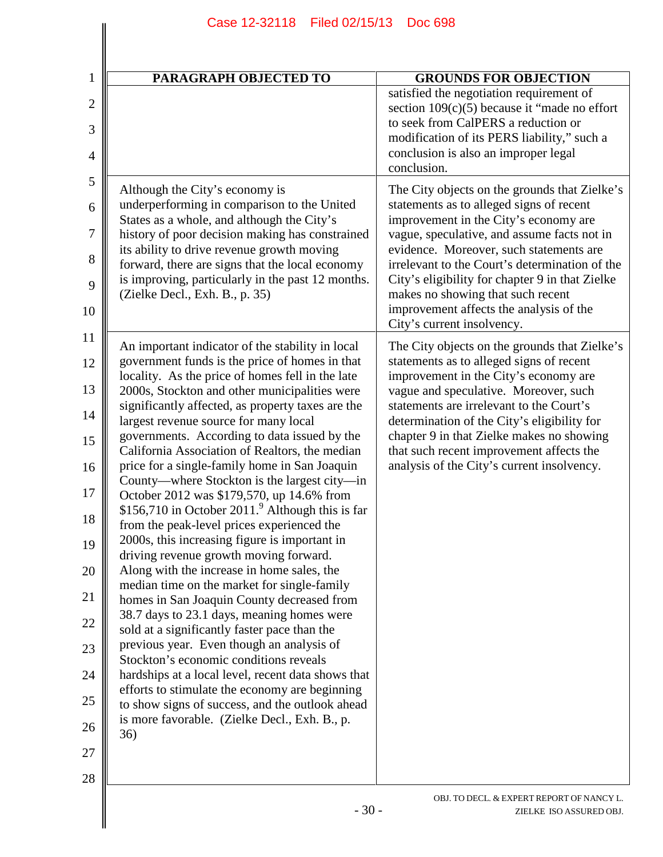| $\mathbf 1$                                                                                                                            | <b>PARAGRAPH OBJECTED TO</b>                                                                                                                                                                                                                                                                                                                                                                                                                                                                                                                                                                                                                                                                                                                                                                                                                                                                                                                                                                                                                                                                                                                                                                                                                                                                                                                                                                                                                                                                                                                                                                                                                                                        | <b>GROUNDS FOR OBJECTION</b>                                                                                                                                                                                                                                                                                                                                                                                                                                                                                                                                                                                                                                                                                                                                                                                                                                     |
|----------------------------------------------------------------------------------------------------------------------------------------|-------------------------------------------------------------------------------------------------------------------------------------------------------------------------------------------------------------------------------------------------------------------------------------------------------------------------------------------------------------------------------------------------------------------------------------------------------------------------------------------------------------------------------------------------------------------------------------------------------------------------------------------------------------------------------------------------------------------------------------------------------------------------------------------------------------------------------------------------------------------------------------------------------------------------------------------------------------------------------------------------------------------------------------------------------------------------------------------------------------------------------------------------------------------------------------------------------------------------------------------------------------------------------------------------------------------------------------------------------------------------------------------------------------------------------------------------------------------------------------------------------------------------------------------------------------------------------------------------------------------------------------------------------------------------------------|------------------------------------------------------------------------------------------------------------------------------------------------------------------------------------------------------------------------------------------------------------------------------------------------------------------------------------------------------------------------------------------------------------------------------------------------------------------------------------------------------------------------------------------------------------------------------------------------------------------------------------------------------------------------------------------------------------------------------------------------------------------------------------------------------------------------------------------------------------------|
| $\overline{2}$<br>3<br>4                                                                                                               |                                                                                                                                                                                                                                                                                                                                                                                                                                                                                                                                                                                                                                                                                                                                                                                                                                                                                                                                                                                                                                                                                                                                                                                                                                                                                                                                                                                                                                                                                                                                                                                                                                                                                     | satisfied the negotiation requirement of<br>section $109(c)(5)$ because it "made no effort<br>to seek from CalPERS a reduction or<br>modification of its PERS liability," such a<br>conclusion is also an improper legal<br>conclusion.                                                                                                                                                                                                                                                                                                                                                                                                                                                                                                                                                                                                                          |
| 5<br>6<br>7<br>8<br>9<br>10<br>11<br>12<br>13<br>14<br>15<br>16<br>17<br>18<br>19<br>║<br>20<br>21<br>22<br>23<br>24<br>25<br>26<br>27 | Although the City's economy is<br>underperforming in comparison to the United<br>States as a whole, and although the City's<br>history of poor decision making has constrained<br>its ability to drive revenue growth moving<br>forward, there are signs that the local economy<br>is improving, particularly in the past 12 months.<br>(Zielke Decl., Exh. B., p. 35)<br>An important indicator of the stability in local<br>government funds is the price of homes in that<br>locality. As the price of homes fell in the late<br>2000s, Stockton and other municipalities were<br>significantly affected, as property taxes are the<br>largest revenue source for many local<br>governments. According to data issued by the<br>California Association of Realtors, the median<br>price for a single-family home in San Joaquin<br>County—where Stockton is the largest city—in<br>October 2012 was \$179,570, up 14.6% from<br>\$156,710 in October 2011. $^9$ Although this is far<br>from the peak-level prices experienced the<br>2000s, this increasing figure is important in<br>driving revenue growth moving forward.<br>Along with the increase in home sales, the<br>median time on the market for single-family<br>homes in San Joaquin County decreased from<br>38.7 days to 23.1 days, meaning homes were<br>sold at a significantly faster pace than the<br>previous year. Even though an analysis of<br>Stockton's economic conditions reveals<br>hardships at a local level, recent data shows that<br>efforts to stimulate the economy are beginning<br>to show signs of success, and the outlook ahead<br>is more favorable. (Zielke Decl., Exh. B., p.<br>36) | The City objects on the grounds that Zielke's<br>statements as to alleged signs of recent<br>improvement in the City's economy are<br>vague, speculative, and assume facts not in<br>evidence. Moreover, such statements are<br>irrelevant to the Court's determination of the<br>City's eligibility for chapter 9 in that Zielke<br>makes no showing that such recent<br>improvement affects the analysis of the<br>City's current insolvency.<br>The City objects on the grounds that Zielke's<br>statements as to alleged signs of recent<br>improvement in the City's economy are<br>vague and speculative. Moreover, such<br>statements are irrelevant to the Court's<br>determination of the City's eligibility for<br>chapter 9 in that Zielke makes no showing<br>that such recent improvement affects the<br>analysis of the City's current insolvency. |
| 28                                                                                                                                     |                                                                                                                                                                                                                                                                                                                                                                                                                                                                                                                                                                                                                                                                                                                                                                                                                                                                                                                                                                                                                                                                                                                                                                                                                                                                                                                                                                                                                                                                                                                                                                                                                                                                                     |                                                                                                                                                                                                                                                                                                                                                                                                                                                                                                                                                                                                                                                                                                                                                                                                                                                                  |
|                                                                                                                                        | $-30-$                                                                                                                                                                                                                                                                                                                                                                                                                                                                                                                                                                                                                                                                                                                                                                                                                                                                                                                                                                                                                                                                                                                                                                                                                                                                                                                                                                                                                                                                                                                                                                                                                                                                              | OBJ. TO DECL. & EXPERT REPORT OF NANCY L.<br>ZIELKE ISO ASSURED OBJ.                                                                                                                                                                                                                                                                                                                                                                                                                                                                                                                                                                                                                                                                                                                                                                                             |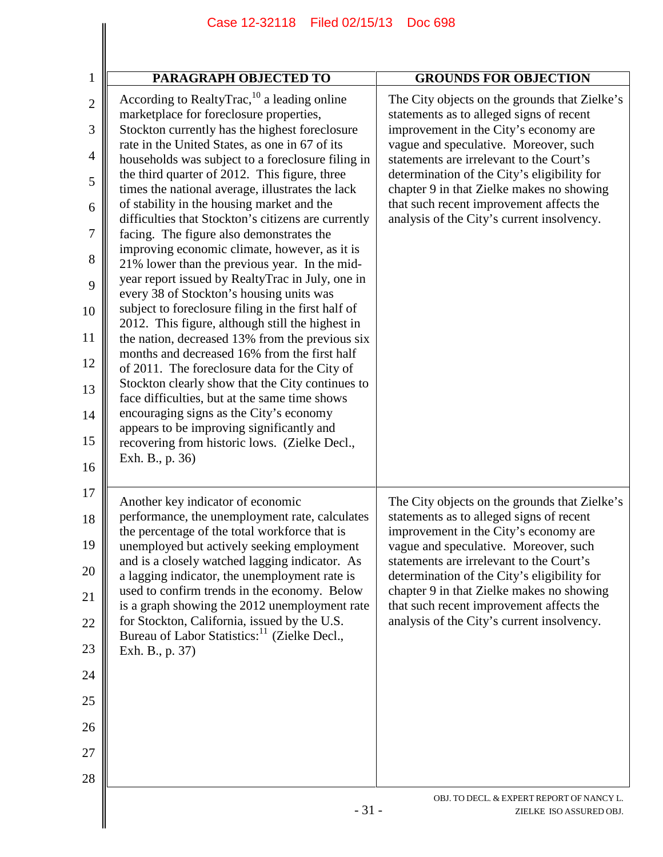| PARAGRAPH OBJECTED TO                                                                                                                                                                                                                                                                                                                                                                                                                                                                                                                                                                                                                                                                                                                                                                                                                                                                                                                                                                                                                                                                                                                                                                                                                        | <b>GROUNDS FOR OBJECTION</b>                                                                                                                                                                                                                                                                                                                                                                                  |
|----------------------------------------------------------------------------------------------------------------------------------------------------------------------------------------------------------------------------------------------------------------------------------------------------------------------------------------------------------------------------------------------------------------------------------------------------------------------------------------------------------------------------------------------------------------------------------------------------------------------------------------------------------------------------------------------------------------------------------------------------------------------------------------------------------------------------------------------------------------------------------------------------------------------------------------------------------------------------------------------------------------------------------------------------------------------------------------------------------------------------------------------------------------------------------------------------------------------------------------------|---------------------------------------------------------------------------------------------------------------------------------------------------------------------------------------------------------------------------------------------------------------------------------------------------------------------------------------------------------------------------------------------------------------|
| According to RealtyTrac, $^{10}$ a leading online<br>marketplace for foreclosure properties,<br>Stockton currently has the highest foreclosure<br>rate in the United States, as one in 67 of its<br>households was subject to a foreclosure filing in<br>the third quarter of 2012. This figure, three<br>times the national average, illustrates the lack<br>of stability in the housing market and the<br>difficulties that Stockton's citizens are currently<br>facing. The figure also demonstrates the<br>improving economic climate, however, as it is<br>21% lower than the previous year. In the mid-<br>year report issued by RealtyTrac in July, one in<br>every 38 of Stockton's housing units was<br>subject to foreclosure filing in the first half of<br>2012. This figure, although still the highest in<br>the nation, decreased 13% from the previous six<br>months and decreased 16% from the first half<br>of 2011. The foreclosure data for the City of<br>Stockton clearly show that the City continues to<br>face difficulties, but at the same time shows<br>encouraging signs as the City's economy<br>appears to be improving significantly and<br>recovering from historic lows. (Zielke Decl.,<br>Exh. B., p. 36) | The City objects on the grounds that Zielke's<br>statements as to alleged signs of recent<br>improvement in the City's economy are<br>vague and speculative. Moreover, such<br>statements are irrelevant to the Court's<br>determination of the City's eligibility for<br>chapter 9 in that Zielke makes no showing<br>that such recent improvement affects the<br>analysis of the City's current insolvency. |
| Another key indicator of economic<br>performance, the unemployment rate, calculates<br>the percentage of the total workforce that is<br>unemployed but actively seeking employment<br>and is a closely watched lagging indicator. As<br>a lagging indicator, the unemployment rate is<br>used to confirm trends in the economy. Below<br>is a graph showing the 2012 unemployment rate<br>for Stockton, California, issued by the U.S.<br>Bureau of Labor Statistics: <sup>11</sup> (Zielke Decl.,<br>Exh. B., p. 37)                                                                                                                                                                                                                                                                                                                                                                                                                                                                                                                                                                                                                                                                                                                        | The City objects on the grounds that Zielke's<br>statements as to alleged signs of recent<br>improvement in the City's economy are<br>vague and speculative. Moreover, such<br>statements are irrelevant to the Court's<br>determination of the City's eligibility for<br>chapter 9 in that Zielke makes no showing<br>that such recent improvement affects the<br>analysis of the City's current insolvency. |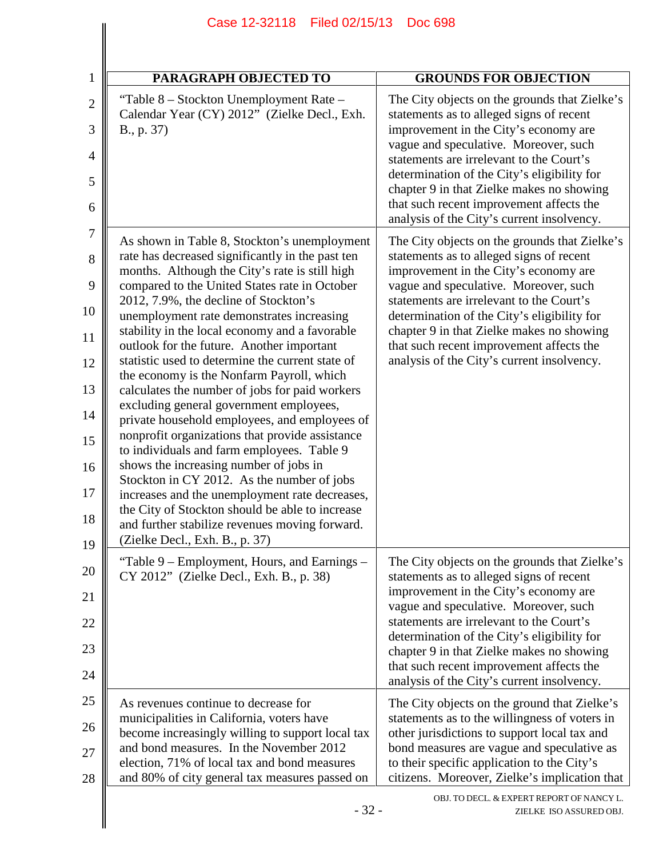| $\mathbf{1}$        | <b>PARAGRAPH OBJECTED TO</b>                                                                          | <b>GROUNDS FOR OBJECTION</b>                                                                                                       |
|---------------------|-------------------------------------------------------------------------------------------------------|------------------------------------------------------------------------------------------------------------------------------------|
| $\overline{2}$<br>3 | "Table 8 – Stockton Unemployment Rate –<br>Calendar Year (CY) 2012" (Zielke Decl., Exh.<br>B., p. 37) | The City objects on the grounds that Zielke's<br>statements as to alleged signs of recent<br>improvement in the City's economy are |
| 4                   |                                                                                                       | vague and speculative. Moreover, such<br>statements are irrelevant to the Court's                                                  |
| 5                   |                                                                                                       | determination of the City's eligibility for<br>chapter 9 in that Zielke makes no showing                                           |
| 6                   |                                                                                                       | that such recent improvement affects the<br>analysis of the City's current insolvency.                                             |
| 7<br>8              | As shown in Table 8, Stockton's unemployment<br>rate has decreased significantly in the past ten      | The City objects on the grounds that Zielke's<br>statements as to alleged signs of recent                                          |
| 9                   | months. Although the City's rate is still high<br>compared to the United States rate in October       | improvement in the City's economy are<br>vague and speculative. Moreover, such                                                     |
| 10                  | 2012, 7.9%, the decline of Stockton's<br>unemployment rate demonstrates increasing                    | statements are irrelevant to the Court's<br>determination of the City's eligibility for                                            |
| 11                  | stability in the local economy and a favorable<br>outlook for the future. Another important           | chapter 9 in that Zielke makes no showing<br>that such recent improvement affects the                                              |
| 12                  | statistic used to determine the current state of<br>the economy is the Nonfarm Payroll, which         | analysis of the City's current insolvency.                                                                                         |
| 13                  | calculates the number of jobs for paid workers<br>excluding general government employees,             |                                                                                                                                    |
| 14                  | private household employees, and employees of<br>nonprofit organizations that provide assistance      |                                                                                                                                    |
| 15<br>16            | to individuals and farm employees. Table 9<br>shows the increasing number of jobs in                  |                                                                                                                                    |
| 17                  | Stockton in CY 2012. As the number of jobs<br>increases and the unemployment rate decreases,          |                                                                                                                                    |
| 18                  | the City of Stockton should be able to increase<br>and further stabilize revenues moving forward.     |                                                                                                                                    |
| 19                  | (Zielke Decl., Exh. B., p. 37)                                                                        |                                                                                                                                    |
| 20                  | "Table 9 – Employment, Hours, and Earnings –<br>CY 2012" (Zielke Decl., Exh. B., p. 38)               | The City objects on the grounds that Zielke's<br>statements as to alleged signs of recent                                          |
| 21                  |                                                                                                       | improvement in the City's economy are<br>vague and speculative. Moreover, such                                                     |
| 22                  |                                                                                                       | statements are irrelevant to the Court's<br>determination of the City's eligibility for                                            |
| 23<br>24            |                                                                                                       | chapter 9 in that Zielke makes no showing<br>that such recent improvement affects the                                              |
| 25                  | As revenues continue to decrease for                                                                  | analysis of the City's current insolvency.<br>The City objects on the ground that Zielke's                                         |
| 26                  | municipalities in California, voters have<br>become increasingly willing to support local tax         | statements as to the willingness of voters in<br>other jurisdictions to support local tax and                                      |
| 27                  | and bond measures. In the November 2012<br>election, 71% of local tax and bond measures               | bond measures are vague and speculative as<br>to their specific application to the City's                                          |
| 28                  | and 80% of city general tax measures passed on                                                        | citizens. Moreover, Zielke's implication that                                                                                      |
|                     | $-32-$                                                                                                | OBJ. TO DECL. & EXPERT REPORT OF NANCY L.<br>ZIELKE ISO ASSURED OBJ.                                                               |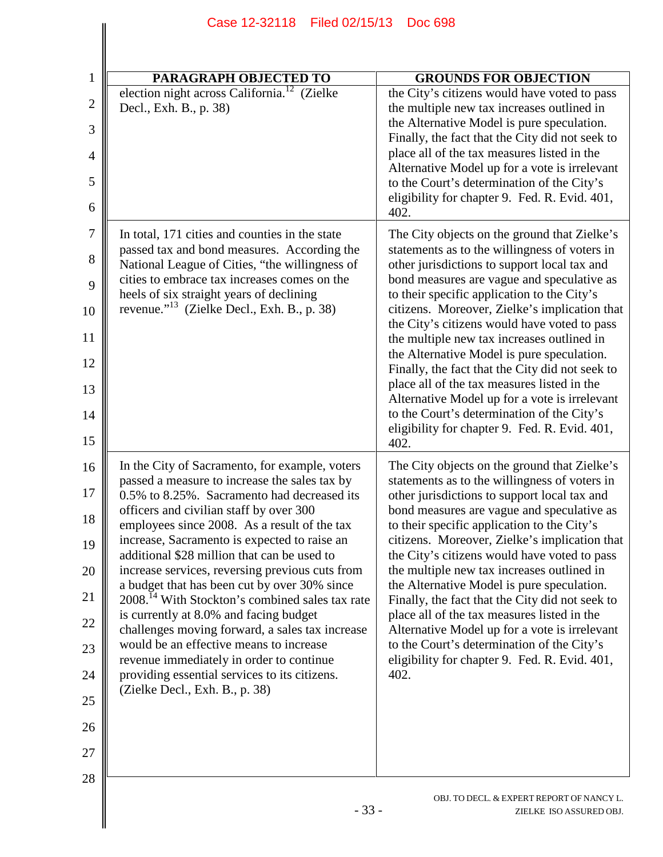| <b>PARAGRAPH OBJECTED TO</b><br><b>GROUNDS FOR OBJECTION</b><br>election night across California. <sup>12</sup><br>(Zielke<br>the City's citizens would have voted to pass<br>Decl., Exh. B., p. 38)<br>the multiple new tax increases outlined in<br>the Alternative Model is pure speculation.<br>Finally, the fact that the City did not seek to<br>place all of the tax measures listed in the<br>Alternative Model up for a vote is irrelevant<br>to the Court's determination of the City's<br>eligibility for chapter 9. Fed. R. Evid. 401,<br>402.<br>The City objects on the ground that Zielke's<br>In total, 171 cities and counties in the state<br>passed tax and bond measures. According the<br>statements as to the willingness of voters in<br>other jurisdictions to support local tax and<br>National League of Cities, "the willingness of<br>cities to embrace tax increases comes on the<br>bond measures are vague and speculative as<br>heels of six straight years of declining<br>to their specific application to the City's<br>revenue." <sup>13</sup> (Zielke Decl., Exh. B., p. 38)<br>the City's citizens would have voted to pass<br>the multiple new tax increases outlined in<br>the Alternative Model is pure speculation.<br>Finally, the fact that the City did not seek to<br>place all of the tax measures listed in the<br>Alternative Model up for a vote is irrelevant<br>to the Court's determination of the City's<br>eligibility for chapter 9. Fed. R. Evid. 401,<br>402.<br>In the City of Sacramento, for example, voters<br>The City objects on the ground that Zielke's<br>passed a measure to increase the sales tax by<br>statements as to the willingness of voters in<br>0.5% to 8.25%. Sacramento had decreased its<br>other jurisdictions to support local tax and<br>officers and civilian staff by over 300<br>bond measures are vague and speculative as<br>employees since 2008. As a result of the tax<br>to their specific application to the City's<br>increase, Sacramento is expected to raise an<br>citizens. Moreover, Zielke's implication that<br>additional \$28 million that can be used to<br>the City's citizens would have voted to pass<br>increase services, reversing previous cuts from<br>the multiple new tax increases outlined in<br>a budget that has been cut by over 30% since<br>the Alternative Model is pure speculation.<br>2008. <sup>14</sup> With Stockton's combined sales tax rate<br>Finally, the fact that the City did not seek to<br>is currently at 8.0% and facing budget<br>place all of the tax measures listed in the<br>Alternative Model up for a vote is irrelevant<br>challenges moving forward, a sales tax increase<br>would be an effective means to increase<br>to the Court's determination of the City's<br>eligibility for chapter 9. Fed. R. Evid. 401,<br>revenue immediately in order to continue<br>providing essential services to its citizens.<br>402.<br>(Zielke Decl., Exh. B., p. 38) | Filed 02/15/13<br>Case 12-32118 | <b>Doc 698</b>                                |
|-------------------------------------------------------------------------------------------------------------------------------------------------------------------------------------------------------------------------------------------------------------------------------------------------------------------------------------------------------------------------------------------------------------------------------------------------------------------------------------------------------------------------------------------------------------------------------------------------------------------------------------------------------------------------------------------------------------------------------------------------------------------------------------------------------------------------------------------------------------------------------------------------------------------------------------------------------------------------------------------------------------------------------------------------------------------------------------------------------------------------------------------------------------------------------------------------------------------------------------------------------------------------------------------------------------------------------------------------------------------------------------------------------------------------------------------------------------------------------------------------------------------------------------------------------------------------------------------------------------------------------------------------------------------------------------------------------------------------------------------------------------------------------------------------------------------------------------------------------------------------------------------------------------------------------------------------------------------------------------------------------------------------------------------------------------------------------------------------------------------------------------------------------------------------------------------------------------------------------------------------------------------------------------------------------------------------------------------------------------------------------------------------------------------------------------------------------------------------------------------------------------------------------------------------------------------------------------------------------------------------------------------------------------------------------------------------------------------------------------------------------------------------------------------------------------------------------------------------------------------------------------------------------------------------------------------------------------------------------------------------------------------|---------------------------------|-----------------------------------------------|
|                                                                                                                                                                                                                                                                                                                                                                                                                                                                                                                                                                                                                                                                                                                                                                                                                                                                                                                                                                                                                                                                                                                                                                                                                                                                                                                                                                                                                                                                                                                                                                                                                                                                                                                                                                                                                                                                                                                                                                                                                                                                                                                                                                                                                                                                                                                                                                                                                                                                                                                                                                                                                                                                                                                                                                                                                                                                                                                                                                                                                   |                                 |                                               |
|                                                                                                                                                                                                                                                                                                                                                                                                                                                                                                                                                                                                                                                                                                                                                                                                                                                                                                                                                                                                                                                                                                                                                                                                                                                                                                                                                                                                                                                                                                                                                                                                                                                                                                                                                                                                                                                                                                                                                                                                                                                                                                                                                                                                                                                                                                                                                                                                                                                                                                                                                                                                                                                                                                                                                                                                                                                                                                                                                                                                                   |                                 |                                               |
|                                                                                                                                                                                                                                                                                                                                                                                                                                                                                                                                                                                                                                                                                                                                                                                                                                                                                                                                                                                                                                                                                                                                                                                                                                                                                                                                                                                                                                                                                                                                                                                                                                                                                                                                                                                                                                                                                                                                                                                                                                                                                                                                                                                                                                                                                                                                                                                                                                                                                                                                                                                                                                                                                                                                                                                                                                                                                                                                                                                                                   |                                 |                                               |
|                                                                                                                                                                                                                                                                                                                                                                                                                                                                                                                                                                                                                                                                                                                                                                                                                                                                                                                                                                                                                                                                                                                                                                                                                                                                                                                                                                                                                                                                                                                                                                                                                                                                                                                                                                                                                                                                                                                                                                                                                                                                                                                                                                                                                                                                                                                                                                                                                                                                                                                                                                                                                                                                                                                                                                                                                                                                                                                                                                                                                   |                                 | citizens. Moreover, Zielke's implication that |
|                                                                                                                                                                                                                                                                                                                                                                                                                                                                                                                                                                                                                                                                                                                                                                                                                                                                                                                                                                                                                                                                                                                                                                                                                                                                                                                                                                                                                                                                                                                                                                                                                                                                                                                                                                                                                                                                                                                                                                                                                                                                                                                                                                                                                                                                                                                                                                                                                                                                                                                                                                                                                                                                                                                                                                                                                                                                                                                                                                                                                   |                                 |                                               |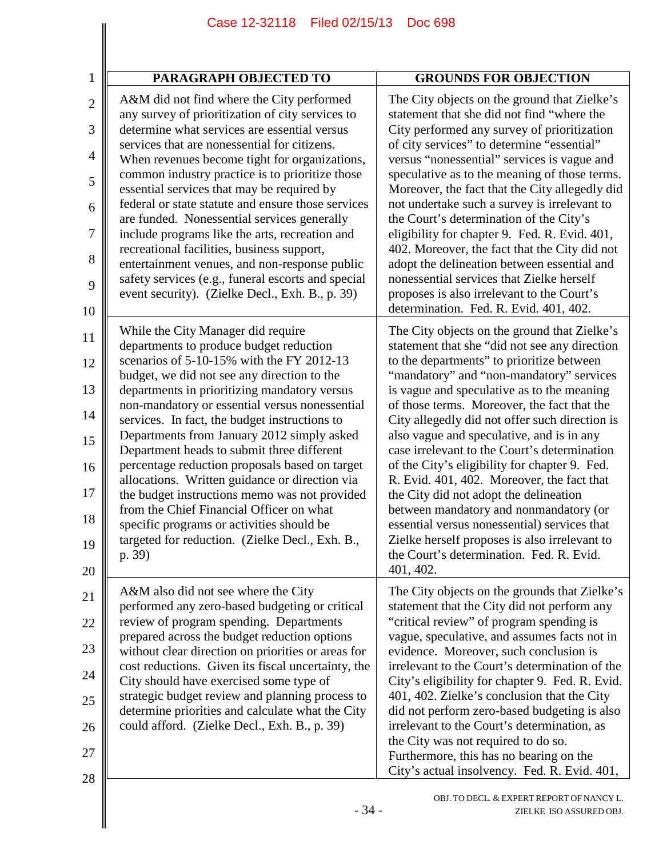| PARAGRAPH OBJECTED TO                                                                                                                                                                                                                                                                                                                                                                                                                                                                                                                                                                                                                                                                                                               | <b>GROUNDS FOR OBJECTION</b>                                                                                                                                                                                                                                                                                                                                                                                                                                                                                                                                                                                                                                                                                                                                                    |
|-------------------------------------------------------------------------------------------------------------------------------------------------------------------------------------------------------------------------------------------------------------------------------------------------------------------------------------------------------------------------------------------------------------------------------------------------------------------------------------------------------------------------------------------------------------------------------------------------------------------------------------------------------------------------------------------------------------------------------------|---------------------------------------------------------------------------------------------------------------------------------------------------------------------------------------------------------------------------------------------------------------------------------------------------------------------------------------------------------------------------------------------------------------------------------------------------------------------------------------------------------------------------------------------------------------------------------------------------------------------------------------------------------------------------------------------------------------------------------------------------------------------------------|
| A&M did not find where the City performed<br>any survey of prioritization of city services to<br>determine what services are essential versus<br>services that are nonessential for citizens.<br>When revenues become tight for organizations,<br>common industry practice is to prioritize those<br>essential services that may be required by<br>federal or state statute and ensure those services<br>are funded. Nonessential services generally<br>include programs like the arts, recreation and<br>recreational facilities, business support,<br>entertainment venues, and non-response public<br>safety services (e.g., funeral escorts and special<br>event security). (Zielke Decl., Exh. B., p. 39)                      | The City objects on the ground that Zielke's<br>statement that she did not find "where the<br>City performed any survey of prioritization<br>of city services" to determine "essential"<br>versus "nonessential" services is vague and<br>speculative as to the meaning of those terms.<br>Moreover, the fact that the City allegedly did<br>not undertake such a survey is irrelevant to<br>the Court's determination of the City's<br>eligibility for chapter 9. Fed. R. Evid. 401,<br>402. Moreover, the fact that the City did not<br>adopt the delineation between essential and<br>nonessential services that Zielke herself<br>proposes is also irrelevant to the Court's<br>determination. Fed. R. Evid. 401, 402.                                                      |
| While the City Manager did require<br>departments to produce budget reduction<br>scenarios of 5-10-15% with the FY 2012-13<br>budget, we did not see any direction to the<br>departments in prioritizing mandatory versus<br>non-mandatory or essential versus nonessential<br>services. In fact, the budget instructions to<br>Departments from January 2012 simply asked<br>Department heads to submit three different<br>percentage reduction proposals based on target<br>allocations. Written guidance or direction via<br>the budget instructions memo was not provided<br>from the Chief Financial Officer on what<br>specific programs or activities should be<br>targeted for reduction. (Zielke Decl., Exh. B.,<br>p. 39) | The City objects on the ground that Zielke's<br>statement that she "did not see any direction<br>to the departments" to prioritize between<br>"mandatory" and "non-mandatory" services<br>is vague and speculative as to the meaning<br>of those terms. Moreover, the fact that the<br>City allegedly did not offer such direction is<br>also vague and speculative, and is in any<br>case irrelevant to the Court's determination<br>of the City's eligibility for chapter 9. Fed.<br>R. Evid. 401, 402. Moreover, the fact that<br>the City did not adopt the delineation<br>between mandatory and nonmandatory (or<br>essential versus nonessential) services that<br>Zielke herself proposes is also irrelevant to<br>the Court's determination. Fed. R. Evid.<br>401, 402. |
| A&M also did not see where the City<br>performed any zero-based budgeting or critical<br>review of program spending. Departments<br>prepared across the budget reduction options<br>without clear direction on priorities or areas for<br>cost reductions. Given its fiscal uncertainty, the<br>City should have exercised some type of<br>strategic budget review and planning process to<br>determine priorities and calculate what the City<br>could afford. (Zielke Decl., Exh. B., p. 39)                                                                                                                                                                                                                                      | The City objects on the grounds that Zielke's<br>statement that the City did not perform any<br>"critical review" of program spending is<br>vague, speculative, and assumes facts not in<br>evidence. Moreover, such conclusion is<br>irrelevant to the Court's determination of the<br>City's eligibility for chapter 9. Fed. R. Evid.<br>401, 402. Zielke's conclusion that the City<br>did not perform zero-based budgeting is also<br>irrelevant to the Court's determination, as<br>the City was not required to do so.<br>Furthermore, this has no bearing on the<br>City's actual insolvency. Fed. R. Evid. 401,                                                                                                                                                         |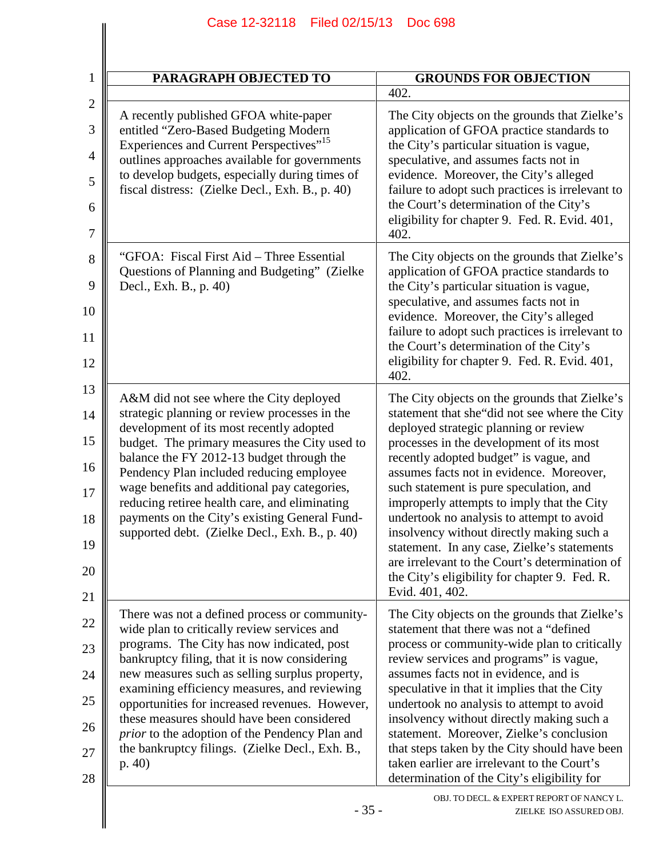| 1                             | <b>PARAGRAPH OBJECTED TO</b>                                                                                                          | <b>GROUNDS FOR OBJECTION</b>                                                                                                                 |
|-------------------------------|---------------------------------------------------------------------------------------------------------------------------------------|----------------------------------------------------------------------------------------------------------------------------------------------|
| $\mathbf{2}$                  |                                                                                                                                       | 402.                                                                                                                                         |
| 3<br>$\overline{\mathcal{A}}$ | A recently published GFOA white-paper<br>entitled "Zero-Based Budgeting Modern<br>Experiences and Current Perspectives" <sup>15</sup> | The City objects on the grounds that Zielke's<br>application of GFOA practice standards to<br>the City's particular situation is vague,      |
| 5                             | outlines approaches available for governments<br>to develop budgets, especially during times of                                       | speculative, and assumes facts not in<br>evidence. Moreover, the City's alleged                                                              |
| 6                             | fiscal distress: (Zielke Decl., Exh. B., p. 40)                                                                                       | failure to adopt such practices is irrelevant to<br>the Court's determination of the City's<br>eligibility for chapter 9. Fed. R. Evid. 401, |
| 7                             |                                                                                                                                       | 402.                                                                                                                                         |
| 8                             | "GFOA: Fiscal First Aid – Three Essential<br>Questions of Planning and Budgeting" (Zielke                                             | The City objects on the grounds that Zielke's<br>application of GFOA practice standards to                                                   |
| 9<br>10                       | Decl., Exh. B., p. 40)                                                                                                                | the City's particular situation is vague,<br>speculative, and assumes facts not in                                                           |
| 11                            |                                                                                                                                       | evidence. Moreover, the City's alleged<br>failure to adopt such practices is irrelevant to                                                   |
| 12                            |                                                                                                                                       | the Court's determination of the City's<br>eligibility for chapter 9. Fed. R. Evid. 401,<br>402.                                             |
| 13                            | A&M did not see where the City deployed                                                                                               | The City objects on the grounds that Zielke's                                                                                                |
|                               | strategic planning or review processes in the<br>development of its most recently adopted                                             | statement that she"did not see where the City<br>deployed strategic planning or review                                                       |
|                               | budget. The primary measures the City used to<br>balance the FY 2012-13 budget through the                                            | processes in the development of its most<br>recently adopted budget" is vague, and                                                           |
| 16                            | Pendency Plan included reducing employee<br>wage benefits and additional pay categories,                                              | assumes facts not in evidence. Moreover,<br>such statement is pure speculation, and                                                          |
| 18                            | reducing retiree health care, and eliminating<br>payments on the City's existing General Fund-                                        | improperly attempts to imply that the City<br>undertook no analysis to attempt to avoid                                                      |
|                               | supported debt. (Zielke Decl., Exh. B., p. 40)                                                                                        | insolvency without directly making such a<br>statement. In any case, Zielke's statements                                                     |
|                               |                                                                                                                                       | are irrelevant to the Court's determination of<br>the City's eligibility for chapter 9. Fed. R.                                              |
|                               |                                                                                                                                       | Evid. 401, 402.                                                                                                                              |
|                               | There was not a defined process or community-<br>wide plan to critically review services and                                          | The City objects on the grounds that Zielke's<br>statement that there was not a "defined                                                     |
|                               | programs. The City has now indicated, post<br>bankruptcy filing, that it is now considering                                           | process or community-wide plan to critically<br>review services and programs" is vague,                                                      |
|                               | new measures such as selling surplus property,<br>examining efficiency measures, and reviewing                                        | assumes facts not in evidence, and is<br>speculative in that it implies that the City                                                        |
|                               | opportunities for increased revenues. However,<br>these measures should have been considered                                          | undertook no analysis to attempt to avoid<br>insolvency without directly making such a                                                       |
|                               | prior to the adoption of the Pendency Plan and<br>the bankruptcy filings. (Zielke Decl., Exh. B.,                                     | statement. Moreover, Zielke's conclusion<br>that steps taken by the City should have been                                                    |
|                               | p. 40                                                                                                                                 | taken earlier are irrelevant to the Court's<br>determination of the City's eligibility for                                                   |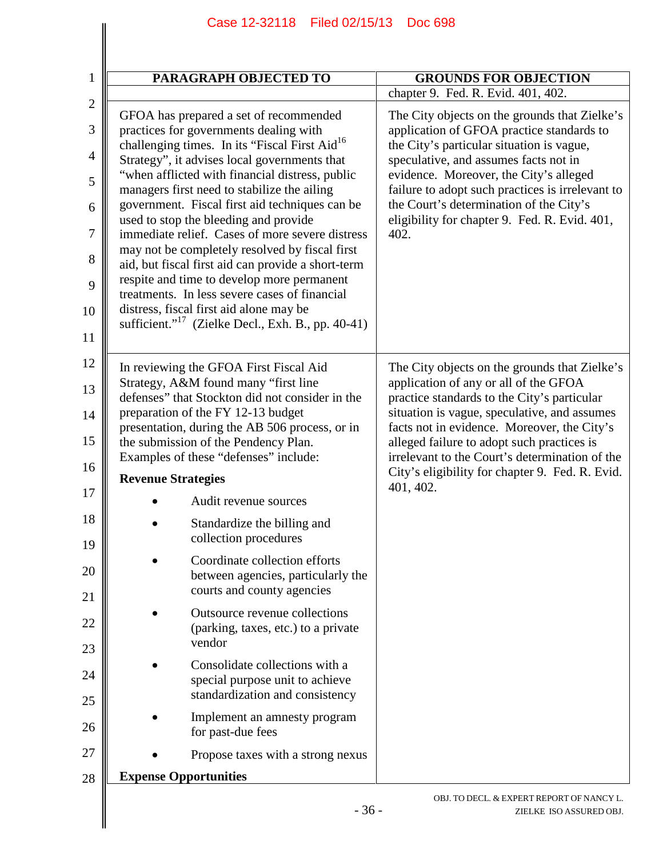| PARAGRAPH OBJECTED TO                                                                                                                          | <b>GROUNDS FOR OBJECTION</b>                                                                                                               |
|------------------------------------------------------------------------------------------------------------------------------------------------|--------------------------------------------------------------------------------------------------------------------------------------------|
|                                                                                                                                                | chapter 9. Fed. R. Evid. 401, 402.                                                                                                         |
| GFOA has prepared a set of recommended<br>practices for governments dealing with<br>challenging times. In its "Fiscal First Aid <sup>16</sup>  | The City objects on the grounds that Zielke's<br>application of GFOA practice standards to<br>the City's particular situation is vague,    |
| Strategy", it advises local governments that<br>"when afflicted with financial distress, public<br>managers first need to stabilize the ailing | speculative, and assumes facts not in<br>evidence. Moreover, the City's alleged<br>failure to adopt such practices is irrelevant to        |
| government. Fiscal first aid techniques can be<br>used to stop the bleeding and provide                                                        | the Court's determination of the City's<br>eligibility for chapter 9. Fed. R. Evid. 401,                                                   |
| immediate relief. Cases of more severe distress                                                                                                | 402.                                                                                                                                       |
| may not be completely resolved by fiscal first<br>aid, but fiscal first aid can provide a short-term                                           |                                                                                                                                            |
| respite and time to develop more permanent<br>treatments. In less severe cases of financial                                                    |                                                                                                                                            |
| distress, fiscal first aid alone may be<br>sufficient." <sup>17</sup> (Zielke Decl., Exh. B., pp. 40-41)                                       |                                                                                                                                            |
|                                                                                                                                                |                                                                                                                                            |
| In reviewing the GFOA First Fiscal Aid<br>Strategy, A&M found many "first line                                                                 | The City objects on the grounds that Zielke's<br>application of any or all of the GFOA                                                     |
| defenses" that Stockton did not consider in the<br>preparation of the FY 12-13 budget                                                          | practice standards to the City's particular<br>situation is vague, speculative, and assumes<br>facts not in evidence. Moreover, the City's |
| presentation, during the AB 506 process, or in                                                                                                 |                                                                                                                                            |
| the submission of the Pendency Plan.                                                                                                           | alleged failure to adopt such practices is<br>irrelevant to the Court's determination of the                                               |
| Examples of these "defenses" include:<br><b>Revenue Strategies</b>                                                                             | City's eligibility for chapter 9. Fed. R. Evid.                                                                                            |
| Audit revenue sources                                                                                                                          | 401, 402.                                                                                                                                  |
| Standardize the billing and                                                                                                                    |                                                                                                                                            |
| collection procedures                                                                                                                          |                                                                                                                                            |
| Coordinate collection efforts<br>between agencies, particularly the<br>courts and county agencies                                              |                                                                                                                                            |
|                                                                                                                                                |                                                                                                                                            |
| Outsource revenue collections<br>(parking, taxes, etc.) to a private<br>vendor                                                                 |                                                                                                                                            |
| Consolidate collections with a                                                                                                                 |                                                                                                                                            |
| special purpose unit to achieve<br>standardization and consistency                                                                             |                                                                                                                                            |
| Implement an amnesty program<br>for past-due fees                                                                                              |                                                                                                                                            |
| Propose taxes with a strong nexus                                                                                                              |                                                                                                                                            |
| <b>Expense Opportunities</b>                                                                                                                   |                                                                                                                                            |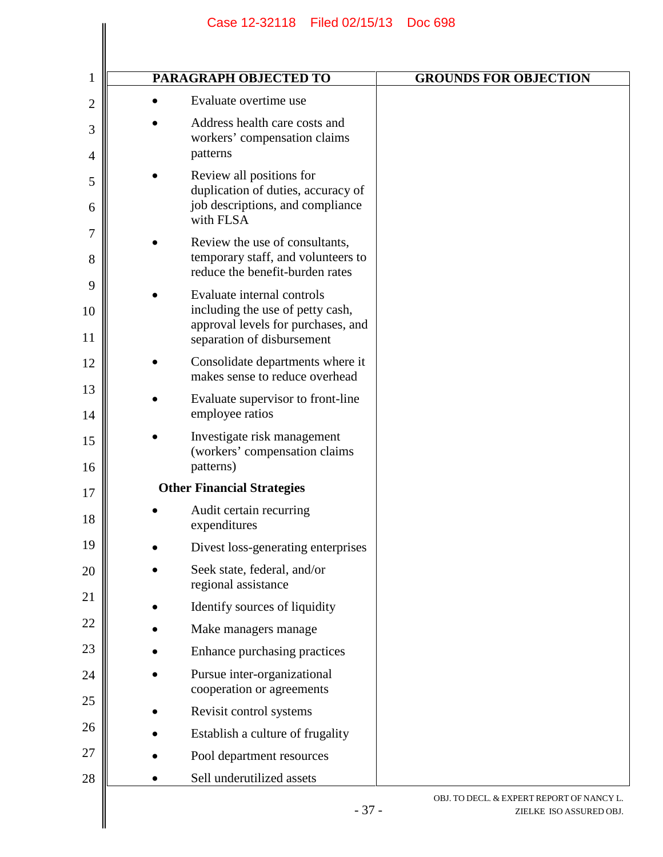| $\mathbf{1}$   | PARAGRAPH OBJECTED TO                                                                                                              | <b>GROUNDS FOR OBJECTION</b>                                         |
|----------------|------------------------------------------------------------------------------------------------------------------------------------|----------------------------------------------------------------------|
| $\overline{2}$ | Evaluate overtime use                                                                                                              |                                                                      |
| 3<br>4         | Address health care costs and<br>workers' compensation claims<br>patterns                                                          |                                                                      |
| 5<br>6         | Review all positions for<br>duplication of duties, accuracy of<br>job descriptions, and compliance                                 |                                                                      |
| 7<br>8         | with FLSA<br>Review the use of consultants,<br>temporary staff, and volunteers to<br>reduce the benefit-burden rates               |                                                                      |
| 9<br>10<br>11  | Evaluate internal controls<br>including the use of petty cash,<br>approval levels for purchases, and<br>separation of disbursement |                                                                      |
| 12             | Consolidate departments where it<br>makes sense to reduce overhead                                                                 |                                                                      |
| 13<br>14       | Evaluate supervisor to front-line<br>employee ratios                                                                               |                                                                      |
| 15<br>16       | Investigate risk management<br>(workers' compensation claims<br>patterns)                                                          |                                                                      |
| 17             | <b>Other Financial Strategies</b>                                                                                                  |                                                                      |
| 18             | Audit certain recurring<br>expenditures                                                                                            |                                                                      |
| 19             | Divest loss-generating enterprises                                                                                                 |                                                                      |
| 20<br>21       | Seek state, federal, and/or<br>regional assistance                                                                                 |                                                                      |
|                | Identify sources of liquidity                                                                                                      |                                                                      |
| 22             | Make managers manage                                                                                                               |                                                                      |
| 23             | Enhance purchasing practices                                                                                                       |                                                                      |
| 24<br>25       | Pursue inter-organizational<br>cooperation or agreements                                                                           |                                                                      |
|                | Revisit control systems                                                                                                            |                                                                      |
| 26             | Establish a culture of frugality                                                                                                   |                                                                      |
| 27             | Pool department resources                                                                                                          |                                                                      |
| 28             | Sell underutilized assets                                                                                                          |                                                                      |
|                | $-37-$                                                                                                                             | OBJ. TO DECL. & EXPERT REPORT OF NANCY L.<br>ZIELKE ISO ASSURED OBJ. |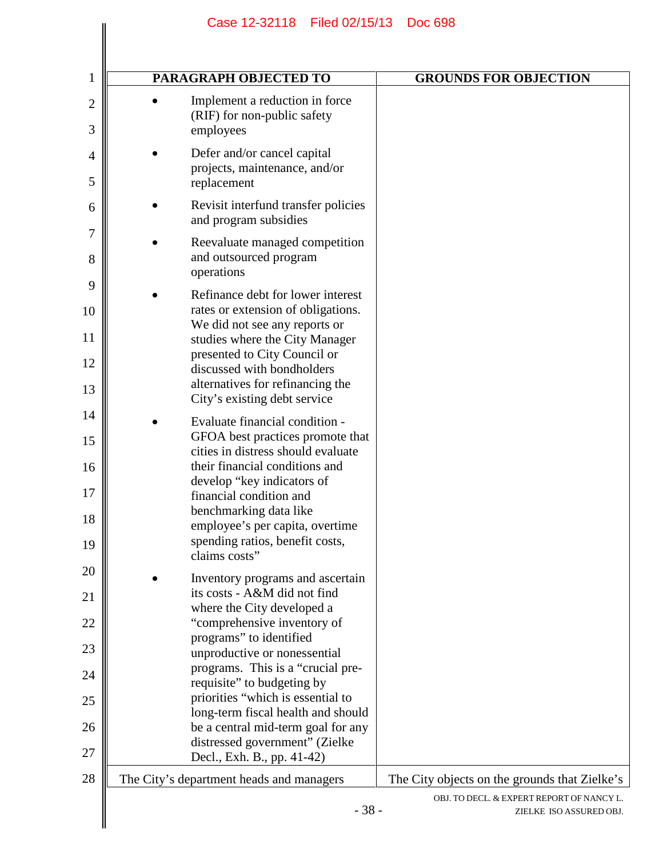| PARAGRAPH OBJECTED TO                                                                                                                                                                                                                                                                                                | <b>GROUNDS FOR OBJECTION</b>                  |
|----------------------------------------------------------------------------------------------------------------------------------------------------------------------------------------------------------------------------------------------------------------------------------------------------------------------|-----------------------------------------------|
| Implement a reduction in force<br>(RIF) for non-public safety<br>employees                                                                                                                                                                                                                                           |                                               |
| Defer and/or cancel capital<br>projects, maintenance, and/or<br>replacement                                                                                                                                                                                                                                          |                                               |
| Revisit interfund transfer policies<br>and program subsidies                                                                                                                                                                                                                                                         |                                               |
| Reevaluate managed competition<br>and outsourced program<br>operations                                                                                                                                                                                                                                               |                                               |
| Refinance debt for lower interest<br>rates or extension of obligations.<br>We did not see any reports or<br>studies where the City Manager                                                                                                                                                                           |                                               |
| presented to City Council or<br>discussed with bondholders<br>alternatives for refinancing the<br>City's existing debt service                                                                                                                                                                                       |                                               |
| Evaluate financial condition -<br>GFOA best practices promote that<br>cities in distress should evaluate<br>their financial conditions and<br>develop "key indicators of<br>financial condition and<br>benchmarking data like<br>employee's per capita, overtime<br>spending ratios, benefit costs,<br>claims costs" |                                               |
| Inventory programs and ascertain<br>its costs - A&M did not find<br>where the City developed a<br>"comprehensive inventory of<br>programs" to identified                                                                                                                                                             |                                               |
| unproductive or nonessential<br>programs. This is a "crucial pre-<br>requisite" to budgeting by                                                                                                                                                                                                                      |                                               |
| priorities "which is essential to<br>long-term fiscal health and should                                                                                                                                                                                                                                              |                                               |
| be a central mid-term goal for any<br>distressed government" (Zielke<br>Decl., Exh. B., pp. 41-42)                                                                                                                                                                                                                   |                                               |
| The City's department heads and managers                                                                                                                                                                                                                                                                             | The City objects on the grounds that Zielke's |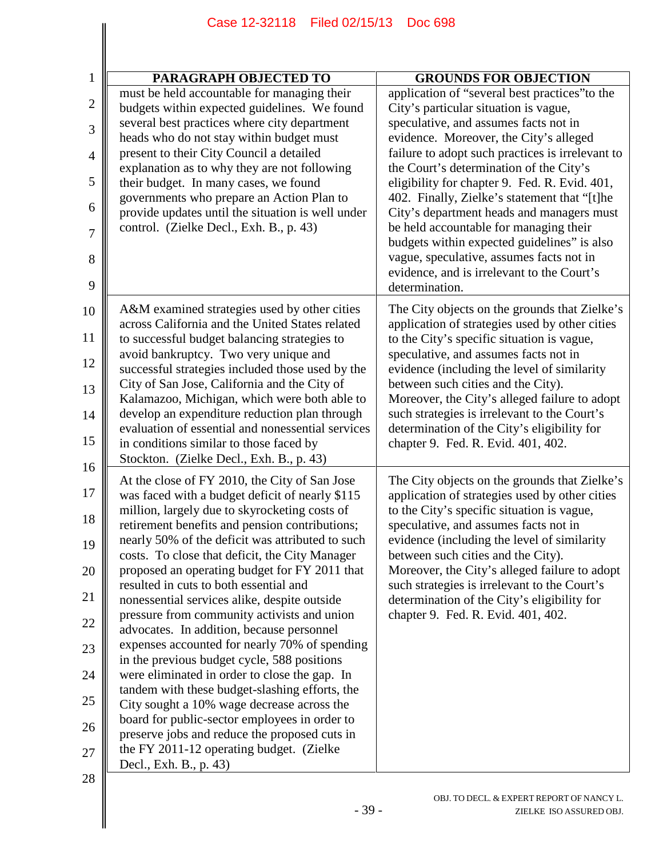| 1              | PARAGRAPH OBJECTED TO                                                                                                                             | <b>GROUNDS FOR OBJECTION</b>                                                                                                                  |
|----------------|---------------------------------------------------------------------------------------------------------------------------------------------------|-----------------------------------------------------------------------------------------------------------------------------------------------|
| $\overline{c}$ | must be held accountable for managing their                                                                                                       | application of "several best practices" to the                                                                                                |
|                | budgets within expected guidelines. We found<br>several best practices where city department                                                      | City's particular situation is vague,<br>speculative, and assumes facts not in                                                                |
| 3              | heads who do not stay within budget must                                                                                                          | evidence. Moreover, the City's alleged                                                                                                        |
| $\overline{4}$ | present to their City Council a detailed                                                                                                          | failure to adopt such practices is irrelevant to                                                                                              |
| 5              | explanation as to why they are not following<br>their budget. In many cases, we found                                                             | the Court's determination of the City's<br>eligibility for chapter 9. Fed. R. Evid. 401,                                                      |
| 6              | governments who prepare an Action Plan to<br>provide updates until the situation is well under                                                    | 402. Finally, Zielke's statement that "[t]he<br>City's department heads and managers must                                                     |
| 7              | control. (Zielke Decl., Exh. B., p. 43)                                                                                                           | be held accountable for managing their<br>budgets within expected guidelines" is also                                                         |
| 8<br>9         |                                                                                                                                                   | vague, speculative, assumes facts not in<br>evidence, and is irrelevant to the Court's<br>determination.                                      |
| 10             | A&M examined strategies used by other cities                                                                                                      | The City objects on the grounds that Zielke's                                                                                                 |
| 11             | across California and the United States related<br>to successful budget balancing strategies to                                                   | application of strategies used by other cities<br>to the City's specific situation is vague,                                                  |
| 12             | avoid bankruptcy. Two very unique and<br>successful strategies included those used by the                                                         | speculative, and assumes facts not in<br>evidence (including the level of similarity                                                          |
| 13             | City of San Jose, California and the City of<br>Kalamazoo, Michigan, which were both able to                                                      | between such cities and the City).<br>Moreover, the City's alleged failure to adopt                                                           |
| 14             | develop an expenditure reduction plan through                                                                                                     | such strategies is irrelevant to the Court's                                                                                                  |
| 15             | evaluation of essential and nonessential services<br>in conditions similar to those faced by                                                      | determination of the City's eligibility for<br>chapter 9. Fed. R. Evid. 401, 402.                                                             |
| 16             | Stockton. (Zielke Decl., Exh. B., p. 43)                                                                                                          |                                                                                                                                               |
| 17             | At the close of FY 2010, the City of San Jose<br>was faced with a budget deficit of nearly \$115<br>million, largely due to skyrocketing costs of | The City objects on the grounds that Zielke's<br>application of strategies used by other cities<br>to the City's specific situation is vague, |
| 18<br>19       | retirement benefits and pension contributions;<br>nearly 50% of the deficit was attributed to such                                                | speculative, and assumes facts not in<br>evidence (including the level of similarity                                                          |
| 20             | costs. To close that deficit, the City Manager<br>proposed an operating budget for FY 2011 that                                                   | between such cities and the City).<br>Moreover, the City's alleged failure to adopt                                                           |
| 21             | resulted in cuts to both essential and                                                                                                            | such strategies is irrelevant to the Court's                                                                                                  |
| 22             | nonessential services alike, despite outside<br>pressure from community activists and union                                                       | determination of the City's eligibility for<br>chapter 9. Fed. R. Evid. 401, 402.                                                             |
| 23             | advocates. In addition, because personnel<br>expenses accounted for nearly 70% of spending                                                        |                                                                                                                                               |
| 24             | in the previous budget cycle, 588 positions<br>were eliminated in order to close the gap. In                                                      |                                                                                                                                               |
|                | tandem with these budget-slashing efforts, the                                                                                                    |                                                                                                                                               |
| 25             | City sought a 10% wage decrease across the<br>board for public-sector employees in order to                                                       |                                                                                                                                               |
| 26             | preserve jobs and reduce the proposed cuts in                                                                                                     |                                                                                                                                               |
| 27             | the FY 2011-12 operating budget. (Zielke<br>Decl., Exh. B., p. 43)                                                                                |                                                                                                                                               |
| 28             |                                                                                                                                                   |                                                                                                                                               |
|                | $-39-$                                                                                                                                            | OBJ. TO DECL. & EXPERT REPORT OF NANCY L.<br>ZIELKE ISO ASSURED OBJ.                                                                          |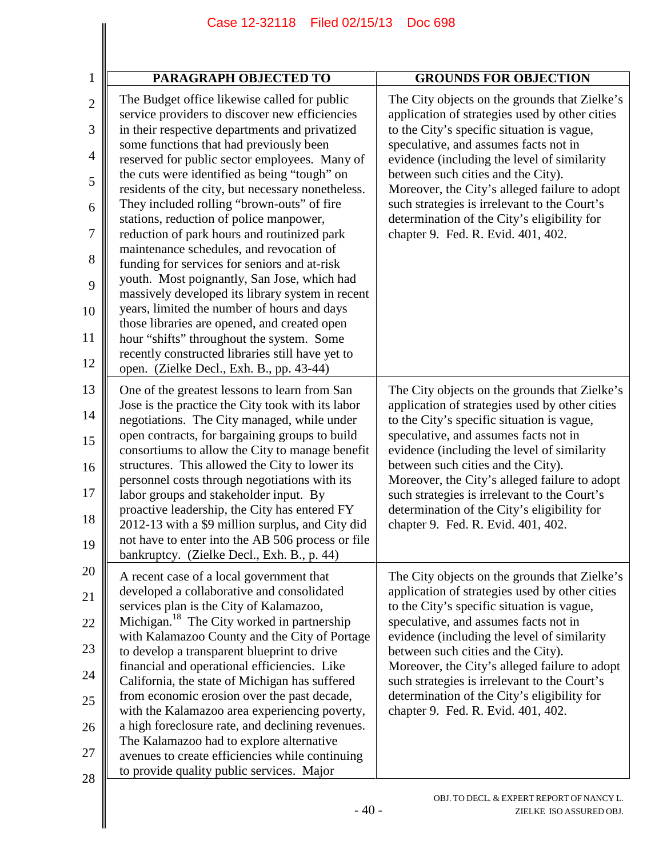|                                                                                               | Case 12-52110<br><b>FIIGU UZ/ 10/ 13</b>                                                                                                                                                                                                                                                                                                                                                                                                                                                                                                                                                                                                                                                                                                                                                                                                                                                                                             | ്വാറ്റ മാറ                                                                                                                                                                                                                                                                                                                                                                                                                                                        |
|-----------------------------------------------------------------------------------------------|--------------------------------------------------------------------------------------------------------------------------------------------------------------------------------------------------------------------------------------------------------------------------------------------------------------------------------------------------------------------------------------------------------------------------------------------------------------------------------------------------------------------------------------------------------------------------------------------------------------------------------------------------------------------------------------------------------------------------------------------------------------------------------------------------------------------------------------------------------------------------------------------------------------------------------------|-------------------------------------------------------------------------------------------------------------------------------------------------------------------------------------------------------------------------------------------------------------------------------------------------------------------------------------------------------------------------------------------------------------------------------------------------------------------|
| $\mathbf 1$                                                                                   | <b>PARAGRAPH OBJECTED TO</b>                                                                                                                                                                                                                                                                                                                                                                                                                                                                                                                                                                                                                                                                                                                                                                                                                                                                                                         | <b>GROUNDS FOR OBJECTION</b>                                                                                                                                                                                                                                                                                                                                                                                                                                      |
| $\overline{2}$<br>3<br>$\overline{4}$<br>5<br>6<br>$\overline{7}$<br>8<br>9<br>10<br>11<br>12 | The Budget office likewise called for public<br>service providers to discover new efficiencies<br>in their respective departments and privatized<br>some functions that had previously been<br>reserved for public sector employees. Many of<br>the cuts were identified as being "tough" on<br>residents of the city, but necessary nonetheless.<br>They included rolling "brown-outs" of fire<br>stations, reduction of police manpower,<br>reduction of park hours and routinized park<br>maintenance schedules, and revocation of<br>funding for services for seniors and at-risk<br>youth. Most poignantly, San Jose, which had<br>massively developed its library system in recent<br>years, limited the number of hours and days<br>those libraries are opened, and created open<br>hour "shifts" throughout the system. Some<br>recently constructed libraries still have yet to<br>open. (Zielke Decl., Exh. B., pp. 43-44) | The City objects on the grounds that Zielke's<br>application of strategies used by other cities<br>to the City's specific situation is vague,<br>speculative, and assumes facts not in<br>evidence (including the level of similarity<br>between such cities and the City).<br>Moreover, the City's alleged failure to adopt<br>such strategies is irrelevant to the Court's<br>determination of the City's eligibility for<br>chapter 9. Fed. R. Evid. 401, 402. |
| 13<br>14<br>15<br>16<br>17<br>18<br>19                                                        | One of the greatest lessons to learn from San<br>Jose is the practice the City took with its labor<br>negotiations. The City managed, while under<br>open contracts, for bargaining groups to build<br>consortiums to allow the City to manage benefit<br>structures. This allowed the City to lower its<br>personnel costs through negotiations with its<br>labor groups and stakeholder input. By<br>proactive leadership, the City has entered FY<br>2012-13 with a \$9 million surplus, and City did<br>not have to enter into the AB 506 process or file<br>bankruptcy. (Zielke Decl., Exh. B., p. 44)                                                                                                                                                                                                                                                                                                                          | The City objects on the grounds that Zielke's<br>application of strategies used by other cities<br>to the City's specific situation is vague,<br>speculative, and assumes facts not in<br>evidence (including the level of similarity<br>between such cities and the City).<br>Moreover, the City's alleged failure to adopt<br>such strategies is irrelevant to the Court's<br>determination of the City's eligibility for<br>chapter 9. Fed. R. Evid. 401, 402. |
| 20<br>21<br>22<br>23<br>24<br>$25\,$<br>26<br>27<br>28                                        | A recent case of a local government that<br>developed a collaborative and consolidated<br>services plan is the City of Kalamazoo,<br>Michigan. <sup>18</sup> The City worked in partnership<br>with Kalamazoo County and the City of Portage<br>to develop a transparent blueprint to drive<br>financial and operational efficiencies. Like<br>California, the state of Michigan has suffered<br>from economic erosion over the past decade,<br>with the Kalamazoo area experiencing poverty,<br>a high foreclosure rate, and declining revenues.<br>The Kalamazoo had to explore alternative<br>avenues to create efficiencies while continuing<br>to provide quality public services. Major                                                                                                                                                                                                                                        | The City objects on the grounds that Zielke's<br>application of strategies used by other cities<br>to the City's specific situation is vague,<br>speculative, and assumes facts not in<br>evidence (including the level of similarity<br>between such cities and the City).<br>Moreover, the City's alleged failure to adopt<br>such strategies is irrelevant to the Court's<br>determination of the City's eligibility for<br>chapter 9. Fed. R. Evid. 401, 402. |
|                                                                                               | $-40-$                                                                                                                                                                                                                                                                                                                                                                                                                                                                                                                                                                                                                                                                                                                                                                                                                                                                                                                               | OBJ. TO DECL. & EXPERT REPORT OF NANCY L.<br>ZIELKE ISO ASSURED OBJ.                                                                                                                                                                                                                                                                                                                                                                                              |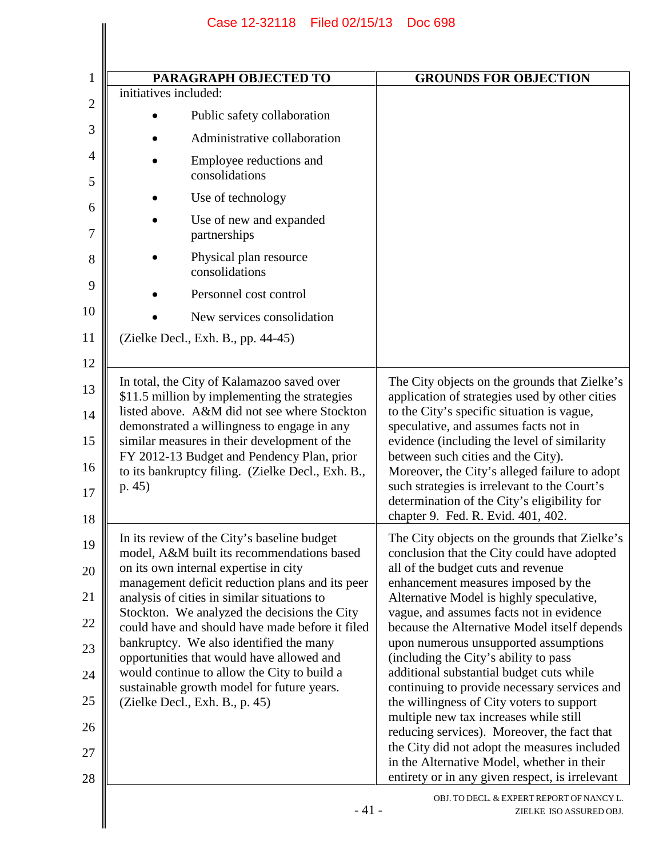|                                                                         | <b>PARAGRAPH OBJECTED TO</b>                                                                                                                                                                                                                                                                                                                                                                                                                                                        | <b>GROUNDS FOR OBJECTION</b>                                                                                                                                                                                                                                                                                                                                                                                                                                                                                                                                                                                                                                                                                                                                                           |
|-------------------------------------------------------------------------|-------------------------------------------------------------------------------------------------------------------------------------------------------------------------------------------------------------------------------------------------------------------------------------------------------------------------------------------------------------------------------------------------------------------------------------------------------------------------------------|----------------------------------------------------------------------------------------------------------------------------------------------------------------------------------------------------------------------------------------------------------------------------------------------------------------------------------------------------------------------------------------------------------------------------------------------------------------------------------------------------------------------------------------------------------------------------------------------------------------------------------------------------------------------------------------------------------------------------------------------------------------------------------------|
| initiatives included:                                                   |                                                                                                                                                                                                                                                                                                                                                                                                                                                                                     |                                                                                                                                                                                                                                                                                                                                                                                                                                                                                                                                                                                                                                                                                                                                                                                        |
|                                                                         | Public safety collaboration                                                                                                                                                                                                                                                                                                                                                                                                                                                         |                                                                                                                                                                                                                                                                                                                                                                                                                                                                                                                                                                                                                                                                                                                                                                                        |
|                                                                         | Administrative collaboration                                                                                                                                                                                                                                                                                                                                                                                                                                                        |                                                                                                                                                                                                                                                                                                                                                                                                                                                                                                                                                                                                                                                                                                                                                                                        |
|                                                                         | Employee reductions and<br>consolidations                                                                                                                                                                                                                                                                                                                                                                                                                                           |                                                                                                                                                                                                                                                                                                                                                                                                                                                                                                                                                                                                                                                                                                                                                                                        |
|                                                                         | Use of technology                                                                                                                                                                                                                                                                                                                                                                                                                                                                   |                                                                                                                                                                                                                                                                                                                                                                                                                                                                                                                                                                                                                                                                                                                                                                                        |
|                                                                         | Use of new and expanded<br>partnerships                                                                                                                                                                                                                                                                                                                                                                                                                                             |                                                                                                                                                                                                                                                                                                                                                                                                                                                                                                                                                                                                                                                                                                                                                                                        |
|                                                                         | Physical plan resource<br>consolidations                                                                                                                                                                                                                                                                                                                                                                                                                                            |                                                                                                                                                                                                                                                                                                                                                                                                                                                                                                                                                                                                                                                                                                                                                                                        |
|                                                                         | Personnel cost control                                                                                                                                                                                                                                                                                                                                                                                                                                                              |                                                                                                                                                                                                                                                                                                                                                                                                                                                                                                                                                                                                                                                                                                                                                                                        |
|                                                                         | New services consolidation                                                                                                                                                                                                                                                                                                                                                                                                                                                          |                                                                                                                                                                                                                                                                                                                                                                                                                                                                                                                                                                                                                                                                                                                                                                                        |
| (Zielke Decl., Exh. B., pp. 44-45)                                      |                                                                                                                                                                                                                                                                                                                                                                                                                                                                                     |                                                                                                                                                                                                                                                                                                                                                                                                                                                                                                                                                                                                                                                                                                                                                                                        |
| p.45)                                                                   | demonstrated a willingness to engage in any<br>similar measures in their development of the<br>FY 2012-13 Budget and Pendency Plan, prior<br>to its bankruptcy filing. (Zielke Decl., Exh. B.,                                                                                                                                                                                                                                                                                      | speculative, and assumes facts not in<br>evidence (including the level of similarity<br>between such cities and the City).<br>Moreover, the City's alleged failure to adopt<br>such strategies is irrelevant to the Court's<br>determination of the City's eligibility for<br>chapter 9. Fed. R. Evid. 401, 402.                                                                                                                                                                                                                                                                                                                                                                                                                                                                       |
| on its own internal expertise in city<br>(Zielke Decl., Exh. B., p. 45) | In its review of the City's baseline budget<br>model, A&M built its recommendations based<br>management deficit reduction plans and its peer<br>analysis of cities in similar situations to<br>Stockton. We analyzed the decisions the City<br>could have and should have made before it filed<br>bankruptcy. We also identified the many<br>opportunities that would have allowed and<br>would continue to allow the City to build a<br>sustainable growth model for future years. | The City objects on the grounds that Zielke's<br>conclusion that the City could have adopted<br>all of the budget cuts and revenue<br>enhancement measures imposed by the<br>Alternative Model is highly speculative,<br>vague, and assumes facts not in evidence<br>because the Alternative Model itself depends<br>upon numerous unsupported assumptions<br>(including the City's ability to pass<br>additional substantial budget cuts while<br>continuing to provide necessary services and<br>the willingness of City voters to support<br>multiple new tax increases while still<br>reducing services). Moreover, the fact that<br>the City did not adopt the measures included<br>in the Alternative Model, whether in their<br>entirety or in any given respect, is irrelevant |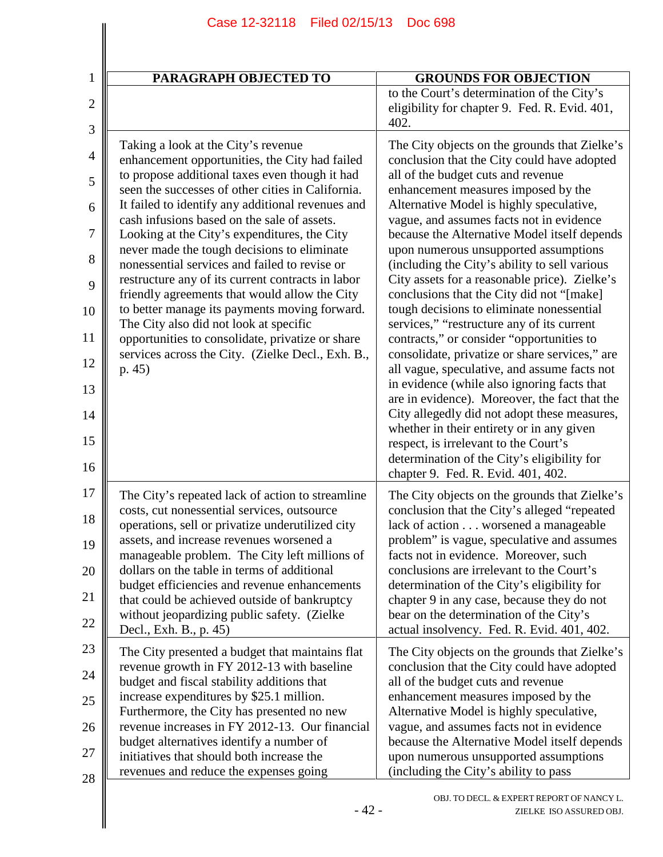| $\mathbf{1}$        | PARAGRAPH OBJECTED TO                                                                                                 | <b>GROUNDS FOR OBJECTION</b>                                                                                                        |
|---------------------|-----------------------------------------------------------------------------------------------------------------------|-------------------------------------------------------------------------------------------------------------------------------------|
| $\overline{2}$      |                                                                                                                       | to the Court's determination of the City's<br>eligibility for chapter 9. Fed. R. Evid. 401,<br>402.                                 |
| 3<br>$\overline{4}$ | Taking a look at the City's revenue<br>enhancement opportunities, the City had failed                                 | The City objects on the grounds that Zielke's<br>conclusion that the City could have adopted                                        |
| 5                   | to propose additional taxes even though it had<br>seen the successes of other cities in California.                   | all of the budget cuts and revenue<br>enhancement measures imposed by the                                                           |
| 6                   | It failed to identify any additional revenues and<br>cash infusions based on the sale of assets.                      | Alternative Model is highly speculative,                                                                                            |
| 7                   | Looking at the City's expenditures, the City                                                                          | vague, and assumes facts not in evidence<br>because the Alternative Model itself depends                                            |
| 8                   | never made the tough decisions to eliminate<br>nonessential services and failed to revise or                          | upon numerous unsupported assumptions<br>(including the City's ability to sell various                                              |
| 9                   | restructure any of its current contracts in labor<br>friendly agreements that would allow the City                    | City assets for a reasonable price). Zielke's<br>conclusions that the City did not "[make]                                          |
| 10                  | to better manage its payments moving forward.<br>The City also did not look at specific                               | tough decisions to eliminate nonessential<br>services," "restructure any of its current                                             |
| 11                  | opportunities to consolidate, privatize or share<br>services across the City. (Zielke Decl., Exh. B.,                 | contracts," or consider "opportunities to<br>consolidate, privatize or share services," are                                         |
| 12<br>13            | p.45)                                                                                                                 | all vague, speculative, and assume facts not<br>in evidence (while also ignoring facts that                                         |
| 14                  |                                                                                                                       | are in evidence). Moreover, the fact that the<br>City allegedly did not adopt these measures,                                       |
| 15                  |                                                                                                                       | whether in their entirety or in any given<br>respect, is irrelevant to the Court's                                                  |
| 16                  |                                                                                                                       | determination of the City's eligibility for<br>chapter 9. Fed. R. Evid. 401, 402.                                                   |
| 17                  | The City's repeated lack of action to streamline<br>costs, cut nonessential services, outsource                       | The City objects on the grounds that Zielke's                                                                                       |
| 18<br>19            | operations, sell or privatize underutilized city<br>assets, and increase revenues worsened a                          | conclusion that the City's alleged "repeated<br>lack of action worsened a manageable<br>problem" is vague, speculative and assumes  |
| 20                  | manageable problem. The City left millions of<br>dollars on the table in terms of additional                          | facts not in evidence. Moreover, such<br>conclusions are irrelevant to the Court's                                                  |
| 21                  | budget efficiencies and revenue enhancements                                                                          | determination of the City's eligibility for                                                                                         |
| 22                  | that could be achieved outside of bankruptcy<br>without jeopardizing public safety. (Zielke<br>Decl., Exh. B., p. 45) | chapter 9 in any case, because they do not<br>bear on the determination of the City's<br>actual insolvency. Fed. R. Evid. 401, 402. |
| 23                  | The City presented a budget that maintains flat                                                                       | The City objects on the grounds that Zielke's                                                                                       |
| 24                  | revenue growth in FY 2012-13 with baseline<br>budget and fiscal stability additions that                              | conclusion that the City could have adopted<br>all of the budget cuts and revenue                                                   |
| 25                  | increase expenditures by \$25.1 million.<br>Furthermore, the City has presented no new                                | enhancement measures imposed by the<br>Alternative Model is highly speculative,                                                     |
| 26                  | revenue increases in FY 2012-13. Our financial<br>budget alternatives identify a number of                            | vague, and assumes facts not in evidence<br>because the Alternative Model itself depends                                            |
| 27                  | initiatives that should both increase the<br>revenues and reduce the expenses going                                   | upon numerous unsupported assumptions<br>(including the City's ability to pass                                                      |
| 28                  | $-42-$                                                                                                                | OBJ. TO DECL. & EXPERT REPORT OF NANCY L.<br>ZIELKE ISO ASSURED OBJ.                                                                |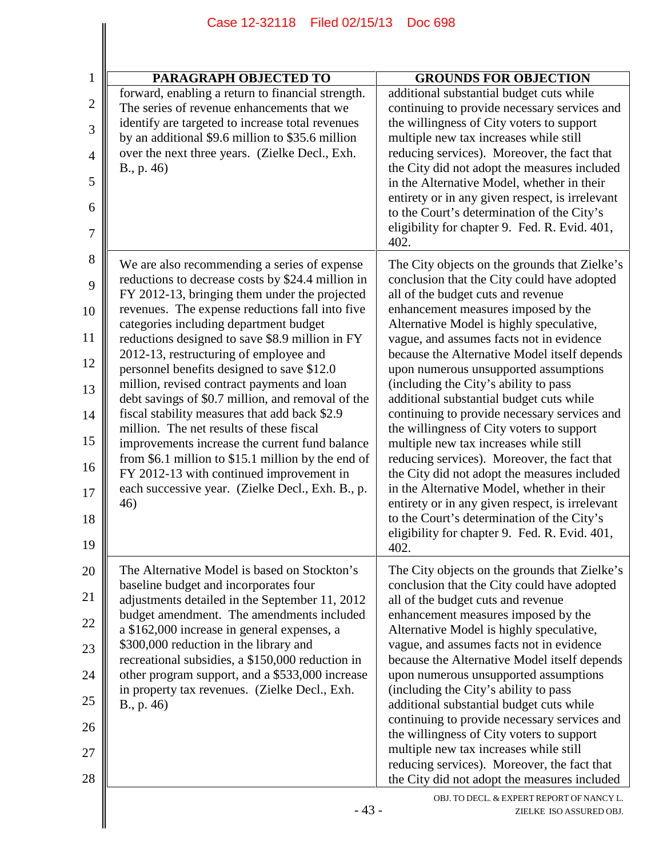| Case 12-32118<br>Filed 02/15/13<br><b>Doc 698</b>                                                                                                                                                                                                                                                                                                                                                                                                                                                                                                                                                                                                                                                                                                                                                            |                                                                                                                                                                                                                                                                                                                                                                                                                                                                                                                                                                                                                                                                                                                                                                                                                                                                                               |  |
|--------------------------------------------------------------------------------------------------------------------------------------------------------------------------------------------------------------------------------------------------------------------------------------------------------------------------------------------------------------------------------------------------------------------------------------------------------------------------------------------------------------------------------------------------------------------------------------------------------------------------------------------------------------------------------------------------------------------------------------------------------------------------------------------------------------|-----------------------------------------------------------------------------------------------------------------------------------------------------------------------------------------------------------------------------------------------------------------------------------------------------------------------------------------------------------------------------------------------------------------------------------------------------------------------------------------------------------------------------------------------------------------------------------------------------------------------------------------------------------------------------------------------------------------------------------------------------------------------------------------------------------------------------------------------------------------------------------------------|--|
| <b>PARAGRAPH OBJECTED TO</b>                                                                                                                                                                                                                                                                                                                                                                                                                                                                                                                                                                                                                                                                                                                                                                                 | <b>GROUNDS FOR OBJECTION</b>                                                                                                                                                                                                                                                                                                                                                                                                                                                                                                                                                                                                                                                                                                                                                                                                                                                                  |  |
| forward, enabling a return to financial strength.<br>The series of revenue enhancements that we<br>identify are targeted to increase total revenues<br>by an additional \$9.6 million to \$35.6 million<br>over the next three years. (Zielke Decl., Exh.<br>B., p. 46)                                                                                                                                                                                                                                                                                                                                                                                                                                                                                                                                      | additional substantial budget cuts while<br>continuing to provide necessary services and<br>the willingness of City voters to support<br>multiple new tax increases while still<br>reducing services). Moreover, the fact that<br>the City did not adopt the measures included<br>in the Alternative Model, whether in their<br>entirety or in any given respect, is irrelevant<br>to the Court's determination of the City's<br>eligibility for chapter 9. Fed. R. Evid. 401,<br>402.                                                                                                                                                                                                                                                                                                                                                                                                        |  |
| We are also recommending a series of expense<br>reductions to decrease costs by \$24.4 million in<br>FY 2012-13, bringing them under the projected<br>revenues. The expense reductions fall into five<br>categories including department budget<br>reductions designed to save \$8.9 million in FY<br>2012-13, restructuring of employee and<br>personnel benefits designed to save \$12.0<br>million, revised contract payments and loan<br>debt savings of \$0.7 million, and removal of the<br>fiscal stability measures that add back \$2.9<br>million. The net results of these fiscal<br>improvements increase the current fund balance<br>from $$6.1$ million to $$15.1$ million by the end of<br>FY 2012-13 with continued improvement in<br>each successive year. (Zielke Decl., Exh. B., p.<br>46) | The City objects on the grounds that Zielke's<br>conclusion that the City could have adopted<br>all of the budget cuts and revenue<br>enhancement measures imposed by the<br>Alternative Model is highly speculative,<br>vague, and assumes facts not in evidence<br>because the Alternative Model itself depends<br>upon numerous unsupported assumptions<br>(including the City's ability to pass<br>additional substantial budget cuts while<br>continuing to provide necessary services and<br>the willingness of City voters to support<br>multiple new tax increases while still<br>reducing services). Moreover, the fact that<br>the City did not adopt the measures included<br>in the Alternative Model, whether in their<br>entirety or in any given respect, is irrelevant<br>to the Court's determination of the City's<br>eligibility for chapter 9. Fed. R. Evid. 401,<br>402. |  |
| The Alternative Model is based on Stockton's<br>baseline budget and incorporates four<br>adjustments detailed in the September 11, 2012<br>budget amendment. The amendments included<br>a \$162,000 increase in general expenses, a<br>\$300,000 reduction in the library and<br>recreational subsidies, a \$150,000 reduction in<br>other program support, and a \$533,000 increase<br>in property tax revenues. (Zielke Decl., Exh.<br>B., p. 46)                                                                                                                                                                                                                                                                                                                                                          | The City objects on the grounds that Zielke's<br>conclusion that the City could have adopted<br>all of the budget cuts and revenue<br>enhancement measures imposed by the<br>Alternative Model is highly speculative,<br>vague, and assumes facts not in evidence<br>because the Alternative Model itself depends<br>upon numerous unsupported assumptions<br>(including the City's ability to pass<br>additional substantial budget cuts while<br>continuing to provide necessary services and<br>the willingness of City voters to support                                                                                                                                                                                                                                                                                                                                                  |  |

2

3

4

5

6

7

8

9

10

11

12

13

14

15

16

17

18

19

20

21

22

23

24

25

26

27

28

multiple new tax increases while still

reducing services). Moreover, the fact that the City did not adopt the measures included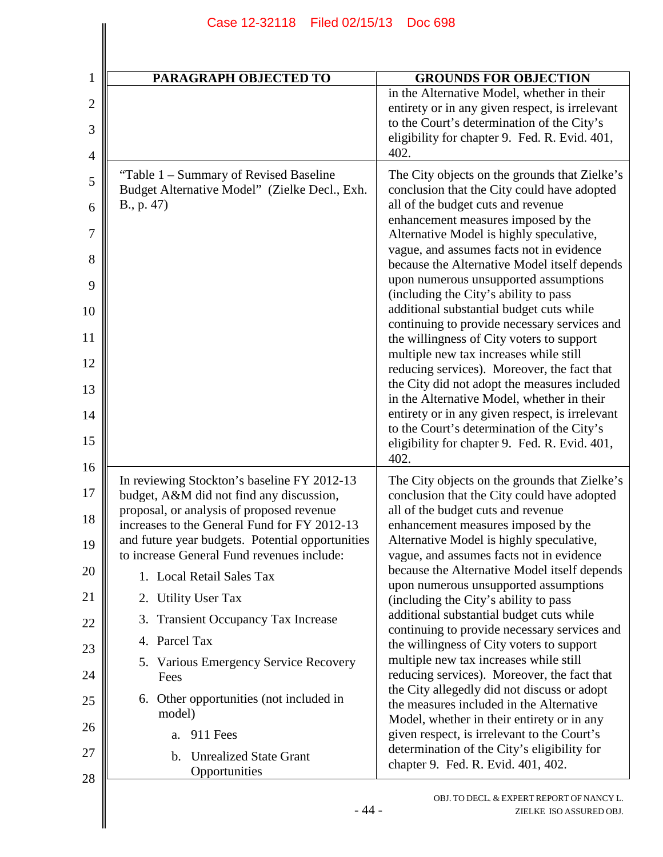| 1              | <b>PARAGRAPH OBJECTED TO</b>                                                                     | <b>GROUNDS FOR OBJECTION</b>                                                                  |
|----------------|--------------------------------------------------------------------------------------------------|-----------------------------------------------------------------------------------------------|
| $\overline{2}$ |                                                                                                  | in the Alternative Model, whether in their<br>entirety or in any given respect, is irrelevant |
| 3              |                                                                                                  | to the Court's determination of the City's                                                    |
| $\overline{4}$ |                                                                                                  | eligibility for chapter 9. Fed. R. Evid. 401,<br>402.                                         |
| 5              | "Table 1 – Summary of Revised Baseline"                                                          | The City objects on the grounds that Zielke's                                                 |
| 6              | Budget Alternative Model" (Zielke Decl., Exh.<br>B., p. 47)                                      | conclusion that the City could have adopted<br>all of the budget cuts and revenue             |
|                |                                                                                                  | enhancement measures imposed by the                                                           |
| 7<br>8         |                                                                                                  | Alternative Model is highly speculative,<br>vague, and assumes facts not in evidence          |
| 9              |                                                                                                  | because the Alternative Model itself depends<br>upon numerous unsupported assumptions         |
| 10             |                                                                                                  | (including the City's ability to pass<br>additional substantial budget cuts while             |
| 11             |                                                                                                  | continuing to provide necessary services and<br>the willingness of City voters to support     |
| 12             |                                                                                                  | multiple new tax increases while still<br>reducing services). Moreover, the fact that         |
| 13             |                                                                                                  | the City did not adopt the measures included<br>in the Alternative Model, whether in their    |
| 14             |                                                                                                  | entirety or in any given respect, is irrelevant<br>to the Court's determination of the City's |
| 15             |                                                                                                  | eligibility for chapter 9. Fed. R. Evid. 401,<br>402.                                         |
| 16             | In reviewing Stockton's baseline FY 2012-13                                                      | The City objects on the grounds that Zielke's                                                 |
| 17             | budget, A&M did not find any discussion,                                                         | conclusion that the City could have adopted                                                   |
| 18             | proposal, or analysis of proposed revenue                                                        | all of the budget cuts and revenue                                                            |
|                | increases to the General Fund for FY 2012-13<br>and future year budgets. Potential opportunities | enhancement measures imposed by the<br>Alternative Model is highly speculative,               |
| 19             | to increase General Fund revenues include:                                                       | vague, and assumes facts not in evidence                                                      |
| 20             | 1. Local Retail Sales Tax                                                                        | because the Alternative Model itself depends<br>upon numerous unsupported assumptions         |
| 21             | 2. Utility User Tax                                                                              | (including the City's ability to pass                                                         |
| 22             | 3. Transient Occupancy Tax Increase                                                              | additional substantial budget cuts while<br>continuing to provide necessary services and      |
| 23             | 4. Parcel Tax                                                                                    | the willingness of City voters to support                                                     |
| 24             | 5. Various Emergency Service Recovery<br>Fees                                                    | multiple new tax increases while still<br>reducing services). Moreover, the fact that         |
| 25             | Other opportunities (not included in<br>6.<br>model)                                             | the City allegedly did not discuss or adopt<br>the measures included in the Alternative       |
| 26             | 911 Fees<br>a.                                                                                   | Model, whether in their entirety or in any<br>given respect, is irrelevant to the Court's     |
| 27             | <b>Unrealized State Grant</b><br>b.                                                              | determination of the City's eligibility for<br>chapter 9. Fed. R. Evid. 401, 402.             |
| $\Omega$       | Opportunities                                                                                    |                                                                                               |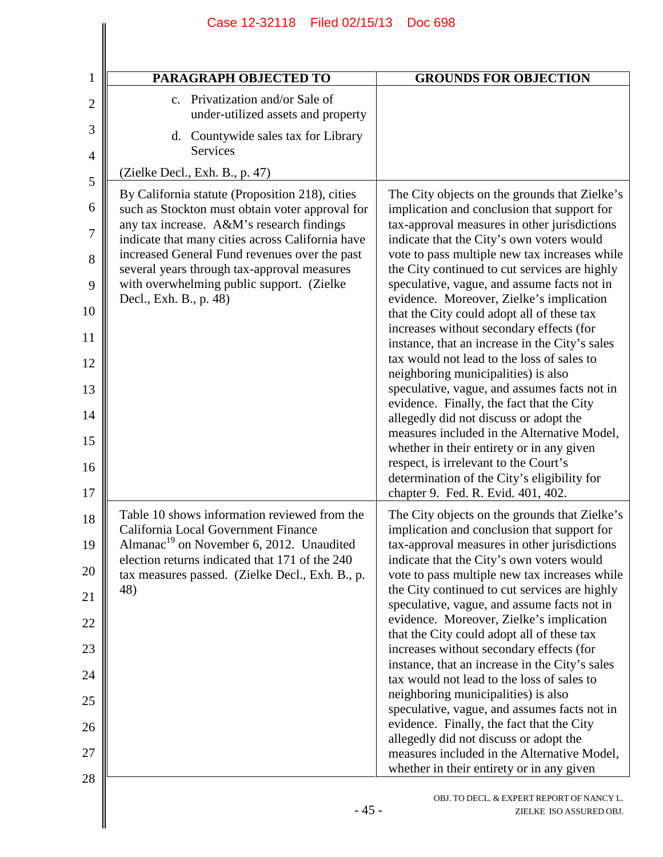| Case 12-32118                                                                                                                                                                                                                                                                                                                                                              | Filed 02/15/13<br><b>Doc 698</b>                                                                                                                                                                                                                                                                                                                                                                                                                                                                                                                                                                                                                                                                                                                                                                                                                                                                                                                                                         |
|----------------------------------------------------------------------------------------------------------------------------------------------------------------------------------------------------------------------------------------------------------------------------------------------------------------------------------------------------------------------------|------------------------------------------------------------------------------------------------------------------------------------------------------------------------------------------------------------------------------------------------------------------------------------------------------------------------------------------------------------------------------------------------------------------------------------------------------------------------------------------------------------------------------------------------------------------------------------------------------------------------------------------------------------------------------------------------------------------------------------------------------------------------------------------------------------------------------------------------------------------------------------------------------------------------------------------------------------------------------------------|
|                                                                                                                                                                                                                                                                                                                                                                            |                                                                                                                                                                                                                                                                                                                                                                                                                                                                                                                                                                                                                                                                                                                                                                                                                                                                                                                                                                                          |
| <b>PARAGRAPH OBJECTED TO</b>                                                                                                                                                                                                                                                                                                                                               | <b>GROUNDS FOR OBJECTION</b>                                                                                                                                                                                                                                                                                                                                                                                                                                                                                                                                                                                                                                                                                                                                                                                                                                                                                                                                                             |
| Privatization and/or Sale of<br>$\mathbf{c}$ .<br>under-utilized assets and property                                                                                                                                                                                                                                                                                       |                                                                                                                                                                                                                                                                                                                                                                                                                                                                                                                                                                                                                                                                                                                                                                                                                                                                                                                                                                                          |
| d. Countywide sales tax for Library<br><b>Services</b>                                                                                                                                                                                                                                                                                                                     |                                                                                                                                                                                                                                                                                                                                                                                                                                                                                                                                                                                                                                                                                                                                                                                                                                                                                                                                                                                          |
| (Zielke Decl., Exh. B., p. 47)                                                                                                                                                                                                                                                                                                                                             |                                                                                                                                                                                                                                                                                                                                                                                                                                                                                                                                                                                                                                                                                                                                                                                                                                                                                                                                                                                          |
| By California statute (Proposition 218), cities<br>such as Stockton must obtain voter approval for<br>any tax increase. A&M's research findings<br>indicate that many cities across California have<br>increased General Fund revenues over the past<br>several years through tax-approval measures<br>with overwhelming public support. (Zielke<br>Decl., Exh. B., p. 48) | The City objects on the grounds that Zielke's<br>implication and conclusion that support for<br>tax-approval measures in other jurisdictions<br>indicate that the City's own voters would<br>vote to pass multiple new tax increases while<br>the City continued to cut services are highly<br>speculative, vague, and assume facts not in<br>evidence. Moreover, Zielke's implication<br>that the City could adopt all of these tax<br>increases without secondary effects (for<br>instance, that an increase in the City's sales<br>tax would not lead to the loss of sales to<br>neighboring municipalities) is also<br>speculative, vague, and assumes facts not in<br>evidence. Finally, the fact that the City<br>allegedly did not discuss or adopt the<br>measures included in the Alternative Model,<br>whether in their entirety or in any given<br>respect, is irrelevant to the Court's<br>determination of the City's eligibility for<br>chapter 9. Fed. R. Evid. 401, 402. |
| Table 10 shows information reviewed from the<br>California Local Government Finance<br>Almanac <sup>19</sup> on November 6, 2012. Unaudited<br>election returns indicated that 171 of the 240<br>tax measures passed. (Zielke Decl., Exh. B., p.<br>48)                                                                                                                    | The City objects on the grounds that Zielke's<br>implication and conclusion that support for<br>tax-approval measures in other jurisdictions<br>indicate that the City's own voters would<br>vote to pass multiple new tax increases while<br>the City continued to cut services are highly<br>speculative, vague, and assume facts not in<br>evidence. Moreover, Zielke's implication<br>that the City could adopt all of these tax<br>increases without secondary effects (for<br>instance, that an increase in the City's sales<br>tax would not lead to the loss of sales to<br>neighboring municipalities) is also<br>speculative, vague, and assumes facts not in<br>evidence. Finally, the fact that the City<br>allegedly did not discuss or adopt the<br>measures included in the Alternative Model,<br>whether in their entirety or in any given                                                                                                                               |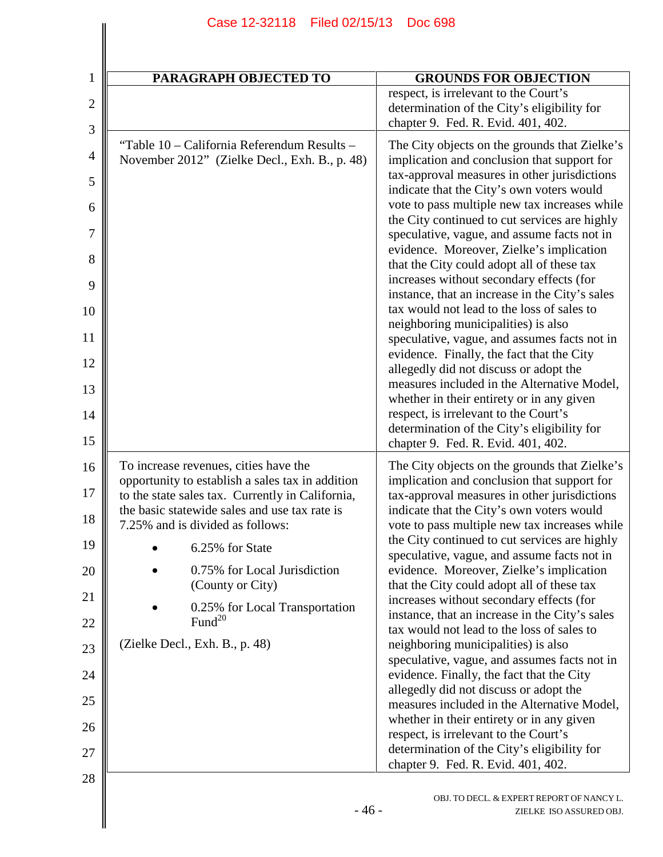| <b>PARAGRAPH OBJECTED TO</b>                                                                                                                  | <b>GROUNDS FOR OBJECTION</b>                                                                                                                                                                                                                                                                                                                                                                                                                                                                                                                                                                                                                                                                                                                                                                                                                                                                                                                                                             |
|-----------------------------------------------------------------------------------------------------------------------------------------------|------------------------------------------------------------------------------------------------------------------------------------------------------------------------------------------------------------------------------------------------------------------------------------------------------------------------------------------------------------------------------------------------------------------------------------------------------------------------------------------------------------------------------------------------------------------------------------------------------------------------------------------------------------------------------------------------------------------------------------------------------------------------------------------------------------------------------------------------------------------------------------------------------------------------------------------------------------------------------------------|
|                                                                                                                                               | respect, is irrelevant to the Court's<br>determination of the City's eligibility for<br>chapter 9. Fed. R. Evid. 401, 402.                                                                                                                                                                                                                                                                                                                                                                                                                                                                                                                                                                                                                                                                                                                                                                                                                                                               |
| "Table 10 – California Referendum Results –<br>November 2012" (Zielke Decl., Exh. B., p. 48)                                                  | The City objects on the grounds that Zielke's<br>implication and conclusion that support for<br>tax-approval measures in other jurisdictions<br>indicate that the City's own voters would<br>vote to pass multiple new tax increases while<br>the City continued to cut services are highly<br>speculative, vague, and assume facts not in<br>evidence. Moreover, Zielke's implication<br>that the City could adopt all of these tax<br>increases without secondary effects (for<br>instance, that an increase in the City's sales<br>tax would not lead to the loss of sales to<br>neighboring municipalities) is also<br>speculative, vague, and assumes facts not in<br>evidence. Finally, the fact that the City<br>allegedly did not discuss or adopt the<br>measures included in the Alternative Model,<br>whether in their entirety or in any given<br>respect, is irrelevant to the Court's<br>determination of the City's eligibility for<br>chapter 9. Fed. R. Evid. 401, 402. |
| To increase revenues, cities have the<br>opportunity to establish a sales tax in addition<br>to the state sales tax. Currently in California, | The City objects on the grounds that Zielke's<br>implication and conclusion that support for<br>tax-approval measures in other jurisdictions                                                                                                                                                                                                                                                                                                                                                                                                                                                                                                                                                                                                                                                                                                                                                                                                                                             |
| the basic statewide sales and use tax rate is<br>7.25% and is divided as follows:                                                             | indicate that the City's own voters would<br>vote to pass multiple new tax increases while                                                                                                                                                                                                                                                                                                                                                                                                                                                                                                                                                                                                                                                                                                                                                                                                                                                                                               |
| 6.25% for State                                                                                                                               | the City continued to cut services are highly<br>speculative, vague, and assume facts not in                                                                                                                                                                                                                                                                                                                                                                                                                                                                                                                                                                                                                                                                                                                                                                                                                                                                                             |
| 0.75% for Local Jurisdiction<br>(County or City)                                                                                              | evidence. Moreover, Zielke's implication<br>that the City could adopt all of these tax                                                                                                                                                                                                                                                                                                                                                                                                                                                                                                                                                                                                                                                                                                                                                                                                                                                                                                   |
| 0.25% for Local Transportation<br>Fund <sup>20</sup>                                                                                          | increases without secondary effects (for<br>instance, that an increase in the City's sales<br>tax would not lead to the loss of sales to                                                                                                                                                                                                                                                                                                                                                                                                                                                                                                                                                                                                                                                                                                                                                                                                                                                 |
| (Zielke Decl., Exh. B., p. 48)                                                                                                                | neighboring municipalities) is also                                                                                                                                                                                                                                                                                                                                                                                                                                                                                                                                                                                                                                                                                                                                                                                                                                                                                                                                                      |
|                                                                                                                                               | speculative, vague, and assumes facts not in<br>evidence. Finally, the fact that the City                                                                                                                                                                                                                                                                                                                                                                                                                                                                                                                                                                                                                                                                                                                                                                                                                                                                                                |
|                                                                                                                                               | allegedly did not discuss or adopt the<br>measures included in the Alternative Model,                                                                                                                                                                                                                                                                                                                                                                                                                                                                                                                                                                                                                                                                                                                                                                                                                                                                                                    |
|                                                                                                                                               | whether in their entirety or in any given<br>respect, is irrelevant to the Court's                                                                                                                                                                                                                                                                                                                                                                                                                                                                                                                                                                                                                                                                                                                                                                                                                                                                                                       |
|                                                                                                                                               | determination of the City's eligibility for<br>chapter 9. Fed. R. Evid. 401, 402.                                                                                                                                                                                                                                                                                                                                                                                                                                                                                                                                                                                                                                                                                                                                                                                                                                                                                                        |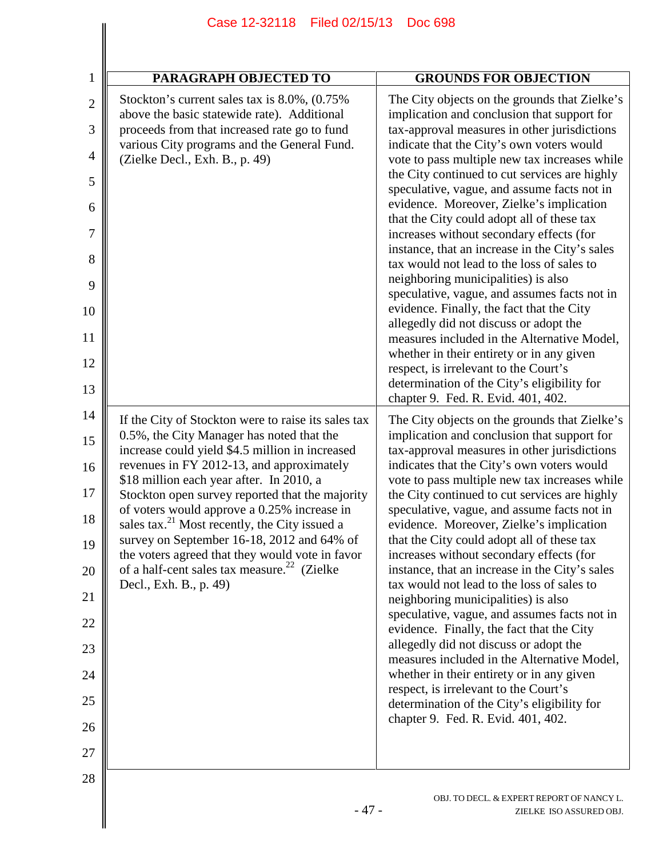|                     | Case 12-32118<br>Filed 02/15/13                                                                            | Doc 698                                                                                        |
|---------------------|------------------------------------------------------------------------------------------------------------|------------------------------------------------------------------------------------------------|
| 1                   | <b>PARAGRAPH OBJECTED TO</b>                                                                               | <b>GROUNDS FOR OBJECTION</b>                                                                   |
| $\overline{2}$      | Stockton's current sales tax is 8.0%, (0.75%)                                                              | The City objects on the grounds that Zielke's                                                  |
|                     | above the basic statewide rate). Additional                                                                | implication and conclusion that support for                                                    |
| 3                   | proceeds from that increased rate go to fund<br>various City programs and the General Fund.                | tax-approval measures in other jurisdictions<br>indicate that the City's own voters would      |
| $\overline{4}$<br>5 | (Zielke Decl., Exh. B., p. 49)                                                                             | vote to pass multiple new tax increases while<br>the City continued to cut services are highly |
| 6                   |                                                                                                            | speculative, vague, and assume facts not in<br>evidence. Moreover, Zielke's implication        |
| 7                   |                                                                                                            | that the City could adopt all of these tax<br>increases without secondary effects (for         |
| 8                   |                                                                                                            | instance, that an increase in the City's sales<br>tax would not lead to the loss of sales to   |
| 9                   |                                                                                                            | neighboring municipalities) is also<br>speculative, vague, and assumes facts not in            |
| 10                  |                                                                                                            | evidence. Finally, the fact that the City<br>allegedly did not discuss or adopt the            |
| 11                  |                                                                                                            | measures included in the Alternative Model,<br>whether in their entirety or in any given       |
| 12                  |                                                                                                            | respect, is irrelevant to the Court's                                                          |
| 13                  |                                                                                                            | determination of the City's eligibility for<br>chapter 9. Fed. R. Evid. 401, 402.              |
| 14                  | If the City of Stockton were to raise its sales tax                                                        | The City objects on the grounds that Zielke's                                                  |
| 15                  | 0.5%, the City Manager has noted that the<br>increase could yield \$4.5 million in increased               | implication and conclusion that support for<br>tax-approval measures in other jurisdictions    |
| 16                  | revenues in FY 2012-13, and approximately<br>\$18 million each year after. In 2010, a                      | indicates that the City's own voters would<br>vote to pass multiple new tax increases while    |
| 17<br>18            | Stockton open survey reported that the majority<br>of voters would approve a 0.25% increase in             | the City continued to cut services are highly<br>speculative, vague, and assume facts not in   |
| 19                  | sales tax. <sup>21</sup> Most recently, the City issued a<br>survey on September 16-18, 2012 and 64% of    | evidence. Moreover, Zielke's implication<br>that the City could adopt all of these tax         |
| 20                  | the voters agreed that they would vote in favor<br>of a half-cent sales tax measure. <sup>22</sup> (Zielke | increases without secondary effects (for<br>instance, that an increase in the City's sales     |
| 21                  | Decl., Exh. B., p. 49)                                                                                     | tax would not lead to the loss of sales to<br>neighboring municipalities) is also              |
| 22                  |                                                                                                            | speculative, vague, and assumes facts not in<br>evidence. Finally, the fact that the City      |
| 23                  |                                                                                                            | allegedly did not discuss or adopt the                                                         |
| 24                  |                                                                                                            | measures included in the Alternative Model,<br>whether in their entirety or in any given       |
| 25                  |                                                                                                            | respect, is irrelevant to the Court's<br>determination of the City's eligibility for           |
| 26                  |                                                                                                            | chapter 9. Fed. R. Evid. 401, 402.                                                             |
| 27                  |                                                                                                            |                                                                                                |
| 28                  |                                                                                                            |                                                                                                |
|                     | $-47-$                                                                                                     | OBJ. TO DECL. & EXPERT REPORT OF NANCY L.<br>ZIELKE ISO ASSURED OBJ.                           |
|                     |                                                                                                            |                                                                                                |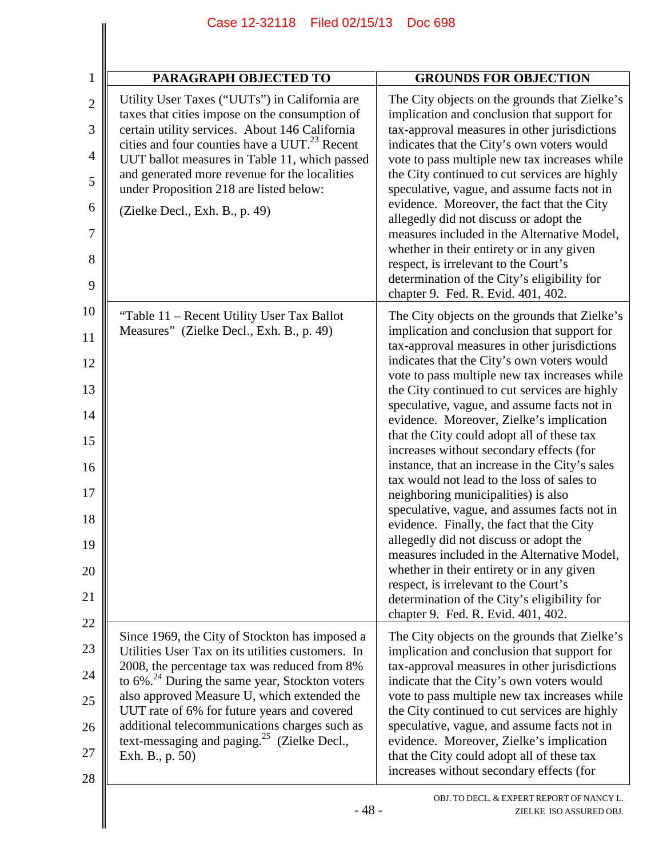| <b>PARAGRAPH OBJECTED TO</b>                                                                                                                                                                                                                                                                                                                                                                                                            | <b>GROUNDS FOR OBJECTION</b>                                                                                                                                                                                                                                                                                                                                                                                                                                                                                                                                                                                                                                                                                                                                                                                                                                                                                                                                                              |
|-----------------------------------------------------------------------------------------------------------------------------------------------------------------------------------------------------------------------------------------------------------------------------------------------------------------------------------------------------------------------------------------------------------------------------------------|-------------------------------------------------------------------------------------------------------------------------------------------------------------------------------------------------------------------------------------------------------------------------------------------------------------------------------------------------------------------------------------------------------------------------------------------------------------------------------------------------------------------------------------------------------------------------------------------------------------------------------------------------------------------------------------------------------------------------------------------------------------------------------------------------------------------------------------------------------------------------------------------------------------------------------------------------------------------------------------------|
| Utility User Taxes ("UUTs") in California are<br>taxes that cities impose on the consumption of<br>certain utility services. About 146 California<br>cities and four counties have a UUT. <sup>23</sup> Recent<br>UUT ballot measures in Table 11, which passed<br>and generated more revenue for the localities<br>under Proposition 218 are listed below:<br>(Zielke Decl., Exh. B., p. 49)                                           | The City objects on the grounds that Zielke's<br>implication and conclusion that support for<br>tax-approval measures in other jurisdictions<br>indicates that the City's own voters would<br>vote to pass multiple new tax increases while<br>the City continued to cut services are highly<br>speculative, vague, and assume facts not in<br>evidence. Moreover, the fact that the City<br>allegedly did not discuss or adopt the<br>measures included in the Alternative Model,<br>whether in their entirety or in any given<br>respect, is irrelevant to the Court's<br>determination of the City's eligibility for<br>chapter 9. Fed. R. Evid. 401, 402.                                                                                                                                                                                                                                                                                                                             |
| "Table 11 – Recent Utility User Tax Ballot"<br>Measures" (Zielke Decl., Exh. B., p. 49)                                                                                                                                                                                                                                                                                                                                                 | The City objects on the grounds that Zielke's<br>implication and conclusion that support for<br>tax-approval measures in other jurisdictions<br>indicates that the City's own voters would<br>vote to pass multiple new tax increases while<br>the City continued to cut services are highly<br>speculative, vague, and assume facts not in<br>evidence. Moreover, Zielke's implication<br>that the City could adopt all of these tax<br>increases without secondary effects (for<br>instance, that an increase in the City's sales<br>tax would not lead to the loss of sales to<br>neighboring municipalities) is also<br>speculative, vague, and assumes facts not in<br>evidence. Finally, the fact that the City<br>allegedly did not discuss or adopt the<br>measures included in the Alternative Model,<br>whether in their entirety or in any given<br>respect, is irrelevant to the Court's<br>determination of the City's eligibility for<br>chapter 9. Fed. R. Evid. 401, 402. |
| Since 1969, the City of Stockton has imposed a<br>Utilities User Tax on its utilities customers. In<br>2008, the percentage tax was reduced from 8%<br>to $6\%$ <sup>24</sup> During the same year, Stockton voters<br>also approved Measure U, which extended the<br>UUT rate of 6% for future years and covered<br>additional telecommunications charges such as<br>text-messaging and paging. $25$ (Zielke Decl.,<br>Exh. B., p. 50) | The City objects on the grounds that Zielke's<br>implication and conclusion that support for<br>tax-approval measures in other jurisdictions<br>indicate that the City's own voters would<br>vote to pass multiple new tax increases while<br>the City continued to cut services are highly<br>speculative, vague, and assume facts not in<br>evidence. Moreover, Zielke's implication<br>that the City could adopt all of these tax<br>increases without secondary effects (for                                                                                                                                                                                                                                                                                                                                                                                                                                                                                                          |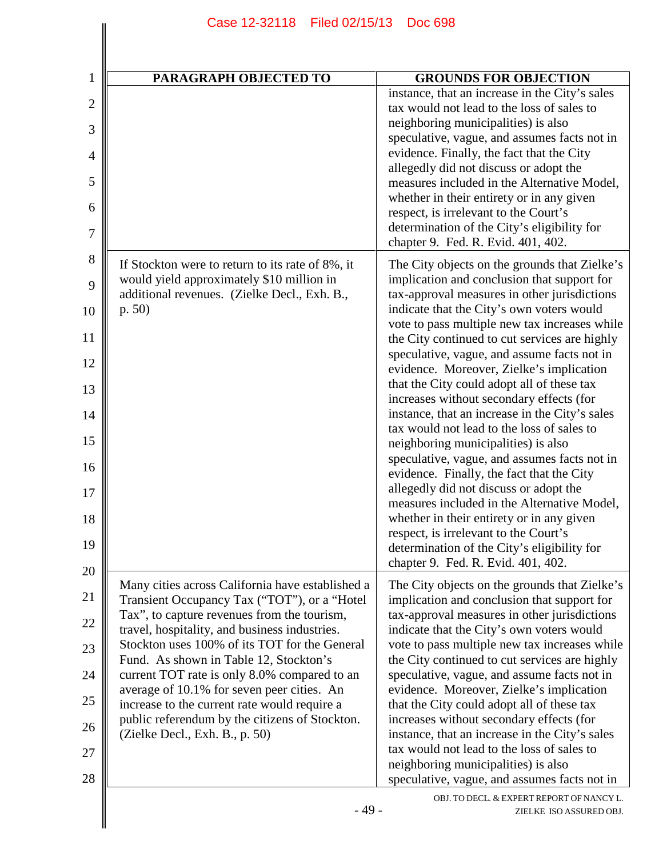| PARAGRAPH OBJECTED TO                                                                                                                           | <b>GROUNDS FOR OBJECTION</b>                                                                                                                                                                                                                                                                                                                                                                                                                                   |
|-------------------------------------------------------------------------------------------------------------------------------------------------|----------------------------------------------------------------------------------------------------------------------------------------------------------------------------------------------------------------------------------------------------------------------------------------------------------------------------------------------------------------------------------------------------------------------------------------------------------------|
|                                                                                                                                                 | instance, that an increase in the City's sales<br>tax would not lead to the loss of sales to<br>neighboring municipalities) is also<br>speculative, vague, and assumes facts not in<br>evidence. Finally, the fact that the City<br>allegedly did not discuss or adopt the<br>measures included in the Alternative Model,<br>whether in their entirety or in any given<br>respect, is irrelevant to the Court's<br>determination of the City's eligibility for |
|                                                                                                                                                 | chapter 9. Fed. R. Evid. 401, 402.                                                                                                                                                                                                                                                                                                                                                                                                                             |
| If Stockton were to return to its rate of 8%, it<br>would yield approximately \$10 million in<br>additional revenues. (Zielke Decl., Exh. B.,   | The City objects on the grounds that Zielke's<br>implication and conclusion that support for<br>tax-approval measures in other jurisdictions                                                                                                                                                                                                                                                                                                                   |
| p. 50)                                                                                                                                          | indicate that the City's own voters would<br>vote to pass multiple new tax increases while<br>the City continued to cut services are highly                                                                                                                                                                                                                                                                                                                    |
|                                                                                                                                                 | speculative, vague, and assume facts not in<br>evidence. Moreover, Zielke's implication                                                                                                                                                                                                                                                                                                                                                                        |
|                                                                                                                                                 | that the City could adopt all of these tax<br>increases without secondary effects (for<br>instance, that an increase in the City's sales                                                                                                                                                                                                                                                                                                                       |
|                                                                                                                                                 | tax would not lead to the loss of sales to<br>neighboring municipalities) is also<br>speculative, vague, and assumes facts not in                                                                                                                                                                                                                                                                                                                              |
|                                                                                                                                                 | evidence. Finally, the fact that the City<br>allegedly did not discuss or adopt the                                                                                                                                                                                                                                                                                                                                                                            |
|                                                                                                                                                 | measures included in the Alternative Model,<br>whether in their entirety or in any given<br>respect, is irrelevant to the Court's<br>determination of the City's eligibility for<br>chapter 9. Fed. R. Evid. 401, 402.                                                                                                                                                                                                                                         |
| Many cities across California have established a<br>Transient Occupancy Tax ("TOT"), or a "Hotel<br>Tax", to capture revenues from the tourism, | The City objects on the grounds that Zielke's<br>implication and conclusion that support for<br>tax-approval measures in other jurisdictions                                                                                                                                                                                                                                                                                                                   |
| travel, hospitality, and business industries.<br>Stockton uses 100% of its TOT for the General                                                  | indicate that the City's own voters would<br>vote to pass multiple new tax increases while                                                                                                                                                                                                                                                                                                                                                                     |
| Fund. As shown in Table 12, Stockton's<br>current TOT rate is only 8.0% compared to an                                                          | the City continued to cut services are highly<br>speculative, vague, and assume facts not in                                                                                                                                                                                                                                                                                                                                                                   |
| average of 10.1% for seven peer cities. An<br>increase to the current rate would require a                                                      | evidence. Moreover, Zielke's implication<br>that the City could adopt all of these tax                                                                                                                                                                                                                                                                                                                                                                         |
| public referendum by the citizens of Stockton.<br>(Zielke Decl., Exh. B., p. 50)                                                                | increases without secondary effects (for<br>instance, that an increase in the City's sales<br>tax would not lead to the loss of sales to                                                                                                                                                                                                                                                                                                                       |
|                                                                                                                                                 | neighboring municipalities) is also<br>speculative, vague, and assumes facts not in                                                                                                                                                                                                                                                                                                                                                                            |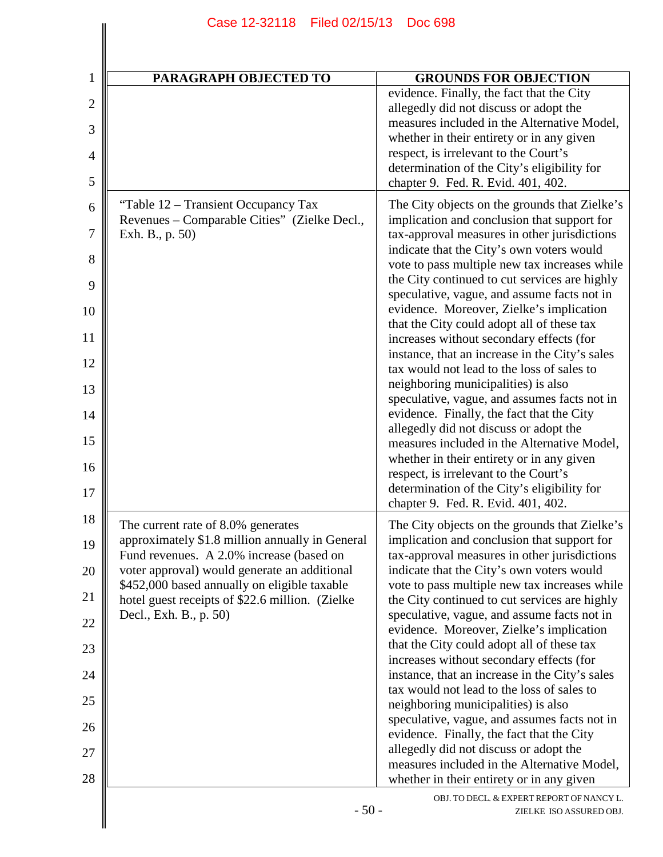| $\mathbf{1}$   | PARAGRAPH OBJECTED TO                                                                           | <b>GROUNDS FOR OBJECTION</b>                                                                                                               |
|----------------|-------------------------------------------------------------------------------------------------|--------------------------------------------------------------------------------------------------------------------------------------------|
| $\overline{2}$ |                                                                                                 | evidence. Finally, the fact that the City<br>allegedly did not discuss or adopt the                                                        |
| 3              |                                                                                                 | measures included in the Alternative Model,                                                                                                |
|                |                                                                                                 | whether in their entirety or in any given<br>respect, is irrelevant to the Court's                                                         |
| 4              |                                                                                                 | determination of the City's eligibility for                                                                                                |
| 5              |                                                                                                 | chapter 9. Fed. R. Evid. 401, 402.                                                                                                         |
| 6<br>7         | "Table 12 – Transient Occupancy Tax<br>Revenues – Comparable Cities" (Zielke Decl.,             | The City objects on the grounds that Zielke's<br>implication and conclusion that support for                                               |
| 8              | Exh. B., p. 50)                                                                                 | tax-approval measures in other jurisdictions<br>indicate that the City's own voters would<br>vote to pass multiple new tax increases while |
| 9              |                                                                                                 | the City continued to cut services are highly<br>speculative, vague, and assume facts not in                                               |
| 10             |                                                                                                 | evidence. Moreover, Zielke's implication<br>that the City could adopt all of these tax                                                     |
| 11             |                                                                                                 | increases without secondary effects (for<br>instance, that an increase in the City's sales                                                 |
| 12<br>13       |                                                                                                 | tax would not lead to the loss of sales to<br>neighboring municipalities) is also                                                          |
| 14             |                                                                                                 | speculative, vague, and assumes facts not in<br>evidence. Finally, the fact that the City                                                  |
| 15             |                                                                                                 | allegedly did not discuss or adopt the<br>measures included in the Alternative Model,                                                      |
| 16             |                                                                                                 | whether in their entirety or in any given<br>respect, is irrelevant to the Court's                                                         |
| 17             |                                                                                                 | determination of the City's eligibility for<br>chapter 9. Fed. R. Evid. 401, 402.                                                          |
| 18             | The current rate of 8.0% generates                                                              | The City objects on the grounds that Zielke's                                                                                              |
| 19             | approximately \$1.8 million annually in General<br>Fund revenues. A 2.0% increase (based on     | implication and conclusion that support for<br>tax-approval measures in other jurisdictions                                                |
| 20             | voter approval) would generate an additional                                                    | indicate that the City's own voters would                                                                                                  |
| 21             | \$452,000 based annually on eligible taxable<br>hotel guest receipts of \$22.6 million. (Zielke | vote to pass multiple new tax increases while<br>the City continued to cut services are highly                                             |
| 22             | Decl., Exh. B., p. 50)                                                                          | speculative, vague, and assume facts not in<br>evidence. Moreover, Zielke's implication                                                    |
| 23             |                                                                                                 | that the City could adopt all of these tax<br>increases without secondary effects (for                                                     |
| 24             |                                                                                                 | instance, that an increase in the City's sales<br>tax would not lead to the loss of sales to                                               |
| 25             |                                                                                                 | neighboring municipalities) is also                                                                                                        |
| 26             |                                                                                                 | speculative, vague, and assumes facts not in<br>evidence. Finally, the fact that the City                                                  |
| 27             |                                                                                                 | allegedly did not discuss or adopt the<br>measures included in the Alternative Model,                                                      |
| 28             |                                                                                                 | whether in their entirety or in any given                                                                                                  |
|                | $-50-$                                                                                          | OBJ. TO DECL. & EXPERT REPORT OF NANCY L.<br>ZIELKE ISO ASSURED OBJ.                                                                       |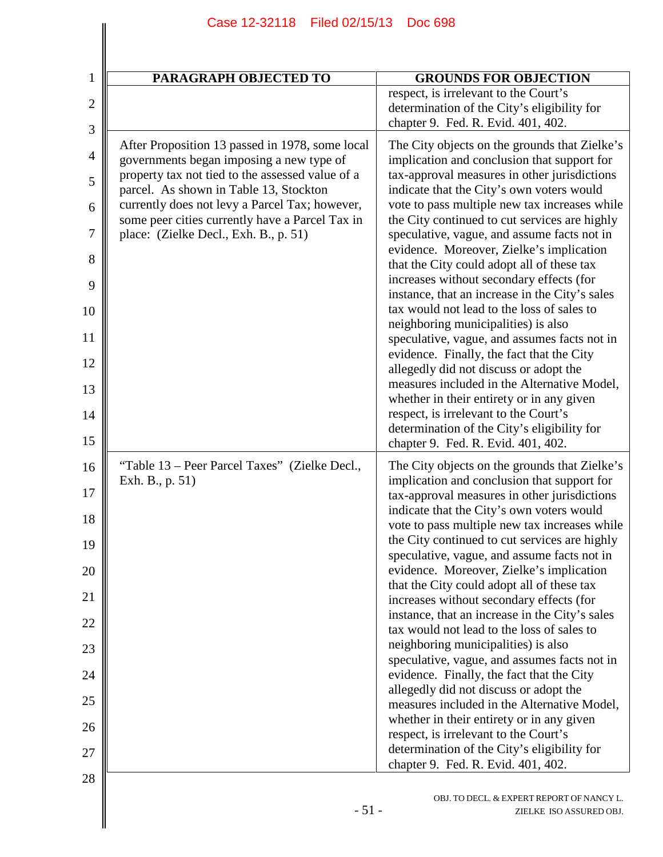| $\mathbf{1}$   | PARAGRAPH OBJECTED TO                                                                             | <b>GROUNDS FOR OBJECTION</b>                                                                                               |
|----------------|---------------------------------------------------------------------------------------------------|----------------------------------------------------------------------------------------------------------------------------|
| $\mathbf{2}$   |                                                                                                   | respect, is irrelevant to the Court's<br>determination of the City's eligibility for<br>chapter 9. Fed. R. Evid. 401, 402. |
| 3              |                                                                                                   |                                                                                                                            |
| $\overline{4}$ | After Proposition 13 passed in 1978, some local<br>governments began imposing a new type of       | The City objects on the grounds that Zielke's<br>implication and conclusion that support for                               |
| 5              | property tax not tied to the assessed value of a<br>parcel. As shown in Table 13, Stockton        | tax-approval measures in other jurisdictions<br>indicate that the City's own voters would                                  |
| 6              | currently does not levy a Parcel Tax; however,<br>some peer cities currently have a Parcel Tax in | vote to pass multiple new tax increases while<br>the City continued to cut services are highly                             |
| $\overline{7}$ | place: (Zielke Decl., Exh. B., p. 51)                                                             | speculative, vague, and assume facts not in<br>evidence. Moreover, Zielke's implication                                    |
| 8<br>9         |                                                                                                   | that the City could adopt all of these tax<br>increases without secondary effects (for                                     |
| 10             |                                                                                                   | instance, that an increase in the City's sales<br>tax would not lead to the loss of sales to                               |
| 11             |                                                                                                   | neighboring municipalities) is also<br>speculative, vague, and assumes facts not in                                        |
| 12             |                                                                                                   | evidence. Finally, the fact that the City<br>allegedly did not discuss or adopt the                                        |
| 13             |                                                                                                   | measures included in the Alternative Model,<br>whether in their entirety or in any given                                   |
| 14             |                                                                                                   | respect, is irrelevant to the Court's<br>determination of the City's eligibility for                                       |
| 15             |                                                                                                   | chapter 9. Fed. R. Evid. 401, 402.                                                                                         |
| 16             | "Table 13 – Peer Parcel Taxes" (Zielke Decl.,<br>Exh. B., p. 51)                                  | The City objects on the grounds that Zielke's<br>implication and conclusion that support for                               |
| 17             |                                                                                                   | tax-approval measures in other jurisdictions<br>indicate that the City's own voters would                                  |
| 18<br>19       |                                                                                                   | vote to pass multiple new tax increases while<br>the City continued to cut services are highly                             |
| 20             |                                                                                                   | speculative, vague, and assume facts not in<br>evidence. Moreover, Zielke's implication                                    |
| 21             |                                                                                                   | that the City could adopt all of these tax<br>increases without secondary effects (for                                     |
| 22             |                                                                                                   | instance, that an increase in the City's sales<br>tax would not lead to the loss of sales to                               |
| 23             |                                                                                                   | neighboring municipalities) is also<br>speculative, vague, and assumes facts not in                                        |
| 24             |                                                                                                   | evidence. Finally, the fact that the City<br>allegedly did not discuss or adopt the                                        |
| 25             |                                                                                                   | measures included in the Alternative Model,                                                                                |
| 26             |                                                                                                   | whether in their entirety or in any given<br>respect, is irrelevant to the Court's                                         |
| 27             |                                                                                                   | determination of the City's eligibility for<br>chapter 9. Fed. R. Evid. 401, 402.                                          |
| 28             | $-51-$                                                                                            | OBJ. TO DECL. & EXPERT REPORT OF NANCY L.<br>ZIELKE ISO ASSURED OBJ.                                                       |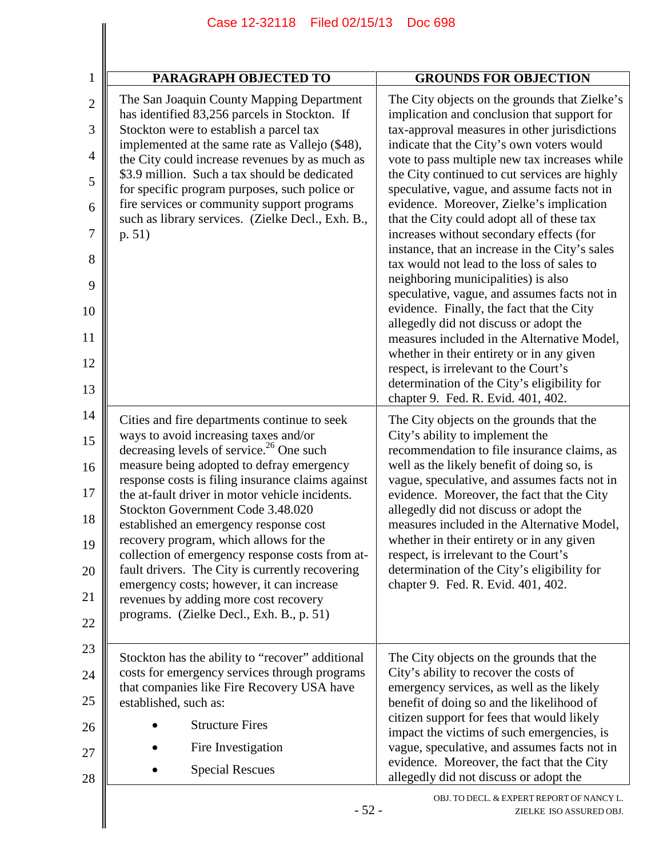| $\mathbf{1}$        | PARAGRAPH OBJECTED TO                                                                                                                 | <b>GROUNDS FOR OBJECTION</b>                                                                                                                 |
|---------------------|---------------------------------------------------------------------------------------------------------------------------------------|----------------------------------------------------------------------------------------------------------------------------------------------|
| $\overline{2}$<br>3 | The San Joaquin County Mapping Department<br>has identified 83,256 parcels in Stockton. If<br>Stockton were to establish a parcel tax | The City objects on the grounds that Zielke's<br>implication and conclusion that support for<br>tax-approval measures in other jurisdictions |
| 4                   | implemented at the same rate as Vallejo (\$48),                                                                                       | indicate that the City's own voters would                                                                                                    |
| 5                   | the City could increase revenues by as much as<br>\$3.9 million. Such a tax should be dedicated                                       | vote to pass multiple new tax increases while<br>the City continued to cut services are highly                                               |
| 6                   | for specific program purposes, such police or<br>fire services or community support programs                                          | speculative, vague, and assume facts not in<br>evidence. Moreover, Zielke's implication                                                      |
| 7                   | such as library services. (Zielke Decl., Exh. B.,<br>p. 51)                                                                           | that the City could adopt all of these tax<br>increases without secondary effects (for                                                       |
| 8                   |                                                                                                                                       | instance, that an increase in the City's sales                                                                                               |
| 9                   |                                                                                                                                       | tax would not lead to the loss of sales to<br>neighboring municipalities) is also                                                            |
| 10                  |                                                                                                                                       | speculative, vague, and assumes facts not in<br>evidence. Finally, the fact that the City                                                    |
| 11                  |                                                                                                                                       | allegedly did not discuss or adopt the<br>measures included in the Alternative Model,                                                        |
| 12                  |                                                                                                                                       | whether in their entirety or in any given                                                                                                    |
| 13                  |                                                                                                                                       | respect, is irrelevant to the Court's<br>determination of the City's eligibility for                                                         |
| 14                  | Cities and fire departments continue to seek                                                                                          | chapter 9. Fed. R. Evid. 401, 402.<br>The City objects on the grounds that the                                                               |
| 15                  | ways to avoid increasing taxes and/or                                                                                                 | City's ability to implement the                                                                                                              |
| 16                  | decreasing levels of service. <sup>26</sup> One such<br>measure being adopted to defray emergency                                     | recommendation to file insurance claims, as<br>well as the likely benefit of doing so, is                                                    |
| 17                  | response costs is filing insurance claims against<br>the at-fault driver in motor vehicle incidents.                                  | vague, speculative, and assumes facts not in<br>evidence. Moreover, the fact that the City                                                   |
| 18                  | Stockton Government Code 3.48.020<br>established an emergency response cost                                                           | allegedly did not discuss or adopt the<br>measures included in the Alternative Model,                                                        |
| 19                  | recovery program, which allows for the                                                                                                | whether in their entirety or in any given                                                                                                    |
| 20                  | collection of emergency response costs from at-<br>fault drivers. The City is currently recovering                                    | respect, is irrelevant to the Court's<br>determination of the City's eligibility for                                                         |
| 21                  | emergency costs; however, it can increase<br>revenues by adding more cost recovery                                                    | chapter 9. Fed. R. Evid. 401, 402.                                                                                                           |
| 22                  | programs. (Zielke Decl., Exh. B., p. 51)                                                                                              |                                                                                                                                              |
| 23                  | Stockton has the ability to "recover" additional                                                                                      |                                                                                                                                              |
| 24                  | costs for emergency services through programs                                                                                         | The City objects on the grounds that the<br>City's ability to recover the costs of                                                           |
| 25                  | that companies like Fire Recovery USA have<br>established, such as:                                                                   | emergency services, as well as the likely<br>benefit of doing so and the likelihood of                                                       |
| 26                  | <b>Structure Fires</b>                                                                                                                | citizen support for fees that would likely<br>impact the victims of such emergencies, is                                                     |
| 27                  | Fire Investigation                                                                                                                    | vague, speculative, and assumes facts not in                                                                                                 |
| 28                  | <b>Special Rescues</b>                                                                                                                | evidence. Moreover, the fact that the City<br>allegedly did not discuss or adopt the                                                         |
|                     | $-52-$                                                                                                                                | OBJ. TO DECL. & EXPERT REPORT OF NANCY L.<br>ZIELKE ISO ASSURED OBJ.                                                                         |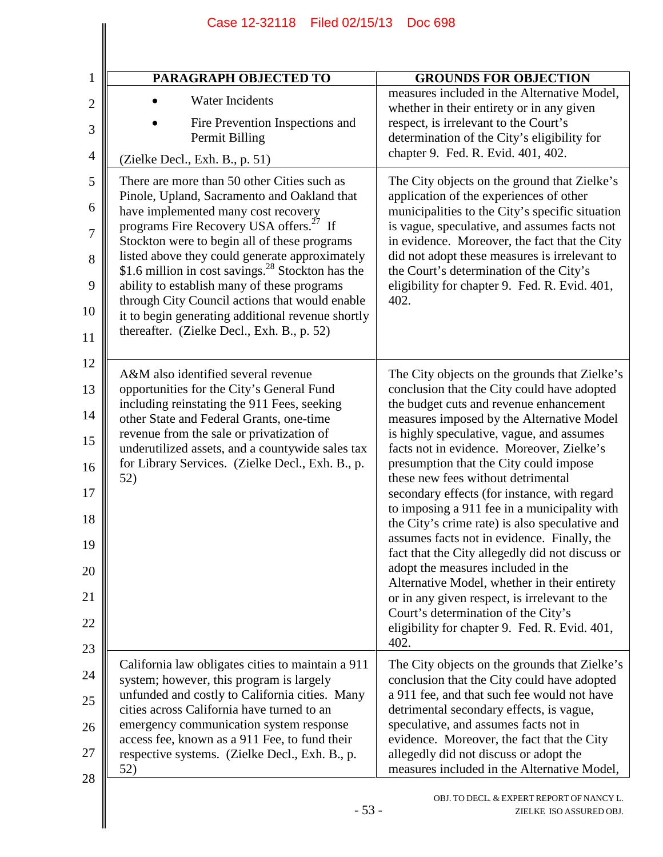| <b>PARAGRAPH OBJECTED TO</b>                                                                                                                          | <b>GROUNDS FOR OBJECTION</b>                                                                                                                   |
|-------------------------------------------------------------------------------------------------------------------------------------------------------|------------------------------------------------------------------------------------------------------------------------------------------------|
| <b>Water Incidents</b><br>Fire Prevention Inspections and                                                                                             | measures included in the Alternative Model,<br>whether in their entirety or in any given<br>respect, is irrelevant to the Court's              |
| Permit Billing<br>(Zielke Decl., Exh. B., p. 51)                                                                                                      | determination of the City's eligibility for<br>chapter 9. Fed. R. Evid. 401, 402.                                                              |
| There are more than 50 other Cities such as                                                                                                           | The City objects on the ground that Zielke's                                                                                                   |
| Pinole, Upland, Sacramento and Oakland that<br>have implemented many cost recovery                                                                    | application of the experiences of other<br>municipalities to the City's specific situation                                                     |
| programs Fire Recovery USA offers. <sup>27</sup> If<br>Stockton were to begin all of these programs<br>listed above they could generate approximately | is vague, speculative, and assumes facts not<br>in evidence. Moreover, the fact that the City<br>did not adopt these measures is irrelevant to |
| \$1.6 million in cost savings. <sup>28</sup> Stockton has the<br>ability to establish many of these programs                                          | the Court's determination of the City's<br>eligibility for chapter 9. Fed. R. Evid. 401,                                                       |
| through City Council actions that would enable<br>it to begin generating additional revenue shortly                                                   | 402.                                                                                                                                           |
| thereafter. (Zielke Decl., Exh. B., p. 52)                                                                                                            |                                                                                                                                                |
| A&M also identified several revenue<br>opportunities for the City's General Fund                                                                      | The City objects on the grounds that Zielke's<br>conclusion that the City could have adopted                                                   |
| including reinstating the 911 Fees, seeking<br>other State and Federal Grants, one-time                                                               | the budget cuts and revenue enhancement<br>measures imposed by the Alternative Model                                                           |
| revenue from the sale or privatization of<br>underutilized assets, and a countywide sales tax<br>for Library Services. (Zielke Decl., Exh. B., p.     | is highly speculative, vague, and assumes<br>facts not in evidence. Moreover, Zielke's<br>presumption that the City could impose               |
| 52)                                                                                                                                                   | these new fees without detrimental<br>secondary effects (for instance, with regard                                                             |
|                                                                                                                                                       | to imposing a 911 fee in a municipality with<br>the City's crime rate) is also speculative and                                                 |
|                                                                                                                                                       | assumes facts not in evidence. Finally, the<br>fact that the City allegedly did not discuss or                                                 |
|                                                                                                                                                       | adopt the measures included in the<br>Alternative Model, whether in their entirety<br>or in any given respect, is irrelevant to the            |
|                                                                                                                                                       | Court's determination of the City's<br>eligibility for chapter 9. Fed. R. Evid. 401,                                                           |
| California law obligates cities to maintain a 911                                                                                                     | 402.<br>The City objects on the grounds that Zielke's                                                                                          |
| system; however, this program is largely<br>unfunded and costly to California cities. Many<br>cities across California have turned to an              | conclusion that the City could have adopted<br>a 911 fee, and that such fee would not have                                                     |
| emergency communication system response<br>access fee, known as a 911 Fee, to fund their                                                              | detrimental secondary effects, is vague,<br>speculative, and assumes facts not in                                                              |
| respective systems. (Zielke Decl., Exh. B., p.<br>52)                                                                                                 | evidence. Moreover, the fact that the City<br>allegedly did not discuss or adopt the<br>measures included in the Alternative Model,            |

Case 12-32118 Filed 02/15/13 Doc 698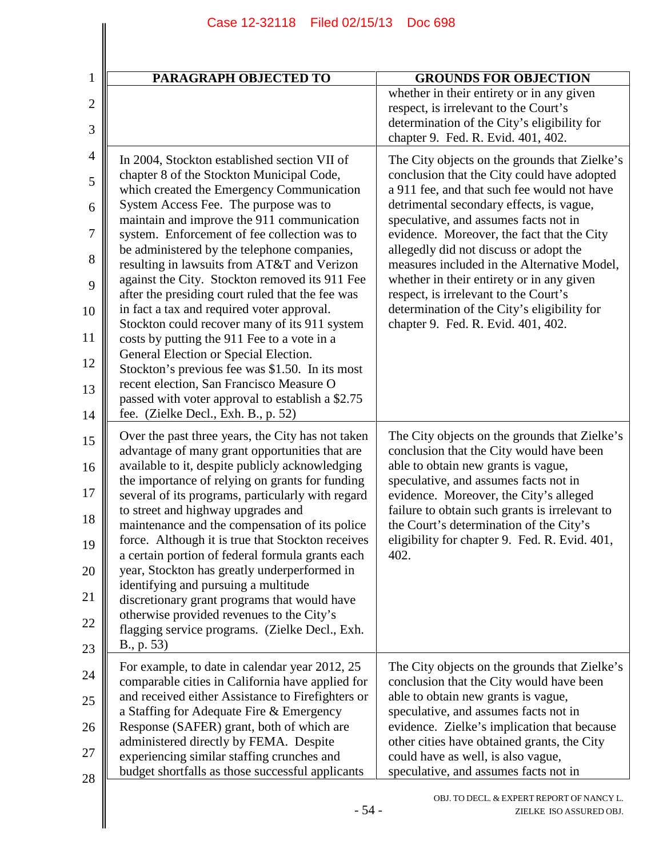| <b>PARAGRAPH OBJECTED TO</b>                                                                                                                                                                                                                                                                                                                                                                                                                                                                                                                                                                                                                                                                                                                                                                                                                                       | <b>GROUNDS FOR OBJECTION</b>                                                                                                                                                                                                                                                                                                                                                                                                                                                                                                                       |
|--------------------------------------------------------------------------------------------------------------------------------------------------------------------------------------------------------------------------------------------------------------------------------------------------------------------------------------------------------------------------------------------------------------------------------------------------------------------------------------------------------------------------------------------------------------------------------------------------------------------------------------------------------------------------------------------------------------------------------------------------------------------------------------------------------------------------------------------------------------------|----------------------------------------------------------------------------------------------------------------------------------------------------------------------------------------------------------------------------------------------------------------------------------------------------------------------------------------------------------------------------------------------------------------------------------------------------------------------------------------------------------------------------------------------------|
|                                                                                                                                                                                                                                                                                                                                                                                                                                                                                                                                                                                                                                                                                                                                                                                                                                                                    | whether in their entirety or in any given<br>respect, is irrelevant to the Court's<br>determination of the City's eligibility for<br>chapter 9. Fed. R. Evid. 401, 402.                                                                                                                                                                                                                                                                                                                                                                            |
| In 2004, Stockton established section VII of<br>chapter 8 of the Stockton Municipal Code,<br>which created the Emergency Communication<br>System Access Fee. The purpose was to<br>maintain and improve the 911 communication<br>system. Enforcement of fee collection was to<br>be administered by the telephone companies,<br>resulting in lawsuits from AT&T and Verizon<br>against the City. Stockton removed its 911 Fee<br>after the presiding court ruled that the fee was<br>in fact a tax and required voter approval.<br>Stockton could recover many of its 911 system<br>costs by putting the 911 Fee to a vote in a<br>General Election or Special Election.<br>Stockton's previous fee was \$1.50. In its most<br>recent election, San Francisco Measure O<br>passed with voter approval to establish a \$2.75<br>fee. (Zielke Decl., Exh. B., p. 52) | The City objects on the grounds that Zielke's<br>conclusion that the City could have adopted<br>a 911 fee, and that such fee would not have<br>detrimental secondary effects, is vague,<br>speculative, and assumes facts not in<br>evidence. Moreover, the fact that the City<br>allegedly did not discuss or adopt the<br>measures included in the Alternative Model,<br>whether in their entirety or in any given<br>respect, is irrelevant to the Court's<br>determination of the City's eligibility for<br>chapter 9. Fed. R. Evid. 401, 402. |
| Over the past three years, the City has not taken<br>advantage of many grant opportunities that are<br>available to it, despite publicly acknowledging<br>the importance of relying on grants for funding<br>several of its programs, particularly with regard<br>to street and highway upgrades and<br>maintenance and the compensation of its police<br>force. Although it is true that Stockton receives<br>a certain portion of federal formula grants each<br>year, Stockton has greatly underperformed in<br>identifying and pursuing a multitude<br>discretionary grant programs that would have<br>otherwise provided revenues to the City's<br>flagging service programs. (Zielke Decl., Exh.<br>B., p. 53)                                                                                                                                               | The City objects on the grounds that Zielke's<br>conclusion that the City would have been<br>able to obtain new grants is vague,<br>speculative, and assumes facts not in<br>evidence. Moreover, the City's alleged<br>failure to obtain such grants is irrelevant to<br>the Court's determination of the City's<br>eligibility for chapter 9. Fed. R. Evid. 401,<br>402.                                                                                                                                                                          |
| For example, to date in calendar year 2012, 25<br>comparable cities in California have applied for<br>and received either Assistance to Firefighters or<br>a Staffing for Adequate Fire & Emergency<br>Response (SAFER) grant, both of which are<br>administered directly by FEMA. Despite<br>experiencing similar staffing crunches and<br>budget shortfalls as those successful applicants                                                                                                                                                                                                                                                                                                                                                                                                                                                                       | The City objects on the grounds that Zielke's<br>conclusion that the City would have been<br>able to obtain new grants is vague,<br>speculative, and assumes facts not in<br>evidence. Zielke's implication that because<br>other cities have obtained grants, the City<br>could have as well, is also vague,<br>speculative, and assumes facts not in                                                                                                                                                                                             |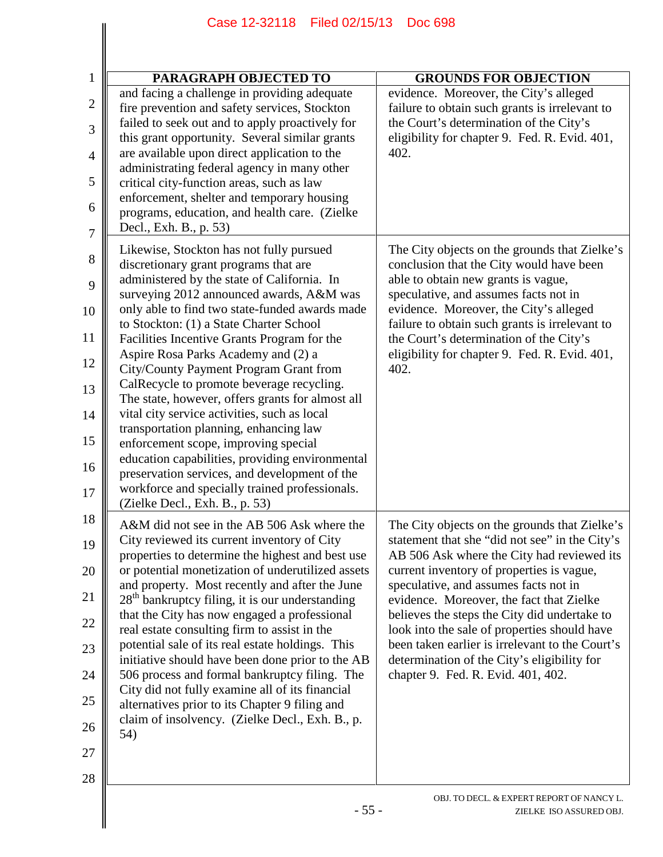| PARAGRAPH OBJECTED TO                                                                                                                                                                                                                                                                                                                                                                                                                                                                                                                                                                                                                                                                                                                                                                                                                | <b>GROUNDS FOR OBJECTION</b>                                                                                                                                                                                                                                                                                                                                                                                                                                                                                            |
|--------------------------------------------------------------------------------------------------------------------------------------------------------------------------------------------------------------------------------------------------------------------------------------------------------------------------------------------------------------------------------------------------------------------------------------------------------------------------------------------------------------------------------------------------------------------------------------------------------------------------------------------------------------------------------------------------------------------------------------------------------------------------------------------------------------------------------------|-------------------------------------------------------------------------------------------------------------------------------------------------------------------------------------------------------------------------------------------------------------------------------------------------------------------------------------------------------------------------------------------------------------------------------------------------------------------------------------------------------------------------|
| and facing a challenge in providing adequate<br>fire prevention and safety services, Stockton<br>failed to seek out and to apply proactively for<br>this grant opportunity. Several similar grants<br>are available upon direct application to the<br>administrating federal agency in many other<br>critical city-function areas, such as law<br>enforcement, shelter and temporary housing<br>programs, education, and health care. (Zielke<br>Decl., Exh. B., p. 53)                                                                                                                                                                                                                                                                                                                                                              | evidence. Moreover, the City's alleged<br>failure to obtain such grants is irrelevant to<br>the Court's determination of the City's<br>eligibility for chapter 9. Fed. R. Evid. 401,<br>402.                                                                                                                                                                                                                                                                                                                            |
| Likewise, Stockton has not fully pursued<br>discretionary grant programs that are<br>administered by the state of California. In<br>surveying 2012 announced awards, A&M was<br>only able to find two state-funded awards made<br>to Stockton: (1) a State Charter School<br>Facilities Incentive Grants Program for the<br>Aspire Rosa Parks Academy and (2) a<br>City/County Payment Program Grant from<br>CalRecycle to promote beverage recycling.<br>The state, however, offers grants for almost all<br>vital city service activities, such as local<br>transportation planning, enhancing law<br>enforcement scope, improving special<br>education capabilities, providing environmental<br>preservation services, and development of the<br>workforce and specially trained professionals.<br>(Zielke Decl., Exh. B., p. 53) | The City objects on the grounds that Zielke's<br>conclusion that the City would have been<br>able to obtain new grants is vague,<br>speculative, and assumes facts not in<br>evidence. Moreover, the City's alleged<br>failure to obtain such grants is irrelevant to<br>the Court's determination of the City's<br>eligibility for chapter 9. Fed. R. Evid. 401,<br>402.                                                                                                                                               |
| A&M did not see in the AB 506 Ask where the<br>City reviewed its current inventory of City<br>properties to determine the highest and best use<br>or potential monetization of underutilized assets<br>and property. Most recently and after the June<br>28 <sup>th</sup> bankruptcy filing, it is our understanding<br>that the City has now engaged a professional<br>real estate consulting firm to assist in the<br>potential sale of its real estate holdings. This<br>initiative should have been done prior to the AB<br>506 process and formal bankruptcy filing. The<br>City did not fully examine all of its financial<br>alternatives prior to its Chapter 9 filing and<br>claim of insolvency. (Zielke Decl., Exh. B., p.<br>54)                                                                                         | The City objects on the grounds that Zielke's<br>statement that she "did not see" in the City's<br>AB 506 Ask where the City had reviewed its<br>current inventory of properties is vague,<br>speculative, and assumes facts not in<br>evidence. Moreover, the fact that Zielke<br>believes the steps the City did undertake to<br>look into the sale of properties should have<br>been taken earlier is irrelevant to the Court's<br>determination of the City's eligibility for<br>chapter 9. Fed. R. Evid. 401, 402. |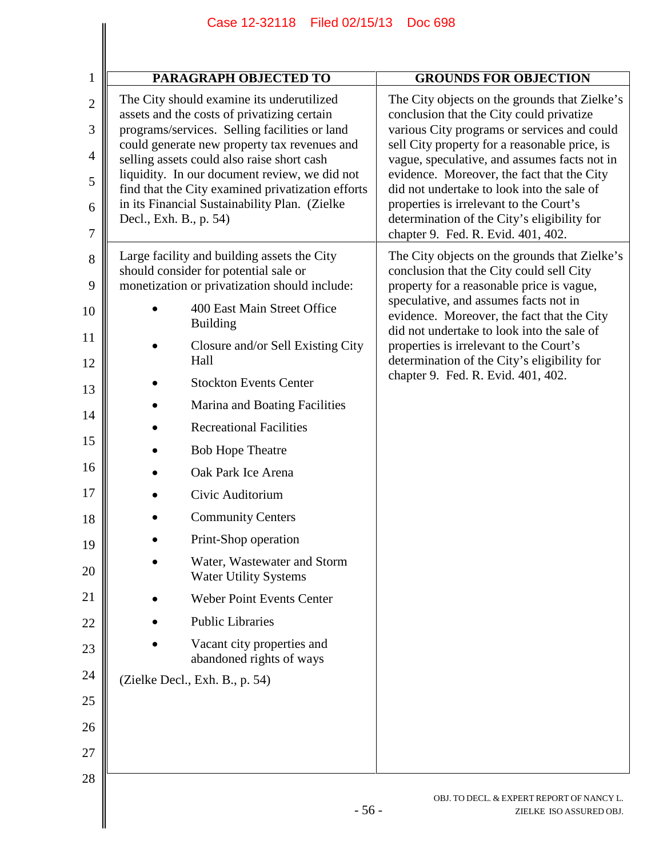|                | Case 12-32118 Filed 02/15/13<br><b>Doc 698</b>                                                     |                                                                                                                                   |  |  |
|----------------|----------------------------------------------------------------------------------------------------|-----------------------------------------------------------------------------------------------------------------------------------|--|--|
|                |                                                                                                    |                                                                                                                                   |  |  |
| 1              | PARAGRAPH OBJECTED TO                                                                              | <b>GROUNDS FOR OBJECTION</b>                                                                                                      |  |  |
| $\mathbf{2}$   | The City should examine its underutilized<br>assets and the costs of privatizing certain           | The City objects on the grounds that Zielke's<br>conclusion that the City could privatize                                         |  |  |
| 3              | programs/services. Selling facilities or land<br>could generate new property tax revenues and      | various City programs or services and could<br>sell City property for a reasonable price, is                                      |  |  |
| $\overline{4}$ | selling assets could also raise short cash<br>liquidity. In our document review, we did not        | vague, speculative, and assumes facts not in<br>evidence. Moreover, the fact that the City                                        |  |  |
| 5              | find that the City examined privatization efforts<br>in its Financial Sustainability Plan. (Zielke | did not undertake to look into the sale of<br>properties is irrelevant to the Court's                                             |  |  |
| 6              | Decl., Exh. B., p. 54)                                                                             | determination of the City's eligibility for                                                                                       |  |  |
| 7              |                                                                                                    | chapter 9. Fed. R. Evid. 401, 402.                                                                                                |  |  |
| 8              | Large facility and building assets the City<br>should consider for potential sale or               | The City objects on the grounds that Zielke's<br>conclusion that the City could sell City                                         |  |  |
| 9              | monetization or privatization should include:                                                      | property for a reasonable price is vague,                                                                                         |  |  |
| 10             | 400 East Main Street Office<br><b>Building</b>                                                     | speculative, and assumes facts not in<br>evidence. Moreover, the fact that the City<br>did not undertake to look into the sale of |  |  |
| 11<br>12       | Closure and/or Sell Existing City<br>Hall                                                          | properties is irrelevant to the Court's<br>determination of the City's eligibility for                                            |  |  |
| 13             | <b>Stockton Events Center</b>                                                                      | chapter 9. Fed. R. Evid. 401, 402.                                                                                                |  |  |
|                | Marina and Boating Facilities                                                                      |                                                                                                                                   |  |  |
| 14             | <b>Recreational Facilities</b>                                                                     |                                                                                                                                   |  |  |
| 15             | <b>Bob Hope Theatre</b>                                                                            |                                                                                                                                   |  |  |
| 16             | Oak Park Ice Arena                                                                                 |                                                                                                                                   |  |  |
| 17             | Civic Auditorium                                                                                   |                                                                                                                                   |  |  |
| 18             | <b>Community Centers</b>                                                                           |                                                                                                                                   |  |  |
| 19             | Print-Shop operation                                                                               |                                                                                                                                   |  |  |
| 20             | Water, Wastewater and Storm<br><b>Water Utility Systems</b>                                        |                                                                                                                                   |  |  |
| 21             | <b>Weber Point Events Center</b>                                                                   |                                                                                                                                   |  |  |
| 22             | <b>Public Libraries</b>                                                                            |                                                                                                                                   |  |  |
| 23             | Vacant city properties and<br>abandoned rights of ways                                             |                                                                                                                                   |  |  |
| 24             | (Zielke Decl., Exh. B., p. 54)                                                                     |                                                                                                                                   |  |  |
| 25             |                                                                                                    |                                                                                                                                   |  |  |
| 26             |                                                                                                    |                                                                                                                                   |  |  |
| 27             |                                                                                                    |                                                                                                                                   |  |  |
| 28             |                                                                                                    |                                                                                                                                   |  |  |
|                | $-56-$                                                                                             | OBJ. TO DECL. & EXPERT REPORT OF NANCY L.<br>ZIELKE ISO ASSURED OBJ.                                                              |  |  |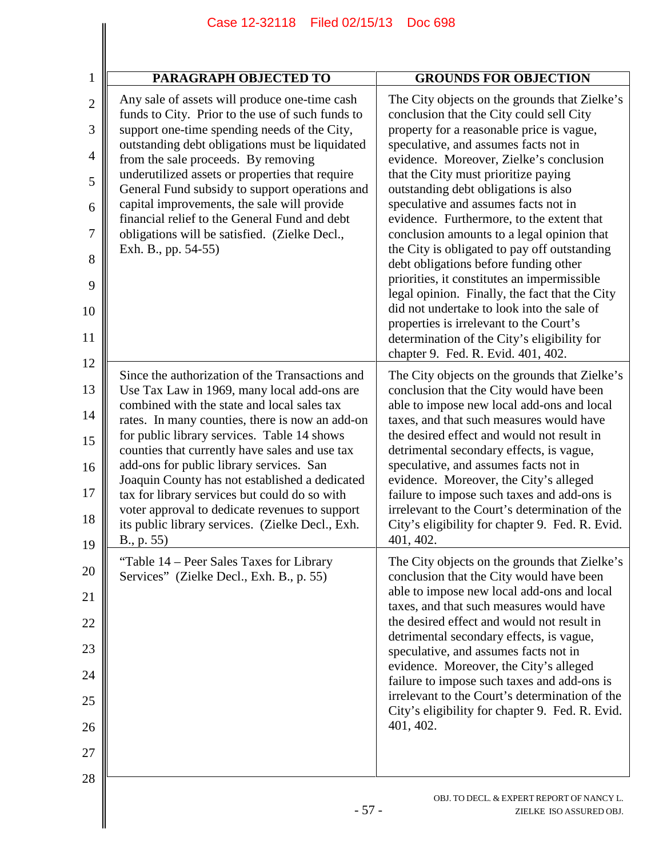| $\mathbf{1}$   | <b>PARAGRAPH OBJECTED TO</b>                                                                      | <b>GROUNDS FOR OBJECTION</b>                                                                  |
|----------------|---------------------------------------------------------------------------------------------------|-----------------------------------------------------------------------------------------------|
| $\overline{2}$ | Any sale of assets will produce one-time cash<br>funds to City. Prior to the use of such funds to | The City objects on the grounds that Zielke's<br>conclusion that the City could sell City     |
| 3              | support one-time spending needs of the City,<br>outstanding debt obligations must be liquidated   | property for a reasonable price is vague,<br>speculative, and assumes facts not in            |
| 4              | from the sale proceeds. By removing<br>underutilized assets or properties that require            | evidence. Moreover, Zielke's conclusion<br>that the City must prioritize paying               |
| 5              | General Fund subsidy to support operations and<br>capital improvements, the sale will provide     | outstanding debt obligations is also<br>speculative and assumes facts not in                  |
| 6              | financial relief to the General Fund and debt                                                     | evidence. Furthermore, to the extent that                                                     |
| 7              | obligations will be satisfied. (Zielke Decl.,<br>Exh. B., pp. 54-55)                              | conclusion amounts to a legal opinion that<br>the City is obligated to pay off outstanding    |
| 8              |                                                                                                   | debt obligations before funding other<br>priorities, it constitutes an impermissible          |
| 9              |                                                                                                   | legal opinion. Finally, the fact that the City                                                |
| 10             |                                                                                                   | did not undertake to look into the sale of<br>properties is irrelevant to the Court's         |
| 11             |                                                                                                   | determination of the City's eligibility for<br>chapter 9. Fed. R. Evid. 401, 402.             |
| 12             | Since the authorization of the Transactions and                                                   | The City objects on the grounds that Zielke's                                                 |
| 13             | Use Tax Law in 1969, many local add-ons are<br>combined with the state and local sales tax        | conclusion that the City would have been<br>able to impose new local add-ons and local        |
| 14             | rates. In many counties, there is now an add-on                                                   | taxes, and that such measures would have<br>the desired effect and would not result in        |
| 15             | for public library services. Table 14 shows<br>counties that currently have sales and use tax     | detrimental secondary effects, is vague,                                                      |
| 16             | add-ons for public library services. San<br>Joaquin County has not established a dedicated        | speculative, and assumes facts not in<br>evidence. Moreover, the City's alleged               |
| 17             | tax for library services but could do so with<br>voter approval to dedicate revenues to support   | failure to impose such taxes and add-ons is<br>irrelevant to the Court's determination of the |
| 18<br>19       | its public library services. (Zielke Decl., Exh.<br>B., p. 55)                                    | City's eligibility for chapter 9. Fed. R. Evid.<br>401, 402.                                  |
| 20             | "Table 14 – Peer Sales Taxes for Library                                                          | The City objects on the grounds that Zielke's                                                 |
| 21             | Services" (Zielke Decl., Exh. B., p. 55)                                                          | conclusion that the City would have been<br>able to impose new local add-ons and local        |
| 22             |                                                                                                   | taxes, and that such measures would have<br>the desired effect and would not result in        |
| 23             |                                                                                                   | detrimental secondary effects, is vague,                                                      |
| 24             |                                                                                                   | speculative, and assumes facts not in<br>evidence. Moreover, the City's alleged               |
|                |                                                                                                   | failure to impose such taxes and add-ons is<br>irrelevant to the Court's determination of the |
| 25             |                                                                                                   | City's eligibility for chapter 9. Fed. R. Evid.<br>401, 402.                                  |
| 26             |                                                                                                   |                                                                                               |
| 27<br>28       |                                                                                                   |                                                                                               |
|                | $-57-$                                                                                            | OBJ. TO DECL. & EXPERT REPORT OF NANCY L.<br>ZIELKE ISO ASSURED OBJ.                          |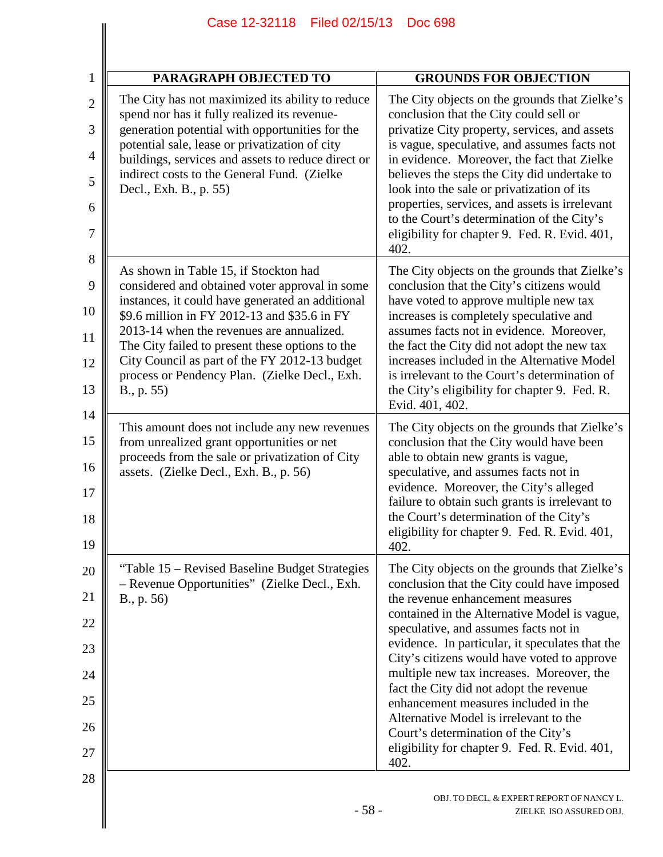| <b>PARAGRAPH OBJECTED TO</b>                                                                                                                                                                                                                                                                                                                                                                                |        | <b>GROUNDS FOR OBJECTION</b>                                                                                                                                                                                                                                                                                                                                                                                                                                                                                                                                                                          |
|-------------------------------------------------------------------------------------------------------------------------------------------------------------------------------------------------------------------------------------------------------------------------------------------------------------------------------------------------------------------------------------------------------------|--------|-------------------------------------------------------------------------------------------------------------------------------------------------------------------------------------------------------------------------------------------------------------------------------------------------------------------------------------------------------------------------------------------------------------------------------------------------------------------------------------------------------------------------------------------------------------------------------------------------------|
| The City has not maximized its ability to reduce<br>spend nor has it fully realized its revenue-<br>generation potential with opportunities for the<br>potential sale, lease or privatization of city<br>buildings, services and assets to reduce direct or<br>indirect costs to the General Fund. (Zielke<br>Decl., Exh. B., p. 55)                                                                        |        | The City objects on the grounds that Zielke's<br>conclusion that the City could sell or<br>privatize City property, services, and assets<br>is vague, speculative, and assumes facts not<br>in evidence. Moreover, the fact that Zielke<br>believes the steps the City did undertake to<br>look into the sale or privatization of its<br>properties, services, and assets is irrelevant<br>to the Court's determination of the City's<br>eligibility for chapter 9. Fed. R. Evid. 401,<br>402.                                                                                                        |
| As shown in Table 15, if Stockton had<br>considered and obtained voter approval in some<br>instances, it could have generated an additional<br>\$9.6 million in FY 2012-13 and \$35.6 in FY<br>2013-14 when the revenues are annualized.<br>The City failed to present these options to the<br>City Council as part of the FY 2012-13 budget<br>process or Pendency Plan. (Zielke Decl., Exh.<br>B., p. 55) |        | The City objects on the grounds that Zielke's<br>conclusion that the City's citizens would<br>have voted to approve multiple new tax<br>increases is completely speculative and<br>assumes facts not in evidence. Moreover,<br>the fact the City did not adopt the new tax<br>increases included in the Alternative Model<br>is irrelevant to the Court's determination of<br>the City's eligibility for chapter 9. Fed. R.<br>Evid. 401, 402.                                                                                                                                                        |
| This amount does not include any new revenues<br>from unrealized grant opportunities or net<br>proceeds from the sale or privatization of City<br>assets. (Zielke Decl., Exh. B., p. 56)                                                                                                                                                                                                                    |        | The City objects on the grounds that Zielke's<br>conclusion that the City would have been<br>able to obtain new grants is vague,<br>speculative, and assumes facts not in<br>evidence. Moreover, the City's alleged<br>failure to obtain such grants is irrelevant to<br>the Court's determination of the City's<br>eligibility for chapter 9. Fed. R. Evid. 401,<br>402.                                                                                                                                                                                                                             |
| "Table 15 – Revised Baseline Budget Strategies<br>- Revenue Opportunities" (Zielke Decl., Exh.<br>B., p. 56)                                                                                                                                                                                                                                                                                                |        | The City objects on the grounds that Zielke's<br>conclusion that the City could have imposed<br>the revenue enhancement measures<br>contained in the Alternative Model is vague,<br>speculative, and assumes facts not in<br>evidence. In particular, it speculates that the<br>City's citizens would have voted to approve<br>multiple new tax increases. Moreover, the<br>fact the City did not adopt the revenue<br>enhancement measures included in the<br>Alternative Model is irrelevant to the<br>Court's determination of the City's<br>eligibility for chapter 9. Fed. R. Evid. 401,<br>402. |
|                                                                                                                                                                                                                                                                                                                                                                                                             | $-58-$ | OBJ. TO DECL. & EXPERT REPORT OF NANCY L.<br>ZIELKE ISO ASSURED OBJ.                                                                                                                                                                                                                                                                                                                                                                                                                                                                                                                                  |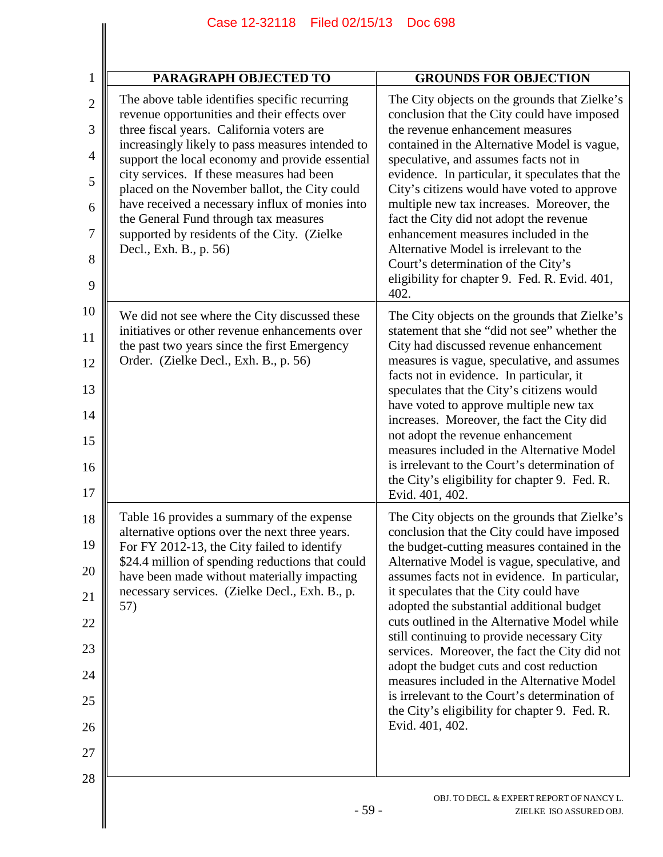|                | Case 12-32118 Filed 02/15/13<br><b>Doc 698</b>                                                      |                                                                                                |  |
|----------------|-----------------------------------------------------------------------------------------------------|------------------------------------------------------------------------------------------------|--|
| 1              | <b>PARAGRAPH OBJECTED TO</b>                                                                        | <b>GROUNDS FOR OBJECTION</b>                                                                   |  |
| $\overline{2}$ | The above table identifies specific recurring                                                       | The City objects on the grounds that Zielke's                                                  |  |
| 3              | revenue opportunities and their effects over<br>three fiscal years. California voters are           | conclusion that the City could have imposed<br>the revenue enhancement measures                |  |
| 4              | increasingly likely to pass measures intended to<br>support the local economy and provide essential | contained in the Alternative Model is vague,<br>speculative, and assumes facts not in          |  |
| 5              | city services. If these measures had been<br>placed on the November ballot, the City could          | evidence. In particular, it speculates that the<br>City's citizens would have voted to approve |  |
| 6              | have received a necessary influx of monies into                                                     | multiple new tax increases. Moreover, the                                                      |  |
| 7              | the General Fund through tax measures<br>supported by residents of the City. (Zielke                | fact the City did not adopt the revenue<br>enhancement measures included in the                |  |
| 8              | Decl., Exh. B., p. 56)                                                                              | Alternative Model is irrelevant to the<br>Court's determination of the City's                  |  |
| 9              |                                                                                                     | eligibility for chapter 9. Fed. R. Evid. 401,<br>402.                                          |  |
| 10             | We did not see where the City discussed these                                                       | The City objects on the grounds that Zielke's                                                  |  |
| 11             | initiatives or other revenue enhancements over<br>the past two years since the first Emergency      | statement that she "did not see" whether the<br>City had discussed revenue enhancement         |  |
| 12             | Order. (Zielke Decl., Exh. B., p. 56)                                                               | measures is vague, speculative, and assumes                                                    |  |
| 13             |                                                                                                     | facts not in evidence. In particular, it<br>speculates that the City's citizens would          |  |
| 14             |                                                                                                     | have voted to approve multiple new tax<br>increases. Moreover, the fact the City did           |  |
| 15             |                                                                                                     | not adopt the revenue enhancement<br>measures included in the Alternative Model                |  |
| 16             |                                                                                                     | is irrelevant to the Court's determination of                                                  |  |
| 17             |                                                                                                     | the City's eligibility for chapter 9. Fed. R.<br>Evid. 401, 402.                               |  |
| 18             | Table 16 provides a summary of the expense                                                          | The City objects on the grounds that Zielke's                                                  |  |
| 19             | alternative options over the next three years.<br>For FY 2012-13, the City failed to identify       | conclusion that the City could have imposed<br>the budget-cutting measures contained in the    |  |
| 20             | \$24.4 million of spending reductions that could<br>have been made without materially impacting     | Alternative Model is vague, speculative, and<br>assumes facts not in evidence. In particular,  |  |
| 21             | necessary services. (Zielke Decl., Exh. B., p.<br>57)                                               | it speculates that the City could have<br>adopted the substantial additional budget            |  |
| 22             |                                                                                                     | cuts outlined in the Alternative Model while                                                   |  |
| 23             |                                                                                                     | still continuing to provide necessary City<br>services. Moreover, the fact the City did not    |  |
| 24             |                                                                                                     | adopt the budget cuts and cost reduction<br>measures included in the Alternative Model         |  |
| 25             |                                                                                                     | is irrelevant to the Court's determination of<br>the City's eligibility for chapter 9. Fed. R. |  |
| 26             |                                                                                                     | Evid. 401, 402.                                                                                |  |
| 27             |                                                                                                     |                                                                                                |  |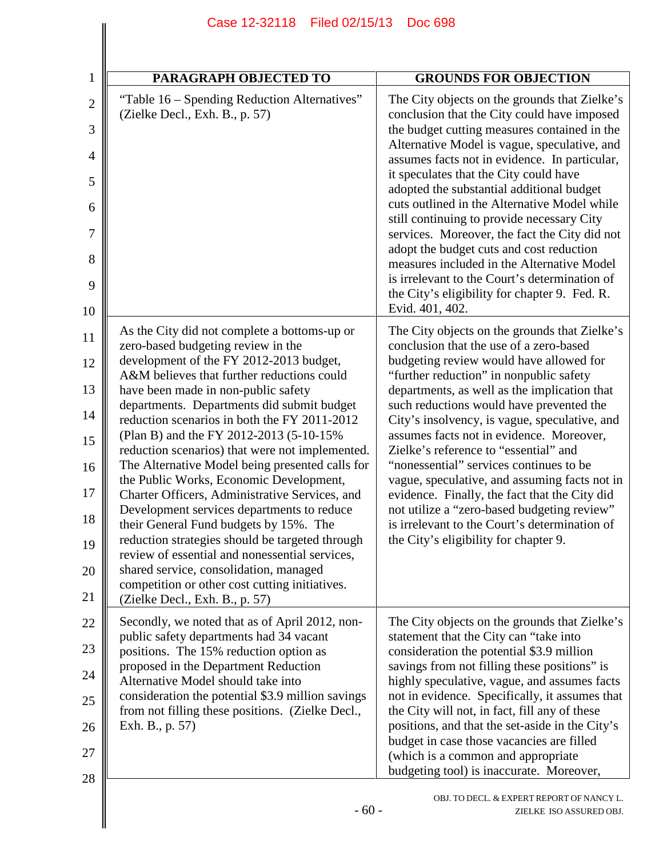| 1                   | <b>PARAGRAPH OBJECTED TO</b>                                                                                                                                                                                                  | <b>GROUNDS FOR OBJECTION</b>                                                                                                                                                                                                   |
|---------------------|-------------------------------------------------------------------------------------------------------------------------------------------------------------------------------------------------------------------------------|--------------------------------------------------------------------------------------------------------------------------------------------------------------------------------------------------------------------------------|
| $\overline{2}$<br>3 | "Table 16 – Spending Reduction Alternatives"<br>(Zielke Decl., Exh. B., p. 57)                                                                                                                                                | The City objects on the grounds that Zielke's<br>conclusion that the City could have imposed<br>the budget cutting measures contained in the                                                                                   |
| 4                   |                                                                                                                                                                                                                               | Alternative Model is vague, speculative, and<br>assumes facts not in evidence. In particular,                                                                                                                                  |
| 5                   |                                                                                                                                                                                                                               | it speculates that the City could have<br>adopted the substantial additional budget                                                                                                                                            |
| 6                   |                                                                                                                                                                                                                               | cuts outlined in the Alternative Model while<br>still continuing to provide necessary City                                                                                                                                     |
| 7<br>8              |                                                                                                                                                                                                                               | services. Moreover, the fact the City did not<br>adopt the budget cuts and cost reduction<br>measures included in the Alternative Model                                                                                        |
| 9                   |                                                                                                                                                                                                                               | is irrelevant to the Court's determination of<br>the City's eligibility for chapter 9. Fed. R.<br>Evid. 401, 402.                                                                                                              |
| 10                  |                                                                                                                                                                                                                               |                                                                                                                                                                                                                                |
| 11                  | As the City did not complete a bottoms-up or<br>zero-based budgeting review in the                                                                                                                                            | The City objects on the grounds that Zielke's<br>conclusion that the use of a zero-based                                                                                                                                       |
| 12<br>13            | development of the FY 2012-2013 budget,<br>A&M believes that further reductions could                                                                                                                                         | budgeting review would have allowed for<br>"further reduction" in nonpublic safety                                                                                                                                             |
| 14                  | have been made in non-public safety<br>departments. Departments did submit budget<br>reduction scenarios in both the FY 2011-2012                                                                                             | departments, as well as the implication that<br>such reductions would have prevented the<br>City's insolvency, is vague, speculative, and<br>assumes facts not in evidence. Moreover,<br>Zielke's reference to "essential" and |
| 15                  | (Plan B) and the FY 2012-2013 (5-10-15%<br>reduction scenarios) that were not implemented.                                                                                                                                    |                                                                                                                                                                                                                                |
| 16                  | The Alternative Model being presented calls for<br>the Public Works, Economic Development,                                                                                                                                    | "nonessential" services continues to be<br>vague, speculative, and assuming facts not in                                                                                                                                       |
| 17                  | Charter Officers, Administrative Services, and<br>Development services departments to reduce                                                                                                                                  | evidence. Finally, the fact that the City did<br>not utilize a "zero-based budgeting review"                                                                                                                                   |
| 18                  | their General Fund budgets by 15%. The<br>reduction strategies should be targeted through                                                                                                                                     | is irrelevant to the Court's determination of<br>the City's eligibility for chapter 9.                                                                                                                                         |
| 19<br>20            | review of essential and nonessential services,<br>shared service, consolidation, managed                                                                                                                                      |                                                                                                                                                                                                                                |
| 21                  | competition or other cost cutting initiatives.<br>(Zielke Decl., Exh. B., p. 57)                                                                                                                                              |                                                                                                                                                                                                                                |
| 22                  | Secondly, we noted that as of April 2012, non-<br>public safety departments had 34 vacant                                                                                                                                     | The City objects on the grounds that Zielke's<br>statement that the City can "take into                                                                                                                                        |
| 23                  | positions. The 15% reduction option as<br>proposed in the Department Reduction<br>Alternative Model should take into<br>consideration the potential \$3.9 million savings<br>from not filling these positions. (Zielke Decl., | consideration the potential \$3.9 million<br>savings from not filling these positions" is                                                                                                                                      |
| 24                  |                                                                                                                                                                                                                               | highly speculative, vague, and assumes facts<br>not in evidence. Specifically, it assumes that                                                                                                                                 |
| 25                  |                                                                                                                                                                                                                               | the City will not, in fact, fill any of these<br>positions, and that the set-aside in the City's                                                                                                                               |
| 26<br>27            | Exh. B., p. 57)                                                                                                                                                                                                               | budget in case those vacancies are filled<br>(which is a common and appropriate<br>budgeting tool) is inaccurate. Moreover,                                                                                                    |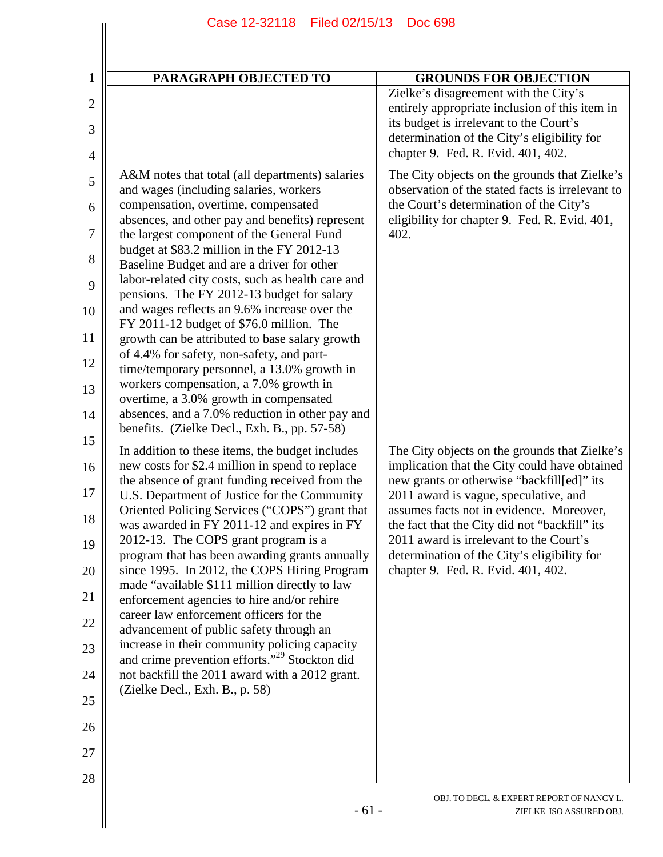| $\mathbf{1}$                          | PARAGRAPH OBJECTED TO                                                                                      | <b>GROUNDS FOR OBJECTION</b>                                                                                                                                                                                            |
|---------------------------------------|------------------------------------------------------------------------------------------------------------|-------------------------------------------------------------------------------------------------------------------------------------------------------------------------------------------------------------------------|
| $\overline{2}$<br>3<br>$\overline{4}$ |                                                                                                            | Zielke's disagreement with the City's<br>entirely appropriate inclusion of this item in<br>its budget is irrelevant to the Court's<br>determination of the City's eligibility for<br>chapter 9. Fed. R. Evid. 401, 402. |
| 5                                     | A&M notes that total (all departments) salaries<br>and wages (including salaries, workers                  | The City objects on the grounds that Zielke's<br>observation of the stated facts is irrelevant to                                                                                                                       |
| 6                                     | compensation, overtime, compensated<br>absences, and other pay and benefits) represent                     | the Court's determination of the City's<br>eligibility for chapter 9. Fed. R. Evid. 401,                                                                                                                                |
| 7                                     | the largest component of the General Fund<br>budget at \$83.2 million in the FY 2012-13                    | 402.                                                                                                                                                                                                                    |
| 8<br>9                                | Baseline Budget and are a driver for other<br>labor-related city costs, such as health care and            |                                                                                                                                                                                                                         |
| 10                                    | pensions. The FY 2012-13 budget for salary<br>and wages reflects an 9.6% increase over the                 |                                                                                                                                                                                                                         |
| 11                                    | FY 2011-12 budget of \$76.0 million. The<br>growth can be attributed to base salary growth                 |                                                                                                                                                                                                                         |
| 12                                    | of 4.4% for safety, non-safety, and part-<br>time/temporary personnel, a 13.0% growth in                   |                                                                                                                                                                                                                         |
| 13                                    | workers compensation, a 7.0% growth in<br>overtime, a 3.0% growth in compensated                           |                                                                                                                                                                                                                         |
| 14                                    | absences, and a 7.0% reduction in other pay and<br>benefits. (Zielke Decl., Exh. B., pp. 57-58)            |                                                                                                                                                                                                                         |
| 15                                    | In addition to these items, the budget includes                                                            | The City objects on the grounds that Zielke's                                                                                                                                                                           |
| 16                                    | new costs for \$2.4 million in spend to replace<br>the absence of grant funding received from the          | implication that the City could have obtained<br>new grants or otherwise "backfill[ed]" its                                                                                                                             |
| 18                                    | U.S. Department of Justice for the Community<br>Oriented Policing Services ("COPS") grant that             | 2011 award is vague, speculative, and<br>assumes facts not in evidence. Moreover,                                                                                                                                       |
| 19                                    | was awarded in FY 2011-12 and expires in FY<br>2012-13. The COPS grant program is a                        | the fact that the City did not "backfill" its<br>2011 award is irrelevant to the Court's                                                                                                                                |
| 20                                    | program that has been awarding grants annually<br>since 1995. In 2012, the COPS Hiring Program             | determination of the City's eligibility for<br>chapter 9. Fed. R. Evid. 401, 402.                                                                                                                                       |
|                                       | made "available \$111 million directly to law<br>enforcement agencies to hire and/or rehire                |                                                                                                                                                                                                                         |
|                                       | career law enforcement officers for the<br>advancement of public safety through an                         |                                                                                                                                                                                                                         |
|                                       | increase in their community policing capacity<br>and crime prevention efforts." <sup>29</sup> Stockton did |                                                                                                                                                                                                                         |
|                                       | not backfill the 2011 award with a 2012 grant.<br>(Zielke Decl., Exh. B., p. 58)                           |                                                                                                                                                                                                                         |
|                                       |                                                                                                            |                                                                                                                                                                                                                         |
| 26                                    |                                                                                                            |                                                                                                                                                                                                                         |
| 27                                    |                                                                                                            |                                                                                                                                                                                                                         |
| 28                                    |                                                                                                            | OBJ. TO DECL. & EXPERT REPORT OF NANCY L.                                                                                                                                                                               |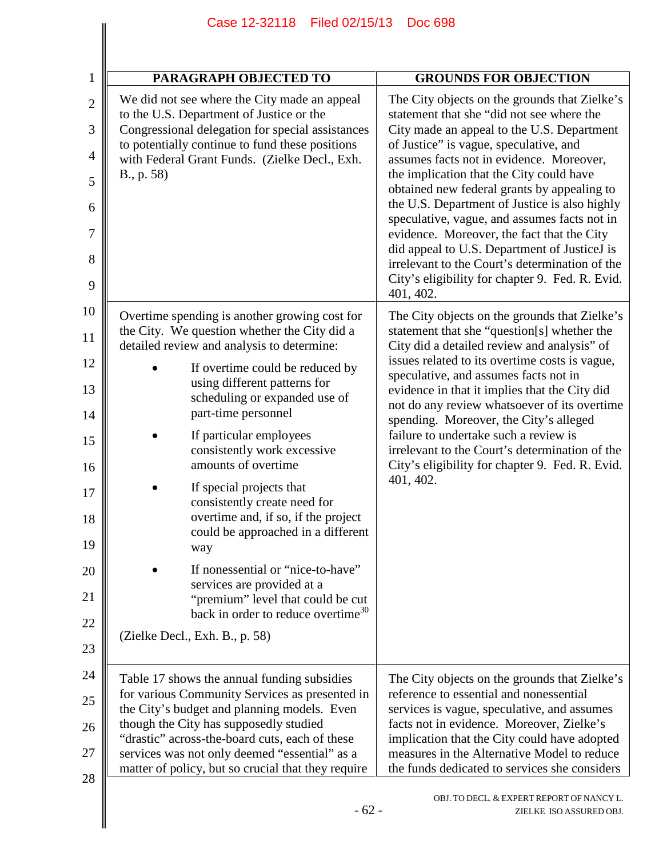|                                            | Case 12-32118 Filed 02/15/13                                                                                                                                                                                                                                   | <b>Doc 698</b>                                                                                                                                                                                                                                                             |
|--------------------------------------------|----------------------------------------------------------------------------------------------------------------------------------------------------------------------------------------------------------------------------------------------------------------|----------------------------------------------------------------------------------------------------------------------------------------------------------------------------------------------------------------------------------------------------------------------------|
|                                            |                                                                                                                                                                                                                                                                |                                                                                                                                                                                                                                                                            |
| $\mathbf{1}$                               | PARAGRAPH OBJECTED TO                                                                                                                                                                                                                                          | <b>GROUNDS FOR OBJECTION</b>                                                                                                                                                                                                                                               |
| $\overline{2}$<br>3<br>$\overline{4}$<br>5 | We did not see where the City made an appeal<br>to the U.S. Department of Justice or the<br>Congressional delegation for special assistances<br>to potentially continue to fund these positions<br>with Federal Grant Funds. (Zielke Decl., Exh.<br>B., p. 58) | The City objects on the grounds that Zielke's<br>statement that she "did not see where the<br>City made an appeal to the U.S. Department<br>of Justice" is vague, speculative, and<br>assumes facts not in evidence. Moreover,<br>the implication that the City could have |
| 6                                          |                                                                                                                                                                                                                                                                | obtained new federal grants by appealing to<br>the U.S. Department of Justice is also highly                                                                                                                                                                               |
| 7                                          |                                                                                                                                                                                                                                                                | speculative, vague, and assumes facts not in<br>evidence. Moreover, the fact that the City<br>did appeal to U.S. Department of JusticeJ is                                                                                                                                 |
| 8<br>9                                     |                                                                                                                                                                                                                                                                | irrelevant to the Court's determination of the<br>City's eligibility for chapter 9. Fed. R. Evid.<br>401, 402.                                                                                                                                                             |
| 10                                         | Overtime spending is another growing cost for                                                                                                                                                                                                                  | The City objects on the grounds that Zielke's                                                                                                                                                                                                                              |
| 11                                         | the City. We question whether the City did a<br>detailed review and analysis to determine:                                                                                                                                                                     | statement that she "question[s] whether the<br>City did a detailed review and analysis" of                                                                                                                                                                                 |
| 12<br>13                                   | If overtime could be reduced by<br>using different patterns for<br>scheduling or expanded use of                                                                                                                                                               | issues related to its overtime costs is vague,<br>speculative, and assumes facts not in<br>evidence in that it implies that the City did                                                                                                                                   |
| 14                                         | part-time personnel                                                                                                                                                                                                                                            | not do any review whatsoever of its overtime<br>spending. Moreover, the City's alleged                                                                                                                                                                                     |
| 15<br>16                                   | If particular employees<br>consistently work excessive<br>amounts of overtime                                                                                                                                                                                  | failure to undertake such a review is<br>irrelevant to the Court's determination of the<br>City's eligibility for chapter 9. Fed. R. Evid.                                                                                                                                 |
| 17<br>18<br>19                             | If special projects that<br>consistently create need for<br>overtime and, if so, if the project<br>could be approached in a different<br>way                                                                                                                   | 401, 402.                                                                                                                                                                                                                                                                  |
| 20<br>21                                   | If nonessential or "nice-to-have"<br>services are provided at a<br>"premium" level that could be cut                                                                                                                                                           |                                                                                                                                                                                                                                                                            |
| 22                                         | back in order to reduce overtime <sup>30</sup>                                                                                                                                                                                                                 |                                                                                                                                                                                                                                                                            |
| 23                                         | (Zielke Decl., Exh. B., p. 58)                                                                                                                                                                                                                                 |                                                                                                                                                                                                                                                                            |
| 24<br>25                                   | Table 17 shows the annual funding subsidies<br>for various Community Services as presented in                                                                                                                                                                  | The City objects on the grounds that Zielke's<br>reference to essential and nonessential                                                                                                                                                                                   |
| 26                                         | the City's budget and planning models. Even<br>though the City has supposedly studied<br>"drastic" across-the-board cuts, each of these                                                                                                                        | services is vague, speculative, and assumes<br>facts not in evidence. Moreover, Zielke's<br>implication that the City could have adopted                                                                                                                                   |
| 27                                         | services was not only deemed "essential" as a<br>matter of policy, but so crucial that they require                                                                                                                                                            | measures in the Alternative Model to reduce<br>the funds dedicated to services she considers                                                                                                                                                                               |
| 28                                         | $-62-$                                                                                                                                                                                                                                                         | OBJ. TO DECL. & EXPERT REPORT OF NANCY L.<br>ZIELKE ISO ASSURED OBJ.                                                                                                                                                                                                       |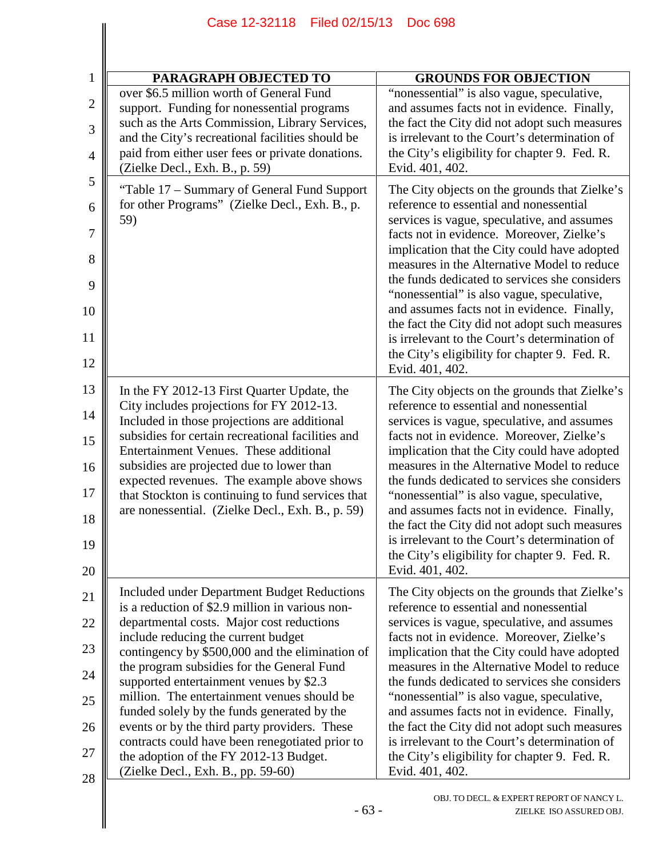|                                                      | Case 12-32118 Filed 02/15/13                                                                                                                                                                                                                                                                                                                                                                                                                                                                                                                                                                                     | <b>Doc 698</b>                                                                                                                                                                                                                                                                                                                                                                                                                                                                                                                                                                                          |  |
|------------------------------------------------------|------------------------------------------------------------------------------------------------------------------------------------------------------------------------------------------------------------------------------------------------------------------------------------------------------------------------------------------------------------------------------------------------------------------------------------------------------------------------------------------------------------------------------------------------------------------------------------------------------------------|---------------------------------------------------------------------------------------------------------------------------------------------------------------------------------------------------------------------------------------------------------------------------------------------------------------------------------------------------------------------------------------------------------------------------------------------------------------------------------------------------------------------------------------------------------------------------------------------------------|--|
|                                                      |                                                                                                                                                                                                                                                                                                                                                                                                                                                                                                                                                                                                                  |                                                                                                                                                                                                                                                                                                                                                                                                                                                                                                                                                                                                         |  |
| $\mathbf{1}$                                         | PARAGRAPH OBJECTED TO                                                                                                                                                                                                                                                                                                                                                                                                                                                                                                                                                                                            | <b>GROUNDS FOR OBJECTION</b>                                                                                                                                                                                                                                                                                                                                                                                                                                                                                                                                                                            |  |
| $\overline{2}$<br>3<br>$\overline{4}$                | over \$6.5 million worth of General Fund<br>support. Funding for nonessential programs<br>such as the Arts Commission, Library Services,<br>and the City's recreational facilities should be<br>paid from either user fees or private donations.<br>(Zielke Decl., Exh. B., p. 59)                                                                                                                                                                                                                                                                                                                               | "nonessential" is also vague, speculative,<br>and assumes facts not in evidence. Finally,<br>the fact the City did not adopt such measures<br>is irrelevant to the Court's determination of<br>the City's eligibility for chapter 9. Fed. R.<br>Evid. 401, 402.                                                                                                                                                                                                                                                                                                                                         |  |
| 5<br>6<br>$\overline{7}$<br>8<br>9<br>10<br>11<br>12 | "Table 17 – Summary of General Fund Support<br>for other Programs" (Zielke Decl., Exh. B., p.<br>59)                                                                                                                                                                                                                                                                                                                                                                                                                                                                                                             | The City objects on the grounds that Zielke's<br>reference to essential and nonessential<br>services is vague, speculative, and assumes<br>facts not in evidence. Moreover, Zielke's<br>implication that the City could have adopted<br>measures in the Alternative Model to reduce<br>the funds dedicated to services she considers<br>"nonessential" is also vague, speculative,<br>and assumes facts not in evidence. Finally,<br>the fact the City did not adopt such measures<br>is irrelevant to the Court's determination of<br>the City's eligibility for chapter 9. Fed. R.<br>Evid. 401, 402. |  |
| 13<br>14<br>15<br>16<br>17<br>18<br>19<br>20         | In the FY 2012-13 First Quarter Update, the<br>City includes projections for FY 2012-13.<br>Included in those projections are additional<br>subsidies for certain recreational facilities and<br>Entertainment Venues. These additional<br>subsidies are projected due to lower than<br>expected revenues. The example above shows<br>that Stockton is continuing to fund services that<br>are nonessential. (Zielke Decl., Exh. B., p. 59)                                                                                                                                                                      | The City objects on the grounds that Zielke's<br>reference to essential and nonessential<br>services is vague, speculative, and assumes<br>facts not in evidence. Moreover, Zielke's<br>implication that the City could have adopted<br>measures in the Alternative Model to reduce<br>the funds dedicated to services she considers<br>"nonessential" is also vague, speculative,<br>and assumes facts not in evidence. Finally,<br>the fact the City did not adopt such measures<br>is irrelevant to the Court's determination of<br>the City's eligibility for chapter 9. Fed. R.<br>Evid. 401, 402. |  |
| 21<br>22<br>23<br>24<br>25<br>26<br>27<br>28         | Included under Department Budget Reductions<br>is a reduction of \$2.9 million in various non-<br>departmental costs. Major cost reductions<br>include reducing the current budget<br>contingency by \$500,000 and the elimination of<br>the program subsidies for the General Fund<br>supported entertainment venues by \$2.3<br>million. The entertainment venues should be<br>funded solely by the funds generated by the<br>events or by the third party providers. These<br>contracts could have been renegotiated prior to<br>the adoption of the FY 2012-13 Budget.<br>(Zielke Decl., Exh. B., pp. 59-60) | The City objects on the grounds that Zielke's<br>reference to essential and nonessential<br>services is vague, speculative, and assumes<br>facts not in evidence. Moreover, Zielke's<br>implication that the City could have adopted<br>measures in the Alternative Model to reduce<br>the funds dedicated to services she considers<br>"nonessential" is also vague, speculative,<br>and assumes facts not in evidence. Finally,<br>the fact the City did not adopt such measures<br>is irrelevant to the Court's determination of<br>the City's eligibility for chapter 9. Fed. R.<br>Evid. 401, 402. |  |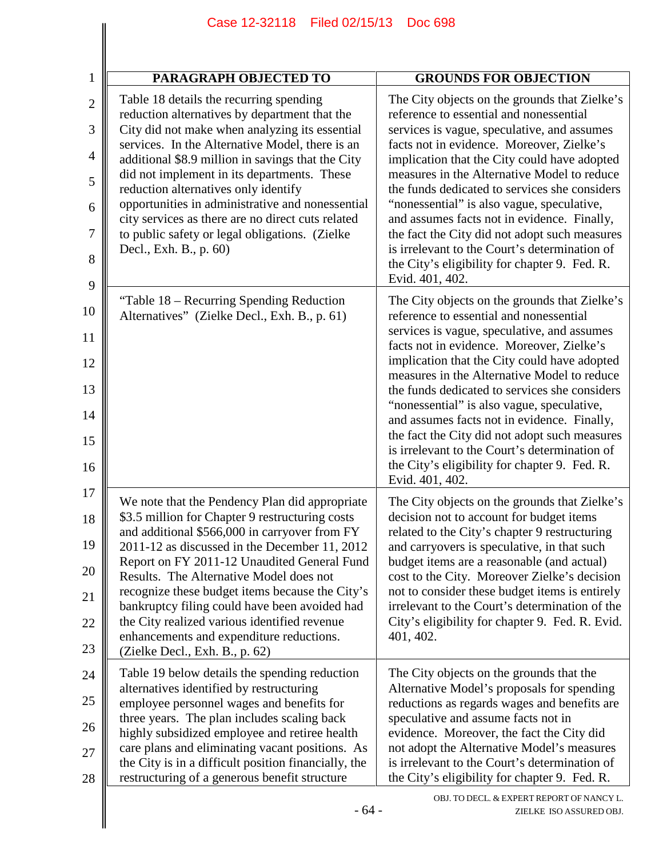| $\mathbf{1}$        | <b>PARAGRAPH OBJECTED TO</b>                                                                                                               | <b>GROUNDS FOR OBJECTION</b>                                                                                                                 |
|---------------------|--------------------------------------------------------------------------------------------------------------------------------------------|----------------------------------------------------------------------------------------------------------------------------------------------|
| $\overline{2}$<br>3 | Table 18 details the recurring spending<br>reduction alternatives by department that the<br>City did not make when analyzing its essential | The City objects on the grounds that Zielke's<br>reference to essential and nonessential<br>services is vague, speculative, and assumes      |
| $\overline{4}$      | services. In the Alternative Model, there is an<br>additional \$8.9 million in savings that the City                                       | facts not in evidence. Moreover, Zielke's<br>implication that the City could have adopted                                                    |
| 5                   | did not implement in its departments. These<br>reduction alternatives only identify                                                        | measures in the Alternative Model to reduce<br>the funds dedicated to services she considers                                                 |
| 6                   | opportunities in administrative and nonessential<br>city services as there are no direct cuts related                                      | "nonessential" is also vague, speculative,<br>and assumes facts not in evidence. Finally,                                                    |
| 7<br>8              | to public safety or legal obligations. (Zielke<br>Decl., Exh. B., p. 60)                                                                   | the fact the City did not adopt such measures<br>is irrelevant to the Court's determination of                                               |
| 9                   |                                                                                                                                            | the City's eligibility for chapter 9. Fed. R.<br>Evid. 401, 402.                                                                             |
| 10                  | "Table 18 – Recurring Spending Reduction<br>Alternatives" (Zielke Decl., Exh. B., p. 61)                                                   | The City objects on the grounds that Zielke's<br>reference to essential and nonessential                                                     |
| 11                  |                                                                                                                                            | services is vague, speculative, and assumes<br>facts not in evidence. Moreover, Zielke's                                                     |
| 12<br>13            |                                                                                                                                            | implication that the City could have adopted<br>measures in the Alternative Model to reduce<br>the funds dedicated to services she considers |
| 14                  |                                                                                                                                            | "nonessential" is also vague, speculative,<br>and assumes facts not in evidence. Finally,                                                    |
| 15                  |                                                                                                                                            | the fact the City did not adopt such measures<br>is irrelevant to the Court's determination of                                               |
| 16                  |                                                                                                                                            | the City's eligibility for chapter 9. Fed. R.<br>Evid. 401, 402.                                                                             |
| 17                  | We note that the Pendency Plan did appropriate<br>\$3.5 million for Chapter 9 restructuring costs                                          | The City objects on the grounds that Zielke's<br>decision not to account for budget items                                                    |
| 18<br>19            | and additional \$566,000 in carryover from FY<br>2011-12 as discussed in the December 11, 2012                                             | related to the City's chapter 9 restructuring<br>and carryovers is speculative, in that such                                                 |
| 20                  | Report on FY 2011-12 Unaudited General Fund<br>Results. The Alternative Model does not                                                     | budget items are a reasonable (and actual)<br>cost to the City. Moreover Zielke's decision                                                   |
| 21                  | recognize these budget items because the City's<br>bankruptcy filing could have been avoided had                                           | not to consider these budget items is entirely<br>irrelevant to the Court's determination of the                                             |
| 22                  | the City realized various identified revenue                                                                                               | City's eligibility for chapter 9. Fed. R. Evid.<br>401, 402.                                                                                 |
| 23                  | enhancements and expenditure reductions.<br>(Zielke Decl., Exh. B., p. 62)                                                                 |                                                                                                                                              |
| 24                  | Table 19 below details the spending reduction<br>alternatives identified by restructuring                                                  | The City objects on the grounds that the<br>Alternative Model's proposals for spending                                                       |
| 25                  | employee personnel wages and benefits for<br>three years. The plan includes scaling back                                                   | reductions as regards wages and benefits are<br>speculative and assume facts not in                                                          |
| 26                  | highly subsidized employee and retiree health<br>care plans and eliminating vacant positions. As                                           | evidence. Moreover, the fact the City did<br>not adopt the Alternative Model's measures                                                      |
| 27<br>28            | the City is in a difficult position financially, the<br>restructuring of a generous benefit structure                                      | is irrelevant to the Court's determination of<br>the City's eligibility for chapter 9. Fed. R.                                               |
|                     | $-64-$                                                                                                                                     | OBJ. TO DECL. & EXPERT REPORT OF NANCY L.<br>ZIELKE ISO ASSURED OBJ.                                                                         |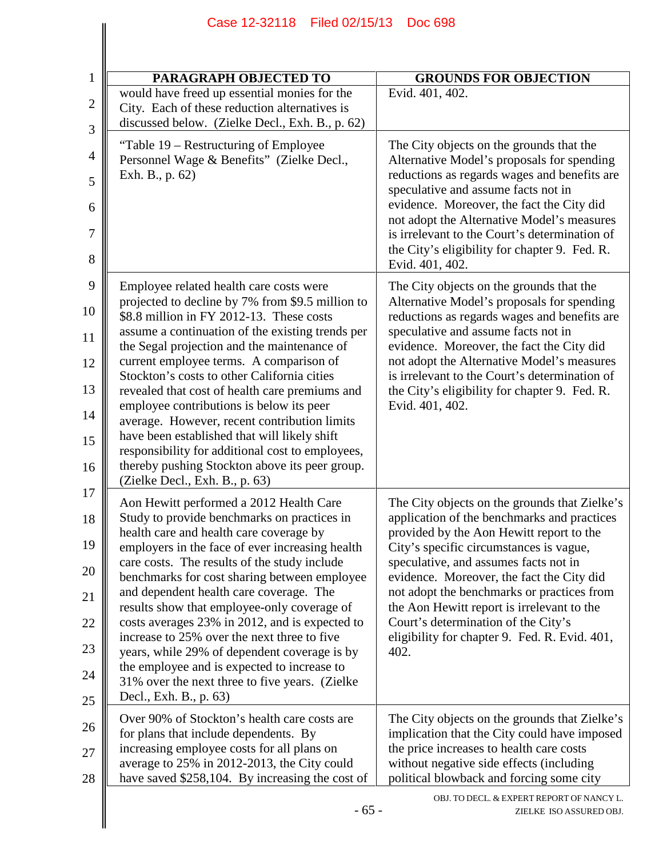| $\mathbf{1}$ | PARAGRAPH OBJECTED TO                                                                                                                            | <b>GROUNDS FOR OBJECTION</b>                                                                                                           |
|--------------|--------------------------------------------------------------------------------------------------------------------------------------------------|----------------------------------------------------------------------------------------------------------------------------------------|
| $\mathbf{2}$ | would have freed up essential monies for the<br>City. Each of these reduction alternatives is<br>discussed below. (Zielke Decl., Exh. B., p. 62) | Evid. 401, 402.                                                                                                                        |
| 3            |                                                                                                                                                  |                                                                                                                                        |
| 4            | "Table 19 – Restructuring of Employee<br>Personnel Wage & Benefits" (Zielke Decl.,<br>Exh. B., p. 62)                                            | The City objects on the grounds that the<br>Alternative Model's proposals for spending<br>reductions as regards wages and benefits are |
| 5            |                                                                                                                                                  | speculative and assume facts not in<br>evidence. Moreover, the fact the City did                                                       |
| 6<br>7       |                                                                                                                                                  | not adopt the Alternative Model's measures<br>is irrelevant to the Court's determination of                                            |
| 8            |                                                                                                                                                  | the City's eligibility for chapter 9. Fed. R.<br>Evid. 401, 402.                                                                       |
| 9            | Employee related health care costs were                                                                                                          | The City objects on the grounds that the                                                                                               |
| 10           | projected to decline by 7% from \$9.5 million to<br>\$8.8 million in FY 2012-13. These costs                                                     | Alternative Model's proposals for spending<br>reductions as regards wages and benefits are                                             |
| 11           | assume a continuation of the existing trends per<br>the Segal projection and the maintenance of                                                  | speculative and assume facts not in<br>evidence. Moreover, the fact the City did                                                       |
| 12           | current employee terms. A comparison of<br>Stockton's costs to other California cities                                                           | not adopt the Alternative Model's measures<br>is irrelevant to the Court's determination of                                            |
| 13           | revealed that cost of health care premiums and                                                                                                   | the City's eligibility for chapter 9. Fed. R.                                                                                          |
| 14           | employee contributions is below its peer<br>average. However, recent contribution limits                                                         | Evid. 401, 402.                                                                                                                        |
| 15           | have been established that will likely shift<br>responsibility for additional cost to employees,                                                 |                                                                                                                                        |
| 16           | thereby pushing Stockton above its peer group.<br>(Zielke Decl., Exh. B., p. 63)                                                                 |                                                                                                                                        |
| 17           | Aon Hewitt performed a 2012 Health Care                                                                                                          | The City objects on the grounds that Zielke's                                                                                          |
| 18           | Study to provide benchmarks on practices in<br>health care and health care coverage by                                                           | application of the benchmarks and practices<br>provided by the Aon Hewitt report to the                                                |
| 19           | employers in the face of ever increasing health<br>care costs. The results of the study include                                                  | City's specific circumstances is vague,<br>speculative, and assumes facts not in                                                       |
| 20           | benchmarks for cost sharing between employee<br>and dependent health care coverage. The                                                          | evidence. Moreover, the fact the City did<br>not adopt the benchmarks or practices from                                                |
| 21           | results show that employee-only coverage of                                                                                                      | the Aon Hewitt report is irrelevant to the                                                                                             |
| 22           | costs averages 23% in 2012, and is expected to<br>increase to 25% over the next three to five                                                    | Court's determination of the City's<br>eligibility for chapter 9. Fed. R. Evid. 401,                                                   |
| 23           | years, while 29% of dependent coverage is by<br>the employee and is expected to increase to                                                      | 402.                                                                                                                                   |
| 24<br>25     | 31% over the next three to five years. (Zielke<br>Decl., Exh. B., p. 63)                                                                         |                                                                                                                                        |
| 26           | Over 90% of Stockton's health care costs are                                                                                                     | The City objects on the grounds that Zielke's                                                                                          |
| 27           | for plans that include dependents. By<br>increasing employee costs for all plans on                                                              | implication that the City could have imposed<br>the price increases to health care costs                                               |
| 28           | average to 25% in 2012-2013, the City could<br>have saved \$258,104. By increasing the cost of                                                   | without negative side effects (including<br>political blowback and forcing some city                                                   |
|              | $-65-$                                                                                                                                           | OBJ. TO DECL. & EXPERT REPORT OF NANCY L.<br>ZIELKE ISO ASSURED OBJ.                                                                   |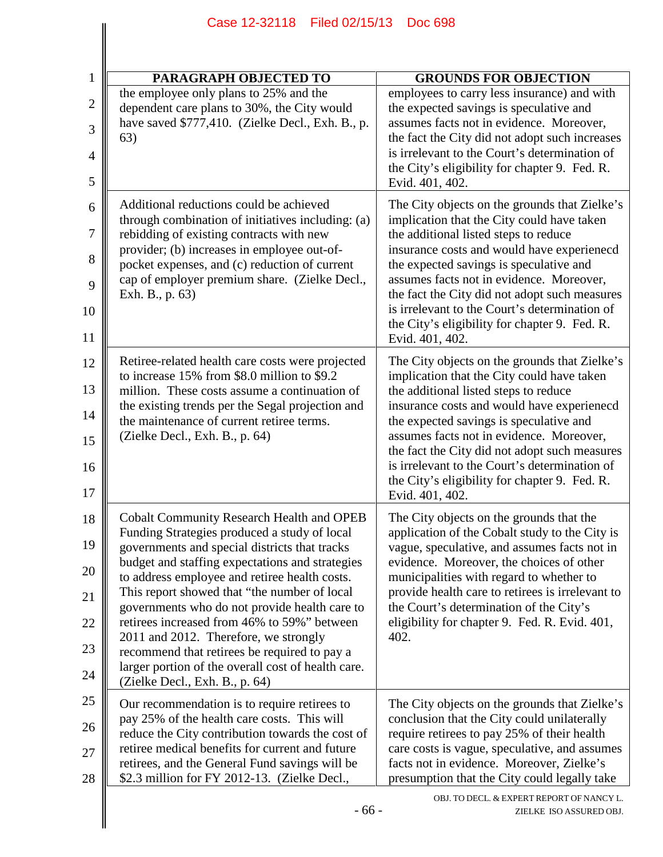| PARAGRAPH OBJECTED TO                                                                                                                                                                                                                                                                                                                                                                                                                                                                                                                                                                  | <b>GROUNDS FOR OBJECTION</b>                                                                                                                                                                                                                                                                                                                                                                                                                    |
|----------------------------------------------------------------------------------------------------------------------------------------------------------------------------------------------------------------------------------------------------------------------------------------------------------------------------------------------------------------------------------------------------------------------------------------------------------------------------------------------------------------------------------------------------------------------------------------|-------------------------------------------------------------------------------------------------------------------------------------------------------------------------------------------------------------------------------------------------------------------------------------------------------------------------------------------------------------------------------------------------------------------------------------------------|
| the employee only plans to 25% and the<br>dependent care plans to 30%, the City would<br>have saved \$777,410. (Zielke Decl., Exh. B., p.<br>63)                                                                                                                                                                                                                                                                                                                                                                                                                                       | employees to carry less insurance) and with<br>the expected savings is speculative and<br>assumes facts not in evidence. Moreover,<br>the fact the City did not adopt such increases<br>is irrelevant to the Court's determination of<br>the City's eligibility for chapter 9. Fed. R.<br>Evid. 401, 402.                                                                                                                                       |
| Additional reductions could be achieved<br>through combination of initiatives including: (a)<br>rebidding of existing contracts with new<br>provider; (b) increases in employee out-of-<br>pocket expenses, and (c) reduction of current<br>cap of employer premium share. (Zielke Decl.,<br>Exh. B., p. 63)                                                                                                                                                                                                                                                                           | The City objects on the grounds that Zielke's<br>implication that the City could have taken<br>the additional listed steps to reduce<br>insurance costs and would have experieneed<br>the expected savings is speculative and<br>assumes facts not in evidence. Moreover,<br>the fact the City did not adopt such measures<br>is irrelevant to the Court's determination of<br>the City's eligibility for chapter 9. Fed. R.<br>Evid. 401, 402. |
| Retiree-related health care costs were projected<br>to increase 15% from \$8.0 million to \$9.2<br>million. These costs assume a continuation of<br>the existing trends per the Segal projection and<br>the maintenance of current retiree terms.<br>(Zielke Decl., Exh. B., p. 64)                                                                                                                                                                                                                                                                                                    | The City objects on the grounds that Zielke's<br>implication that the City could have taken<br>the additional listed steps to reduce<br>insurance costs and would have experieneed<br>the expected savings is speculative and<br>assumes facts not in evidence. Moreover,<br>the fact the City did not adopt such measures<br>is irrelevant to the Court's determination of<br>the City's eligibility for chapter 9. Fed. R.<br>Evid. 401, 402. |
| <b>Cobalt Community Research Health and OPEB</b><br>Funding Strategies produced a study of local<br>governments and special districts that tracks<br>budget and staffing expectations and strategies<br>to address employee and retiree health costs.<br>This report showed that "the number of local<br>governments who do not provide health care to<br>retirees increased from 46% to 59%" between<br>2011 and 2012. Therefore, we strongly<br>recommend that retirees be required to pay a<br>larger portion of the overall cost of health care.<br>(Zielke Decl., Exh. B., p. 64) | The City objects on the grounds that the<br>application of the Cobalt study to the City is<br>vague, speculative, and assumes facts not in<br>evidence. Moreover, the choices of other<br>municipalities with regard to whether to<br>provide health care to retirees is irrelevant to<br>the Court's determination of the City's<br>eligibility for chapter 9. Fed. R. Evid. 401,<br>402.                                                      |
| Our recommendation is to require retirees to<br>pay 25% of the health care costs. This will<br>reduce the City contribution towards the cost of<br>retiree medical benefits for current and future<br>retirees, and the General Fund savings will be<br>\$2.3 million for FY 2012-13. (Zielke Decl.,                                                                                                                                                                                                                                                                                   | The City objects on the grounds that Zielke's<br>conclusion that the City could unilaterally<br>require retirees to pay 25% of their health<br>care costs is vague, speculative, and assumes<br>facts not in evidence. Moreover, Zielke's<br>presumption that the City could legally take                                                                                                                                                       |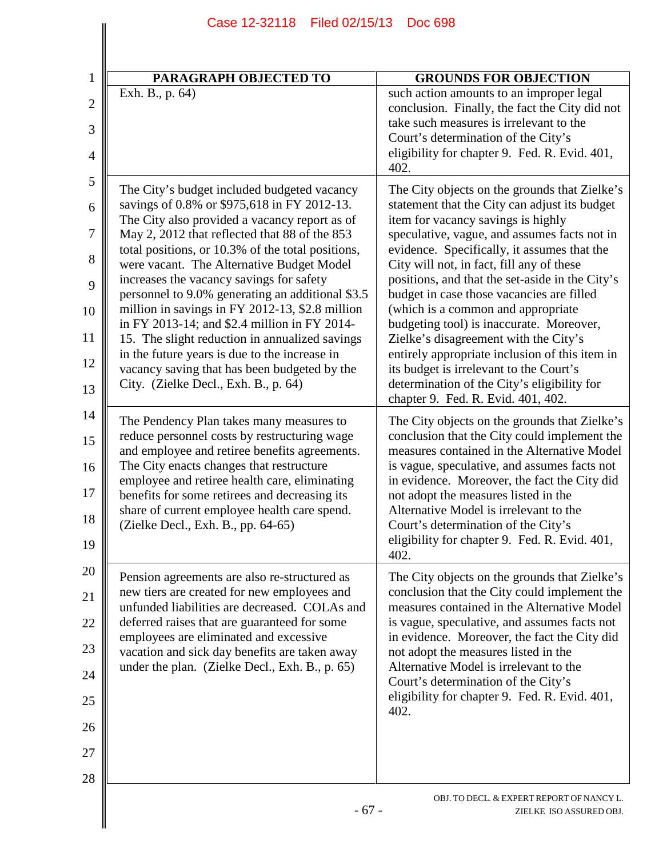| $\mathbf{1}$                                       | <b>PARAGRAPH OBJECTED TO</b>                                                                                                                                                                                                                                                                                                                                                                                                                                                                                                                                                                                                                         | <b>GROUNDS FOR OBJECTION</b>                                                                                                                                                                                                                                                                                                                                                                                                                                                                                                                                                                                     |
|----------------------------------------------------|------------------------------------------------------------------------------------------------------------------------------------------------------------------------------------------------------------------------------------------------------------------------------------------------------------------------------------------------------------------------------------------------------------------------------------------------------------------------------------------------------------------------------------------------------------------------------------------------------------------------------------------------------|------------------------------------------------------------------------------------------------------------------------------------------------------------------------------------------------------------------------------------------------------------------------------------------------------------------------------------------------------------------------------------------------------------------------------------------------------------------------------------------------------------------------------------------------------------------------------------------------------------------|
| $\overline{2}$<br>3<br>$\overline{4}$              | Exh. B., p. 64)                                                                                                                                                                                                                                                                                                                                                                                                                                                                                                                                                                                                                                      | such action amounts to an improper legal<br>conclusion. Finally, the fact the City did not<br>take such measures is irrelevant to the<br>Court's determination of the City's<br>eligibility for chapter 9. Fed. R. Evid. 401,                                                                                                                                                                                                                                                                                                                                                                                    |
| 5<br>6<br>7<br>8<br>9<br>10<br>11<br>12            | The City's budget included budgeted vacancy<br>savings of 0.8% or \$975,618 in FY 2012-13.<br>The City also provided a vacancy report as of<br>May 2, 2012 that reflected that 88 of the 853<br>total positions, or 10.3% of the total positions,<br>were vacant. The Alternative Budget Model<br>increases the vacancy savings for safety<br>personnel to 9.0% generating an additional \$3.5<br>million in savings in FY 2012-13, \$2.8 million<br>in FY 2013-14; and \$2.4 million in FY 2014-<br>15. The slight reduction in annualized savings<br>in the future years is due to the increase in<br>vacancy saving that has been budgeted by the | 402.<br>The City objects on the grounds that Zielke's<br>statement that the City can adjust its budget<br>item for vacancy savings is highly<br>speculative, vague, and assumes facts not in<br>evidence. Specifically, it assumes that the<br>City will not, in fact, fill any of these<br>positions, and that the set-aside in the City's<br>budget in case those vacancies are filled<br>(which is a common and appropriate<br>budgeting tool) is inaccurate. Moreover,<br>Zielke's disagreement with the City's<br>entirely appropriate inclusion of this item in<br>its budget is irrelevant to the Court's |
| 13<br>14<br>15<br>16<br>17<br>18<br>19             | City. (Zielke Decl., Exh. B., p. 64)<br>The Pendency Plan takes many measures to<br>reduce personnel costs by restructuring wage<br>and employee and retiree benefits agreements.<br>The City enacts changes that restructure<br>employee and retiree health care, eliminating<br>benefits for some retirees and decreasing its<br>share of current employee health care spend.<br>(Zielke Decl., Exh. B., pp. 64-65)                                                                                                                                                                                                                                | determination of the City's eligibility for<br>chapter 9. Fed. R. Evid. 401, 402.<br>The City objects on the grounds that Zielke's<br>conclusion that the City could implement the<br>measures contained in the Alternative Model<br>is vague, speculative, and assumes facts not<br>in evidence. Moreover, the fact the City did<br>not adopt the measures listed in the<br>Alternative Model is irrelevant to the<br>Court's determination of the City's<br>eligibility for chapter 9. Fed. R. Evid. 401,<br>402.                                                                                              |
| 20<br>21<br>22<br>23<br>24<br>25<br>26<br>27<br>28 | Pension agreements are also re-structured as<br>new tiers are created for new employees and<br>unfunded liabilities are decreased. COLAs and<br>deferred raises that are guaranteed for some<br>employees are eliminated and excessive<br>vacation and sick day benefits are taken away<br>under the plan. (Zielke Decl., Exh. B., p. 65)                                                                                                                                                                                                                                                                                                            | The City objects on the grounds that Zielke's<br>conclusion that the City could implement the<br>measures contained in the Alternative Model<br>is vague, speculative, and assumes facts not<br>in evidence. Moreover, the fact the City did<br>not adopt the measures listed in the<br>Alternative Model is irrelevant to the<br>Court's determination of the City's<br>eligibility for chapter 9. Fed. R. Evid. 401,<br>402.                                                                                                                                                                                   |
|                                                    | $-67-$                                                                                                                                                                                                                                                                                                                                                                                                                                                                                                                                                                                                                                               | OBJ. TO DECL. & EXPERT REPORT OF NANCY L.<br>ZIELKE ISO ASSURED OBJ.                                                                                                                                                                                                                                                                                                                                                                                                                                                                                                                                             |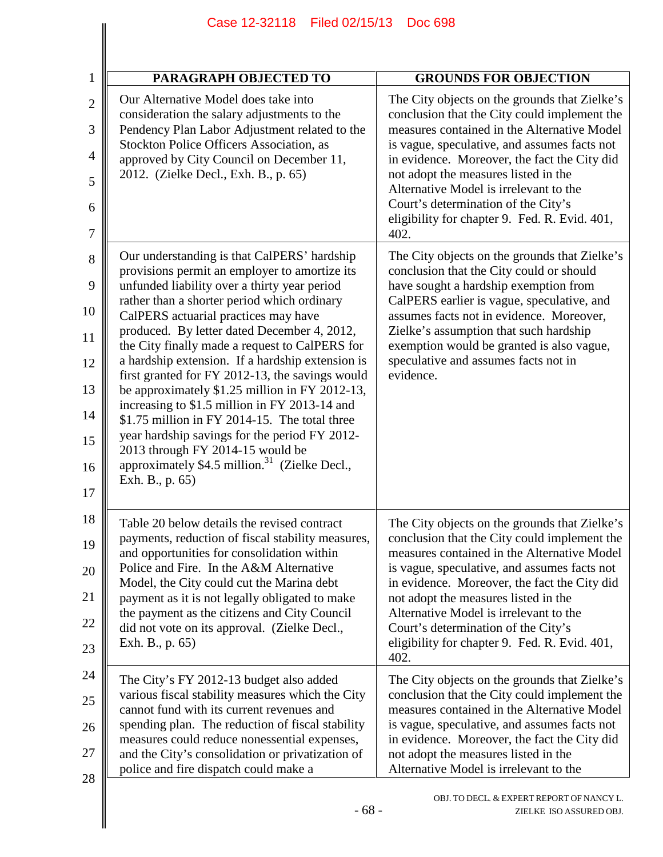| <b>PARAGRAPH OBJECTED TO</b>                                                                                                                                                                                                                                                                                                                                                                                                                                                                                                                                                                                                                                                                                                                                         | <b>GROUNDS FOR OBJECTION</b>                                                                                                                                                                                                                                                                                                                                                                                                   |
|----------------------------------------------------------------------------------------------------------------------------------------------------------------------------------------------------------------------------------------------------------------------------------------------------------------------------------------------------------------------------------------------------------------------------------------------------------------------------------------------------------------------------------------------------------------------------------------------------------------------------------------------------------------------------------------------------------------------------------------------------------------------|--------------------------------------------------------------------------------------------------------------------------------------------------------------------------------------------------------------------------------------------------------------------------------------------------------------------------------------------------------------------------------------------------------------------------------|
| Our Alternative Model does take into<br>consideration the salary adjustments to the<br>Pendency Plan Labor Adjustment related to the<br>Stockton Police Officers Association, as<br>approved by City Council on December 11,<br>2012. (Zielke Decl., Exh. B., p. 65)                                                                                                                                                                                                                                                                                                                                                                                                                                                                                                 | The City objects on the grounds that Zielke's<br>conclusion that the City could implement the<br>measures contained in the Alternative Model<br>is vague, speculative, and assumes facts not<br>in evidence. Moreover, the fact the City did<br>not adopt the measures listed in the<br>Alternative Model is irrelevant to the<br>Court's determination of the City's<br>eligibility for chapter 9. Fed. R. Evid. 401,<br>402. |
| Our understanding is that CalPERS' hardship<br>provisions permit an employer to amortize its<br>unfunded liability over a thirty year period<br>rather than a shorter period which ordinary<br>CalPERS actuarial practices may have<br>produced. By letter dated December 4, 2012,<br>the City finally made a request to CalPERS for<br>a hardship extension. If a hardship extension is<br>first granted for FY 2012-13, the savings would<br>be approximately \$1.25 million in FY 2012-13,<br>increasing to \$1.5 million in FY 2013-14 and<br>\$1.75 million in FY 2014-15. The total three<br>year hardship savings for the period FY 2012-<br>2013 through FY 2014-15 would be<br>approximately \$4.5 million. <sup>31</sup> (Zielke Decl.,<br>Exh. B., p. 65) | The City objects on the grounds that Zielke's<br>conclusion that the City could or should<br>have sought a hardship exemption from<br>CalPERS earlier is vague, speculative, and<br>assumes facts not in evidence. Moreover,<br>Zielke's assumption that such hardship<br>exemption would be granted is also vague,<br>speculative and assumes facts not in<br>evidence.                                                       |
| Table 20 below details the revised contract<br>payments, reduction of fiscal stability measures,<br>and opportunities for consolidation within<br>Police and Fire. In the A&M Alternative<br>Model, the City could cut the Marina debt<br>payment as it is not legally obligated to make<br>the payment as the citizens and City Council<br>did not vote on its approval. (Zielke Decl.,<br>Exh. B., p. 65)                                                                                                                                                                                                                                                                                                                                                          | The City objects on the grounds that Zielke's<br>conclusion that the City could implement the<br>measures contained in the Alternative Model<br>is vague, speculative, and assumes facts not<br>in evidence. Moreover, the fact the City did<br>not adopt the measures listed in the<br>Alternative Model is irrelevant to the<br>Court's determination of the City's<br>eligibility for chapter 9. Fed. R. Evid. 401,<br>402. |
| The City's FY 2012-13 budget also added<br>various fiscal stability measures which the City<br>cannot fund with its current revenues and<br>spending plan. The reduction of fiscal stability<br>measures could reduce nonessential expenses,<br>and the City's consolidation or privatization of<br>police and fire dispatch could make a                                                                                                                                                                                                                                                                                                                                                                                                                            | The City objects on the grounds that Zielke's<br>conclusion that the City could implement the<br>measures contained in the Alternative Model<br>is vague, speculative, and assumes facts not<br>in evidence. Moreover, the fact the City did<br>not adopt the measures listed in the<br>Alternative Model is irrelevant to the                                                                                                 |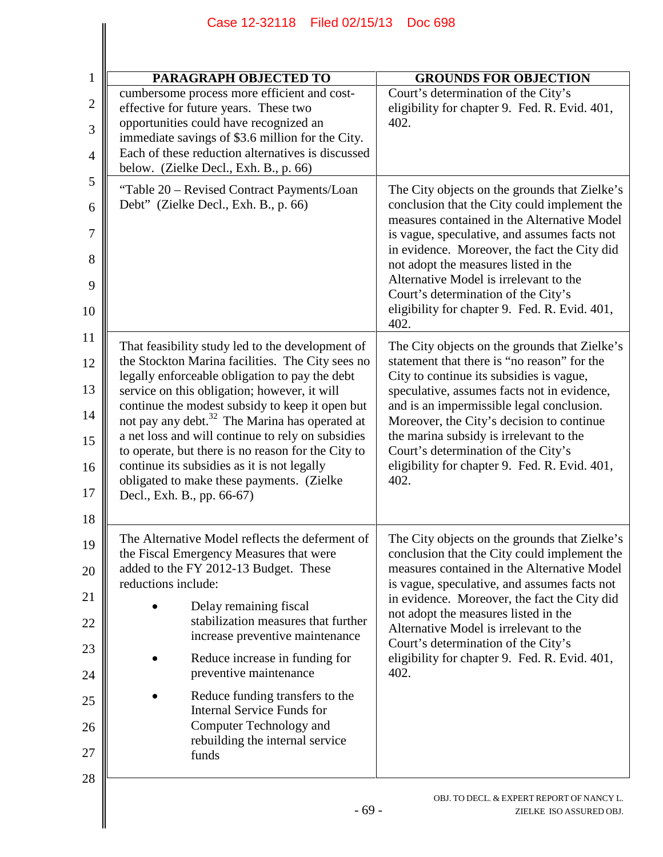| <b>PARAGRAPH OBJECTED TO</b>                                                                                                                                                                                                                                                                                                                                                                                                                                                                                                                                 | <b>GROUNDS FOR OBJECTION</b>                                                                                                                                                                                                                                                                                                                                                                                                   |
|--------------------------------------------------------------------------------------------------------------------------------------------------------------------------------------------------------------------------------------------------------------------------------------------------------------------------------------------------------------------------------------------------------------------------------------------------------------------------------------------------------------------------------------------------------------|--------------------------------------------------------------------------------------------------------------------------------------------------------------------------------------------------------------------------------------------------------------------------------------------------------------------------------------------------------------------------------------------------------------------------------|
| cumbersome process more efficient and cost-<br>effective for future years. These two<br>opportunities could have recognized an<br>immediate savings of \$3.6 million for the City.<br>Each of these reduction alternatives is discussed<br>below. (Zielke Decl., Exh. B., p. 66)                                                                                                                                                                                                                                                                             | Court's determination of the City's<br>eligibility for chapter 9. Fed. R. Evid. 401,<br>402.                                                                                                                                                                                                                                                                                                                                   |
| "Table 20 - Revised Contract Payments/Loan<br>Debt" (Zielke Decl., Exh. B., p. 66)                                                                                                                                                                                                                                                                                                                                                                                                                                                                           | The City objects on the grounds that Zielke's<br>conclusion that the City could implement the<br>measures contained in the Alternative Model<br>is vague, speculative, and assumes facts not<br>in evidence. Moreover, the fact the City did<br>not adopt the measures listed in the<br>Alternative Model is irrelevant to the<br>Court's determination of the City's<br>eligibility for chapter 9. Fed. R. Evid. 401,<br>402. |
| That feasibility study led to the development of<br>the Stockton Marina facilities. The City sees no<br>legally enforceable obligation to pay the debt<br>service on this obligation; however, it will<br>continue the modest subsidy to keep it open but<br>not pay any debt. <sup>32</sup> The Marina has operated at<br>a net loss and will continue to rely on subsidies<br>to operate, but there is no reason for the City to<br>continue its subsidies as it is not legally<br>obligated to make these payments. (Zielke<br>Decl., Exh. B., pp. 66-67) | The City objects on the grounds that Zielke's<br>statement that there is "no reason" for the<br>City to continue its subsidies is vague,<br>speculative, assumes facts not in evidence,<br>and is an impermissible legal conclusion.<br>Moreover, the City's decision to continue<br>the marina subsidy is irrelevant to the<br>Court's determination of the City's<br>eligibility for chapter 9. Fed. R. Evid. 401,<br>402.   |
| The Alternative Model reflects the deferment of<br>the Fiscal Emergency Measures that were<br>added to the FY 2012-13 Budget. These<br>reductions include:<br>Delay remaining fiscal<br>stabilization measures that further<br>increase preventive maintenance<br>Reduce increase in funding for<br>preventive maintenance<br>Reduce funding transfers to the<br><b>Internal Service Funds for</b><br>Computer Technology and<br>rebuilding the internal service<br>funds                                                                                    | The City objects on the grounds that Zielke's<br>conclusion that the City could implement the<br>measures contained in the Alternative Model<br>is vague, speculative, and assumes facts not<br>in evidence. Moreover, the fact the City did<br>not adopt the measures listed in the<br>Alternative Model is irrelevant to the<br>Court's determination of the City's<br>eligibility for chapter 9. Fed. R. Evid. 401,<br>402. |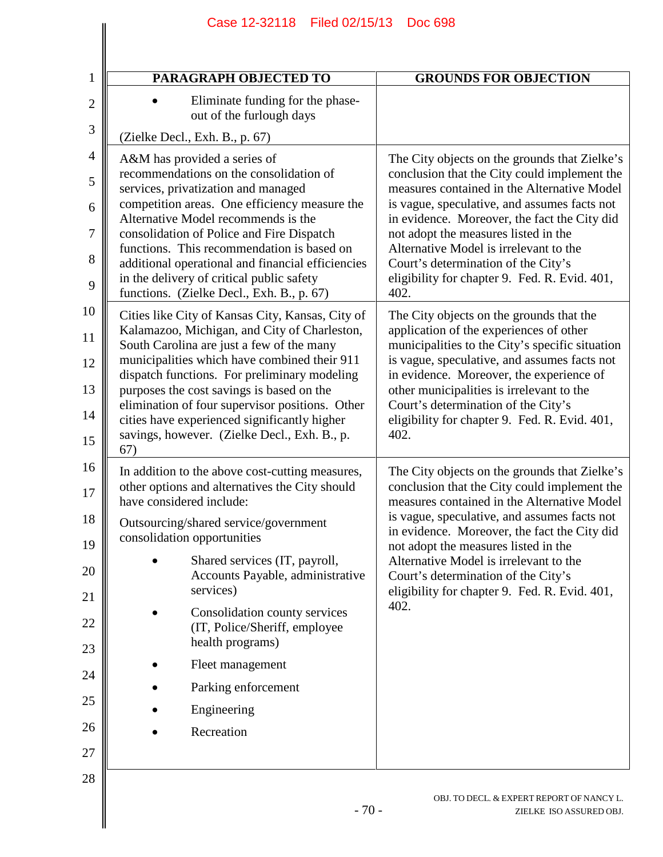| PARAGRAPH OBJECTED TO                                                                                                                                                                                                                                                                                                                                                                                                                                | <b>GROUNDS FOR OBJECTION</b>                                                                                                                                                                                                                                                                                                                                                                                                   |
|------------------------------------------------------------------------------------------------------------------------------------------------------------------------------------------------------------------------------------------------------------------------------------------------------------------------------------------------------------------------------------------------------------------------------------------------------|--------------------------------------------------------------------------------------------------------------------------------------------------------------------------------------------------------------------------------------------------------------------------------------------------------------------------------------------------------------------------------------------------------------------------------|
| Eliminate funding for the phase-<br>out of the furlough days                                                                                                                                                                                                                                                                                                                                                                                         |                                                                                                                                                                                                                                                                                                                                                                                                                                |
| (Zielke Decl., Exh. B., p. 67)                                                                                                                                                                                                                                                                                                                                                                                                                       |                                                                                                                                                                                                                                                                                                                                                                                                                                |
| A&M has provided a series of<br>recommendations on the consolidation of<br>services, privatization and managed<br>competition areas. One efficiency measure the<br>Alternative Model recommends is the<br>consolidation of Police and Fire Dispatch<br>functions. This recommendation is based on<br>additional operational and financial efficiencies<br>in the delivery of critical public safety<br>functions. (Zielke Decl., Exh. B., p. 67)     | The City objects on the grounds that Zielke's<br>conclusion that the City could implement the<br>measures contained in the Alternative Model<br>is vague, speculative, and assumes facts not<br>in evidence. Moreover, the fact the City did<br>not adopt the measures listed in the<br>Alternative Model is irrelevant to the<br>Court's determination of the City's<br>eligibility for chapter 9. Fed. R. Evid. 401,<br>402. |
| Cities like City of Kansas City, Kansas, City of<br>Kalamazoo, Michigan, and City of Charleston,<br>South Carolina are just a few of the many<br>municipalities which have combined their 911<br>dispatch functions. For preliminary modeling<br>purposes the cost savings is based on the<br>elimination of four supervisor positions. Other<br>cities have experienced significantly higher<br>savings, however. (Zielke Decl., Exh. B., p.<br>67) | The City objects on the grounds that the<br>application of the experiences of other<br>municipalities to the City's specific situation<br>is vague, speculative, and assumes facts not<br>in evidence. Moreover, the experience of<br>other municipalities is irrelevant to the<br>Court's determination of the City's<br>eligibility for chapter 9. Fed. R. Evid. 401,<br>402.                                                |
| In addition to the above cost-cutting measures,<br>other options and alternatives the City should<br>have considered include:                                                                                                                                                                                                                                                                                                                        | The City objects on the grounds that Zielke's<br>conclusion that the City could implement the<br>measures contained in the Alternative Model                                                                                                                                                                                                                                                                                   |
| Outsourcing/shared service/government<br>consolidation opportunities                                                                                                                                                                                                                                                                                                                                                                                 | is vague, speculative, and assumes facts not<br>in evidence. Moreover, the fact the City did<br>not adopt the measures listed in the                                                                                                                                                                                                                                                                                           |
| Shared services (IT, payroll,<br>Accounts Payable, administrative<br>services)                                                                                                                                                                                                                                                                                                                                                                       | Alternative Model is irrelevant to the<br>Court's determination of the City's<br>eligibility for chapter 9. Fed. R. Evid. 401,                                                                                                                                                                                                                                                                                                 |
| Consolidation county services<br>(IT, Police/Sheriff, employee<br>health programs)                                                                                                                                                                                                                                                                                                                                                                   | 402.                                                                                                                                                                                                                                                                                                                                                                                                                           |
| Fleet management                                                                                                                                                                                                                                                                                                                                                                                                                                     |                                                                                                                                                                                                                                                                                                                                                                                                                                |
| Parking enforcement                                                                                                                                                                                                                                                                                                                                                                                                                                  |                                                                                                                                                                                                                                                                                                                                                                                                                                |
| Engineering                                                                                                                                                                                                                                                                                                                                                                                                                                          |                                                                                                                                                                                                                                                                                                                                                                                                                                |
| Recreation                                                                                                                                                                                                                                                                                                                                                                                                                                           |                                                                                                                                                                                                                                                                                                                                                                                                                                |
|                                                                                                                                                                                                                                                                                                                                                                                                                                                      |                                                                                                                                                                                                                                                                                                                                                                                                                                |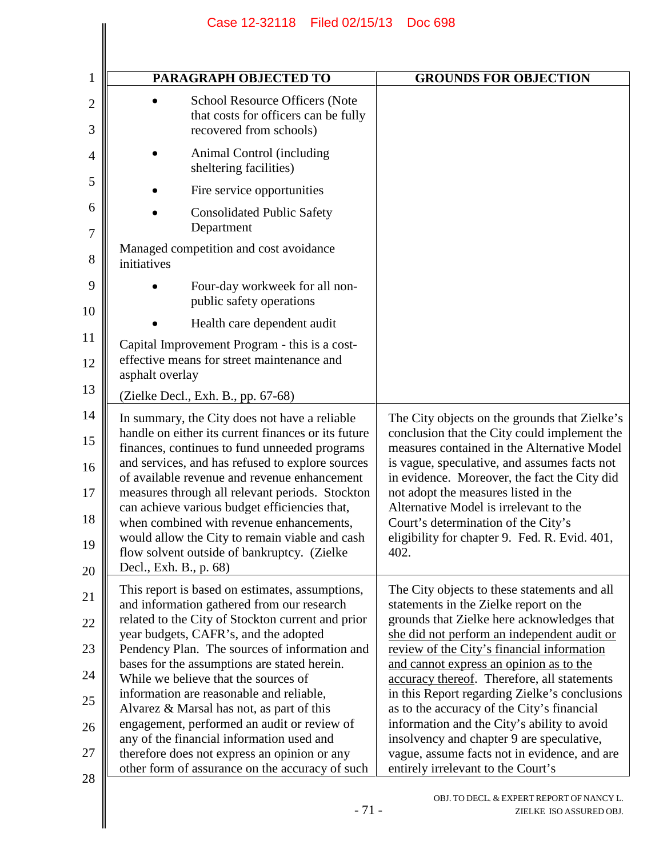| <b>PARAGRAPH OBJECTED TO</b>                                                                                                                                                                              | <b>GROUNDS FOR OBJECTION</b>                                                                                                                                                                 |
|-----------------------------------------------------------------------------------------------------------------------------------------------------------------------------------------------------------|----------------------------------------------------------------------------------------------------------------------------------------------------------------------------------------------|
| School Resource Officers (Note<br>that costs for officers can be fully<br>recovered from schools)                                                                                                         |                                                                                                                                                                                              |
| Animal Control (including<br>sheltering facilities)                                                                                                                                                       |                                                                                                                                                                                              |
| Fire service opportunities                                                                                                                                                                                |                                                                                                                                                                                              |
| <b>Consolidated Public Safety</b><br>Department                                                                                                                                                           |                                                                                                                                                                                              |
| Managed competition and cost avoidance<br>initiatives                                                                                                                                                     |                                                                                                                                                                                              |
| Four-day workweek for all non-<br>public safety operations                                                                                                                                                |                                                                                                                                                                                              |
| Health care dependent audit                                                                                                                                                                               |                                                                                                                                                                                              |
| Capital Improvement Program - this is a cost-<br>effective means for street maintenance and<br>asphalt overlay                                                                                            |                                                                                                                                                                                              |
| (Zielke Decl., Exh. B., pp. 67-68)                                                                                                                                                                        |                                                                                                                                                                                              |
| In summary, the City does not have a reliable<br>handle on either its current finances or its future<br>finances, continues to fund unneeded programs<br>and services, and has refused to explore sources | The City objects on the grounds that Zielke's<br>conclusion that the City could implement the<br>measures contained in the Alternative Model<br>is vague, speculative, and assumes facts not |
| of available revenue and revenue enhancement<br>measures through all relevant periods. Stockton                                                                                                           | in evidence. Moreover, the fact the City did<br>not adopt the measures listed in the                                                                                                         |
| can achieve various budget efficiencies that,<br>when combined with revenue enhancements,                                                                                                                 | Alternative Model is irrelevant to the<br>Court's determination of the City's                                                                                                                |
| would allow the City to remain viable and cash                                                                                                                                                            | eligibility for chapter 9. Fed. R. Evid. 401,                                                                                                                                                |
| flow solvent outside of bankruptcy. (Zielke<br>Decl., Exh. B., p. 68)                                                                                                                                     | 402.                                                                                                                                                                                         |
| This report is based on estimates, assumptions,<br>and information gathered from our research                                                                                                             | The City objects to these statements and all<br>statements in the Zielke report on the                                                                                                       |
| related to the City of Stockton current and prior                                                                                                                                                         | grounds that Zielke here acknowledges that                                                                                                                                                   |
| year budgets, CAFR's, and the adopted<br>Pendency Plan. The sources of information and                                                                                                                    | she did not perform an independent audit or<br>review of the City's financial information                                                                                                    |
| bases for the assumptions are stated herein.<br>While we believe that the sources of                                                                                                                      | and cannot express an opinion as to the<br>accuracy thereof. Therefore, all statements                                                                                                       |
| information are reasonable and reliable,                                                                                                                                                                  | in this Report regarding Zielke's conclusions                                                                                                                                                |
| Alvarez & Marsal has not, as part of this<br>engagement, performed an audit or review of                                                                                                                  | as to the accuracy of the City's financial<br>information and the City's ability to avoid                                                                                                    |
| any of the financial information used and                                                                                                                                                                 | insolvency and chapter 9 are speculative,                                                                                                                                                    |
| therefore does not express an opinion or any<br>other form of assurance on the accuracy of such                                                                                                           | vague, assume facts not in evidence, and are<br>entirely irrelevant to the Court's                                                                                                           |